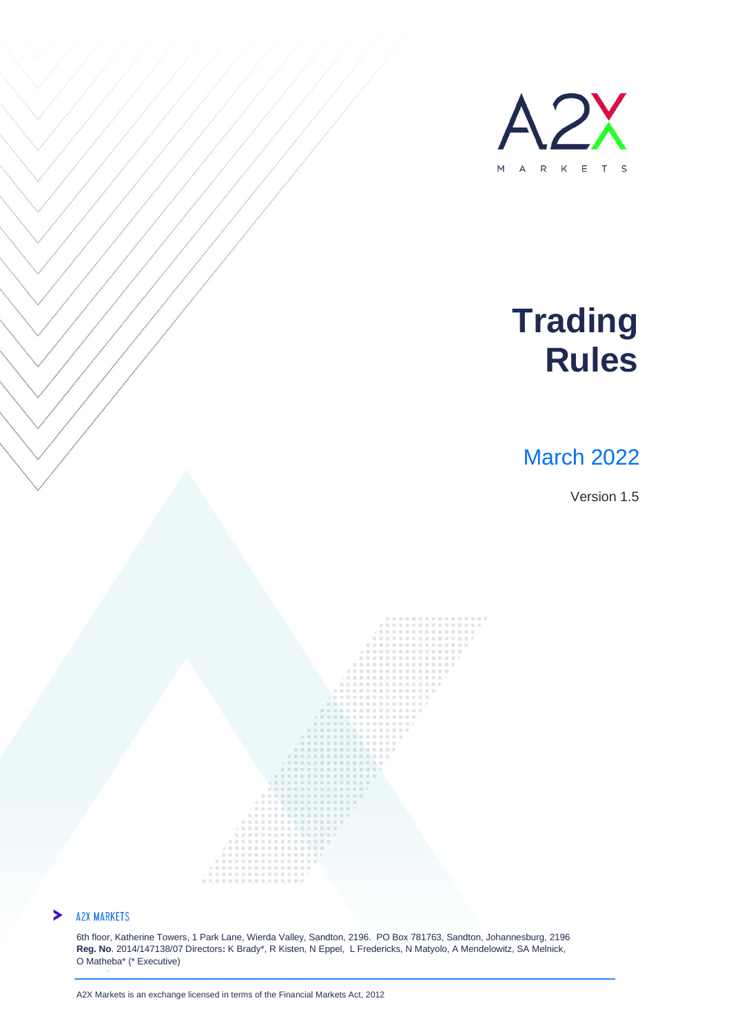

## **Trading Rules**

## March 2022

Version 1.5



#### **A2X MARKETS**  $\blacktriangleright$

**www.a2x.co.za**

6th floor, Katherine Towers, 1 Park Lane, Wierda Valley, Sandton, 2196. PO Box 781763, Sandton, Johannesburg, 2196 **Reg. No**. 2014/147138/07 Directors**:** K Brady\*, R Kisten, N Eppel, L Fredericks, N Matyolo, A Mendelowitz, SA Melnick, O Matheba\* (\* Executive)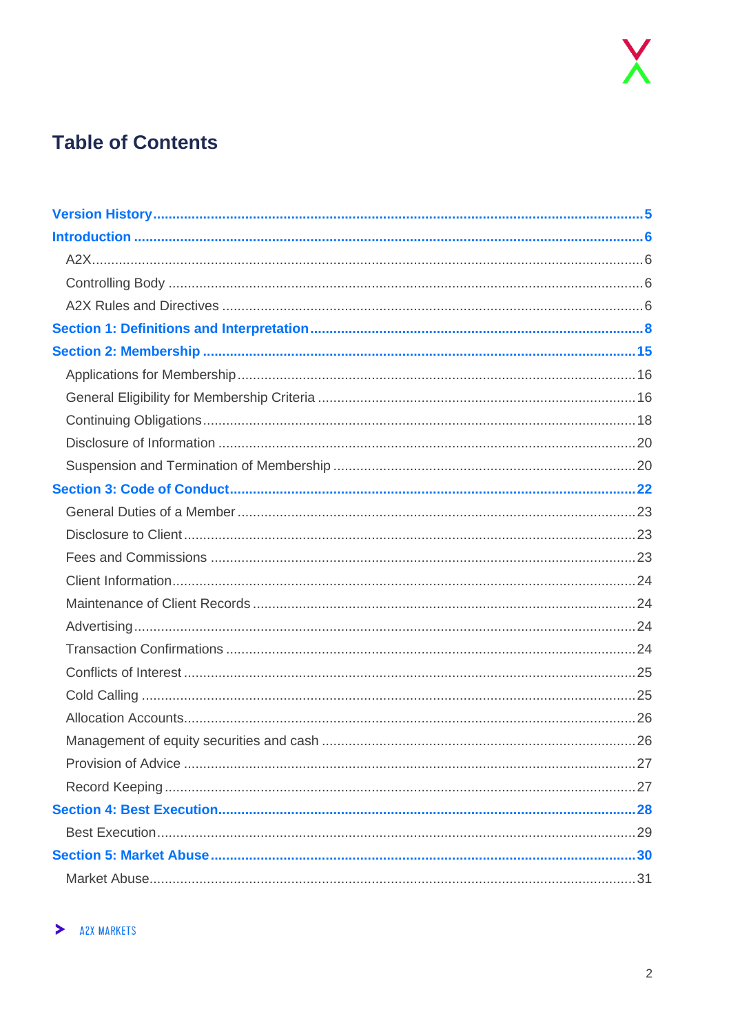

## **Table of Contents**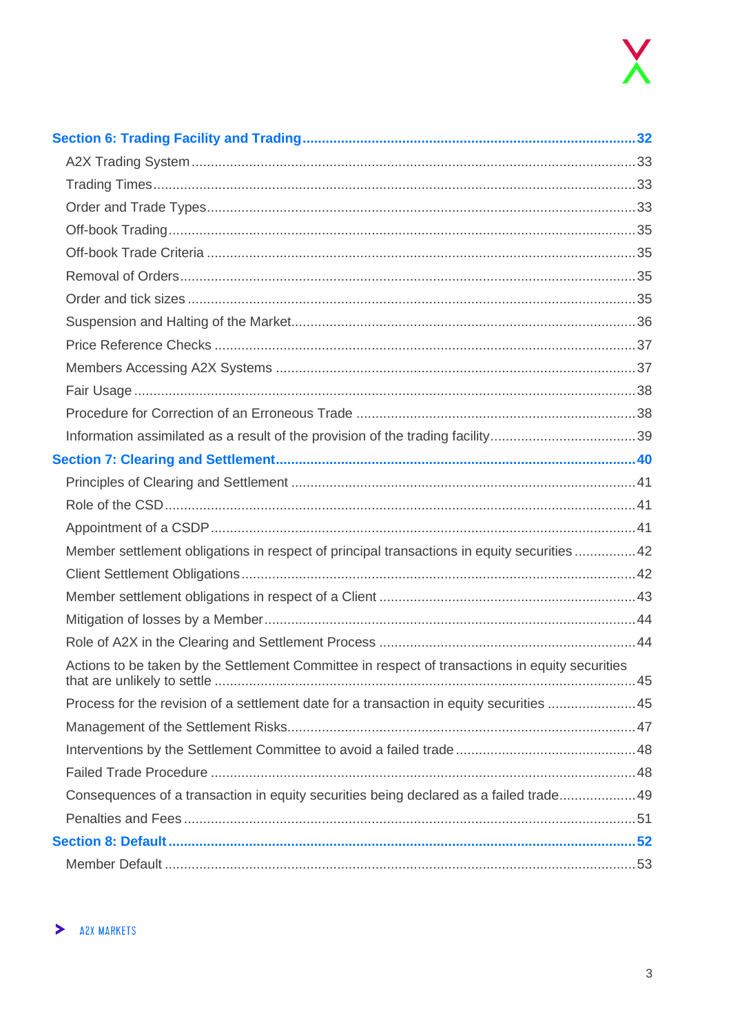| Member settlement obligations in respect of principal transactions in equity securities  42     |  |
|-------------------------------------------------------------------------------------------------|--|
|                                                                                                 |  |
|                                                                                                 |  |
|                                                                                                 |  |
|                                                                                                 |  |
| Actions to be taken by the Settlement Committee in respect of transactions in equity securities |  |
| Process for the revision of a settlement date for a transaction in equity securities 45         |  |
|                                                                                                 |  |
|                                                                                                 |  |
|                                                                                                 |  |
| Consequences of a transaction in equity securities being declared as a failed trade 49          |  |
|                                                                                                 |  |
|                                                                                                 |  |
|                                                                                                 |  |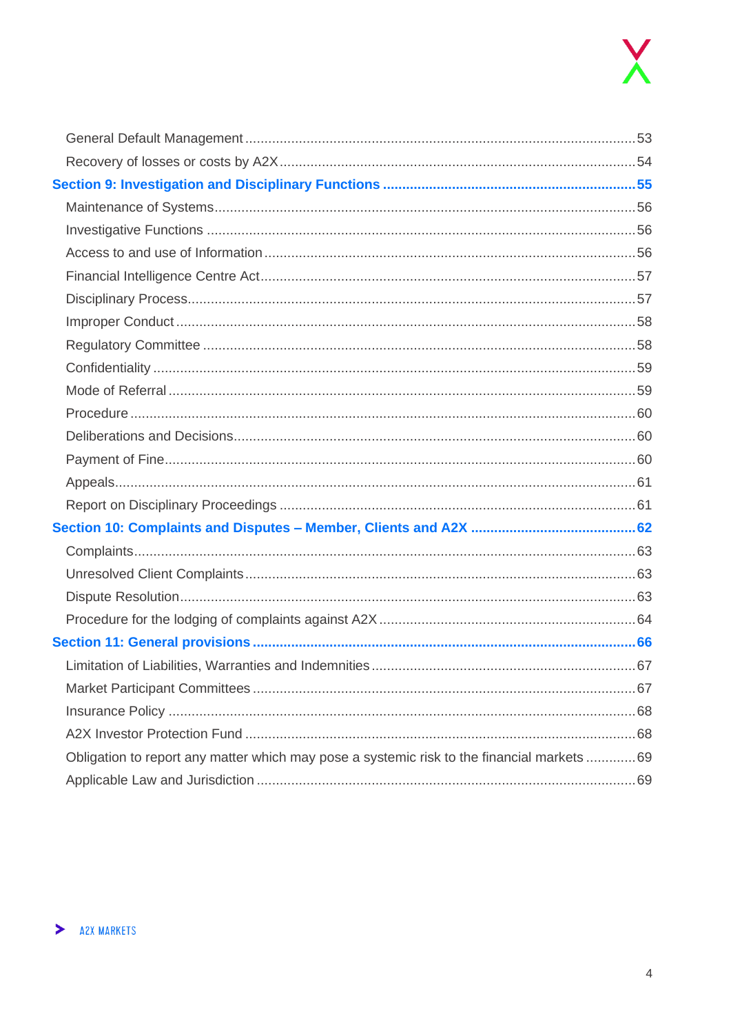| Obligation to report any matter which may pose a systemic risk to the financial markets  69 |  |
|---------------------------------------------------------------------------------------------|--|
|                                                                                             |  |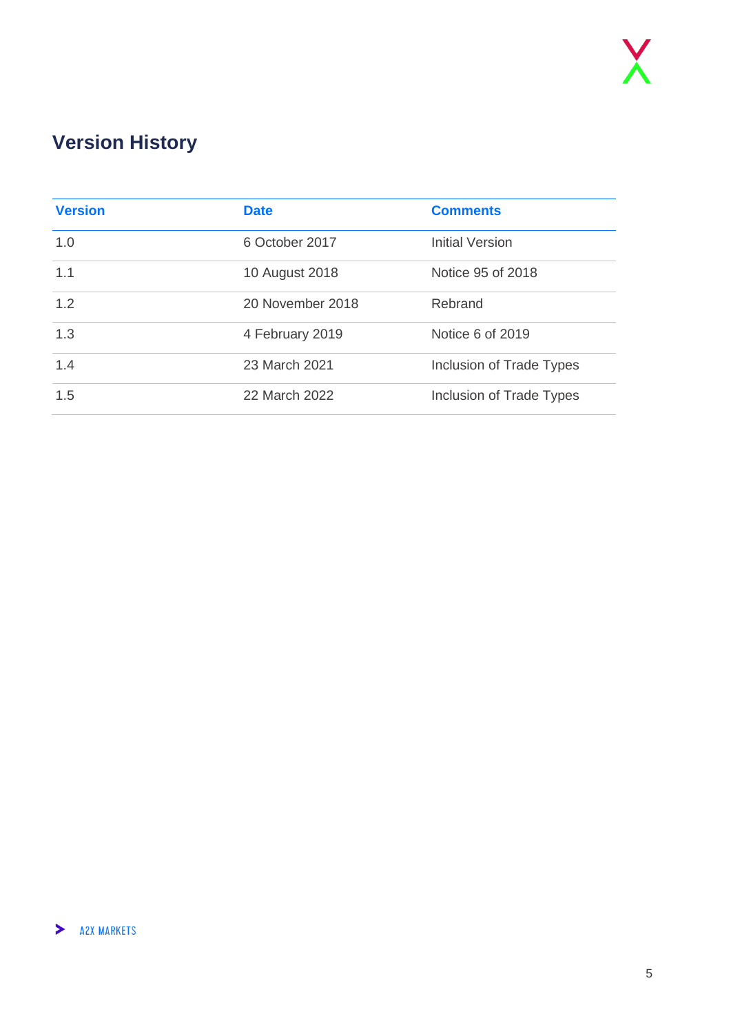## <span id="page-4-0"></span>**Version History**

| <b>Version</b> | <b>Date</b>      | <b>Comments</b>          |
|----------------|------------------|--------------------------|
| 1.0            | 6 October 2017   | Initial Version          |
| 1.1            | 10 August 2018   | Notice 95 of 2018        |
| 1.2            | 20 November 2018 | Rebrand                  |
| 1.3            | 4 February 2019  | Notice 6 of 2019         |
| 1.4            | 23 March 2021    | Inclusion of Trade Types |
| 1.5            | 22 March 2022    | Inclusion of Trade Types |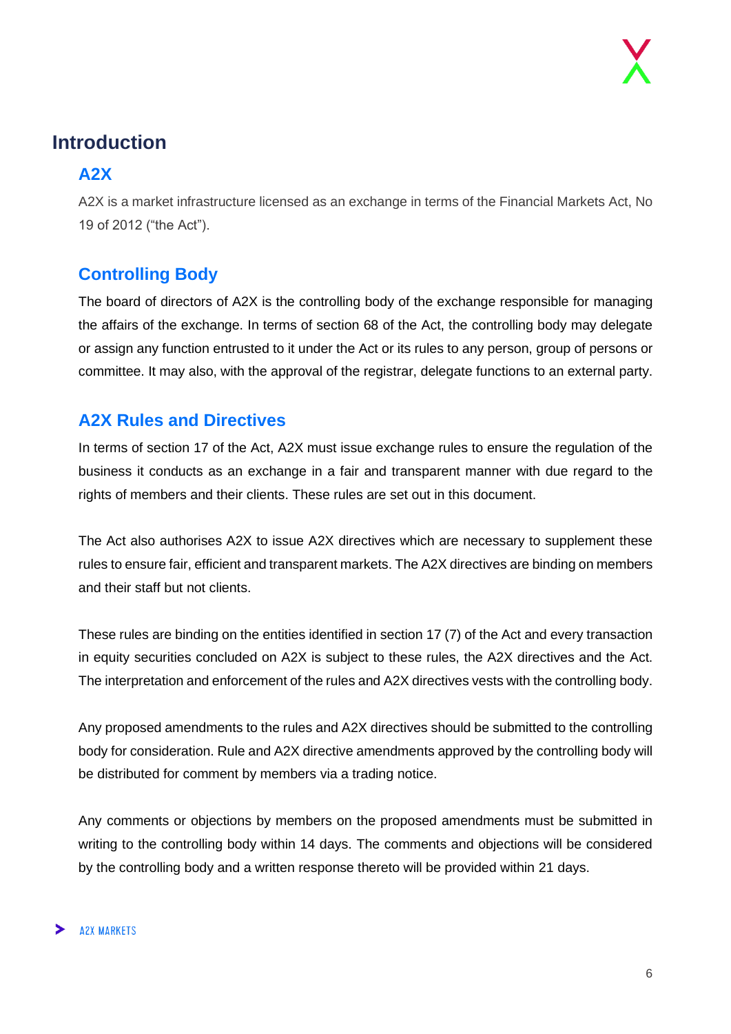### <span id="page-5-0"></span>**Introduction**

#### <span id="page-5-1"></span>**A2X**

A2X is a market infrastructure licensed as an exchange in terms of the Financial Markets Act, No 19 of 2012 ("the Act").

#### <span id="page-5-2"></span>**Controlling Body**

The board of directors of A2X is the controlling body of the exchange responsible for managing the affairs of the exchange. In terms of section 68 of the Act, the controlling body may delegate or assign any function entrusted to it under the Act or its rules to any person, group of persons or committee. It may also, with the approval of the registrar, delegate functions to an external party.

#### <span id="page-5-3"></span>**A2X Rules and Directives**

In terms of section 17 of the Act, A2X must issue exchange rules to ensure the regulation of the business it conducts as an exchange in a fair and transparent manner with due regard to the rights of members and their clients. These rules are set out in this document.

The Act also authorises A2X to issue A2X directives which are necessary to supplement these rules to ensure fair, efficient and transparent markets. The A2X directives are binding on members and their staff but not clients.

These rules are binding on the entities identified in section 17 (7) of the Act and every transaction in equity securities concluded on A2X is subject to these rules, the A2X directives and the Act. The interpretation and enforcement of the rules and A2X directives vests with the controlling body.

Any proposed amendments to the rules and A2X directives should be submitted to the controlling body for consideration. Rule and A2X directive amendments approved by the controlling body will be distributed for comment by members via a trading notice.

Any comments or objections by members on the proposed amendments must be submitted in writing to the controlling body within 14 days. The comments and objections will be considered by the controlling body and a written response thereto will be provided within 21 days.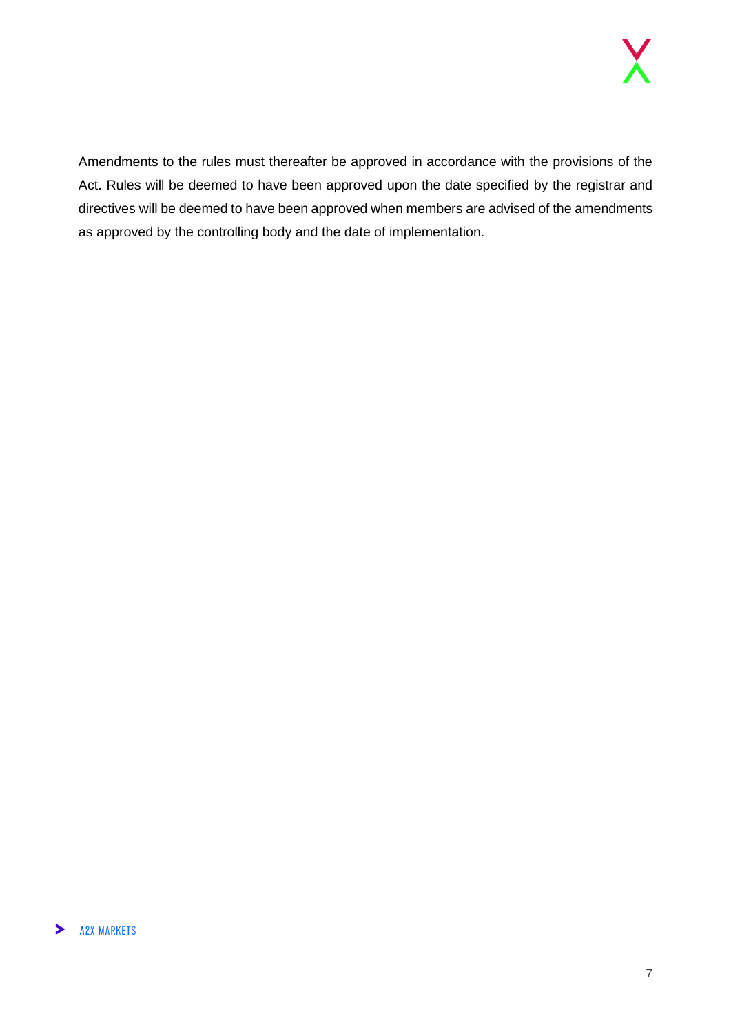Amendments to the rules must thereafter be approved in accordance with the provisions of the Act. Rules will be deemed to have been approved upon the date specified by the registrar and directives will be deemed to have been approved when members are advised of the amendments as approved by the controlling body and the date of implementation.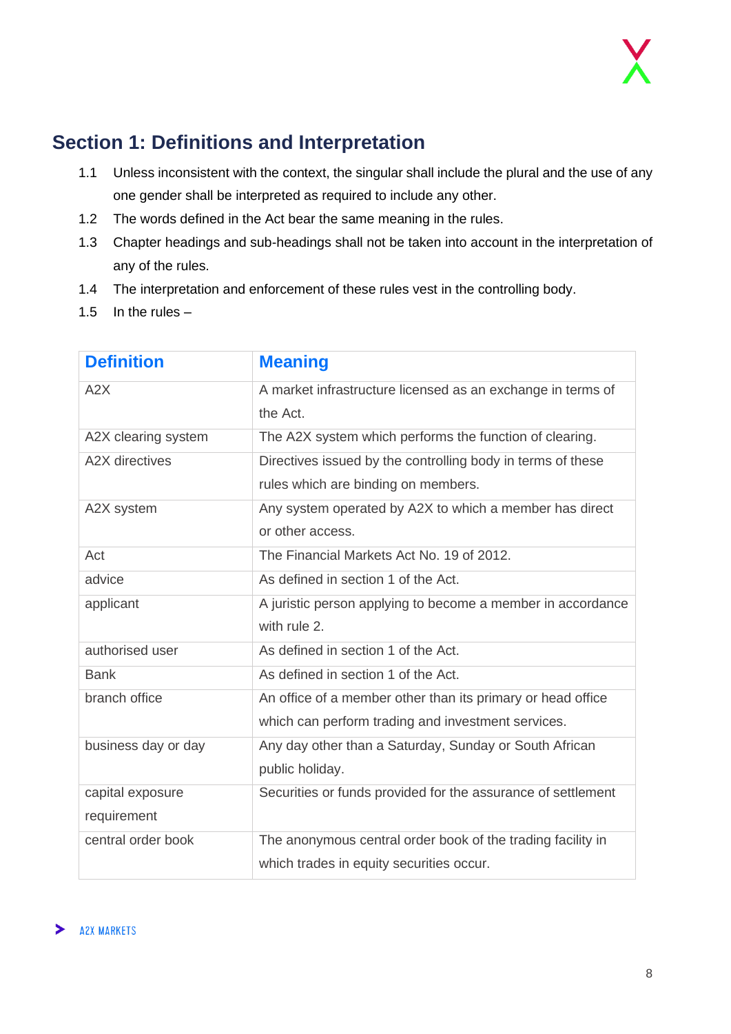

### <span id="page-7-0"></span>**Section 1: Definitions and Interpretation**

- 1.1 Unless inconsistent with the context, the singular shall include the plural and the use of any one gender shall be interpreted as required to include any other.
- 1.2 The words defined in the Act bear the same meaning in the rules.
- 1.3 Chapter headings and sub-headings shall not be taken into account in the interpretation of any of the rules.
- 1.4 The interpretation and enforcement of these rules vest in the controlling body.
- 1.5 In the rules  $-$

| <b>Definition</b>     | <b>Meaning</b>                                               |
|-----------------------|--------------------------------------------------------------|
| A2X                   | A market infrastructure licensed as an exchange in terms of  |
|                       | the Act.                                                     |
| A2X clearing system   | The A2X system which performs the function of clearing.      |
| <b>A2X</b> directives | Directives issued by the controlling body in terms of these  |
|                       | rules which are binding on members.                          |
| A2X system            | Any system operated by A2X to which a member has direct      |
|                       | or other access.                                             |
| Act                   | The Financial Markets Act No. 19 of 2012.                    |
| advice                | As defined in section 1 of the Act.                          |
| applicant             | A juristic person applying to become a member in accordance  |
|                       | with rule 2.                                                 |
| authorised user       | As defined in section 1 of the Act.                          |
| <b>Bank</b>           | As defined in section 1 of the Act.                          |
| branch office         | An office of a member other than its primary or head office  |
|                       | which can perform trading and investment services.           |
| business day or day   | Any day other than a Saturday, Sunday or South African       |
|                       | public holiday.                                              |
| capital exposure      | Securities or funds provided for the assurance of settlement |
| requirement           |                                                              |
| central order book    | The anonymous central order book of the trading facility in  |
|                       | which trades in equity securities occur.                     |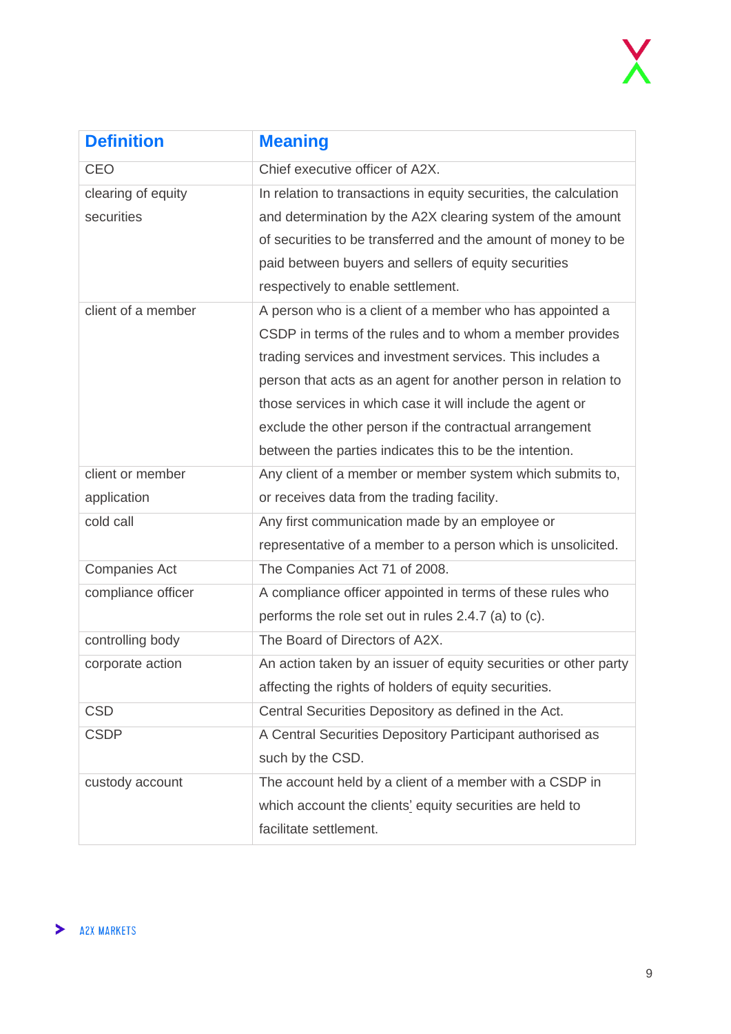| <b>Definition</b>    | <b>Meaning</b>                                                    |
|----------------------|-------------------------------------------------------------------|
| <b>CEO</b>           | Chief executive officer of A2X.                                   |
| clearing of equity   | In relation to transactions in equity securities, the calculation |
| securities           | and determination by the A2X clearing system of the amount        |
|                      | of securities to be transferred and the amount of money to be     |
|                      | paid between buyers and sellers of equity securities              |
|                      | respectively to enable settlement.                                |
| client of a member   | A person who is a client of a member who has appointed a          |
|                      | CSDP in terms of the rules and to whom a member provides          |
|                      | trading services and investment services. This includes a         |
|                      | person that acts as an agent for another person in relation to    |
|                      | those services in which case it will include the agent or         |
|                      | exclude the other person if the contractual arrangement           |
|                      | between the parties indicates this to be the intention.           |
| client or member     | Any client of a member or member system which submits to,         |
| application          | or receives data from the trading facility.                       |
| cold call            | Any first communication made by an employee or                    |
|                      | representative of a member to a person which is unsolicited.      |
| <b>Companies Act</b> | The Companies Act 71 of 2008.                                     |
| compliance officer   | A compliance officer appointed in terms of these rules who        |
|                      | performs the role set out in rules 2.4.7 (a) to (c).              |
| controlling body     | The Board of Directors of A2X.                                    |
| corporate action     | An action taken by an issuer of equity securities or other party  |
|                      | affecting the rights of holders of equity securities.             |
| <b>CSD</b>           | Central Securities Depository as defined in the Act.              |
| <b>CSDP</b>          | A Central Securities Depository Participant authorised as         |
|                      | such by the CSD.                                                  |
| custody account      | The account held by a client of a member with a CSDP in           |
|                      | which account the clients' equity securities are held to          |
|                      | facilitate settlement.                                            |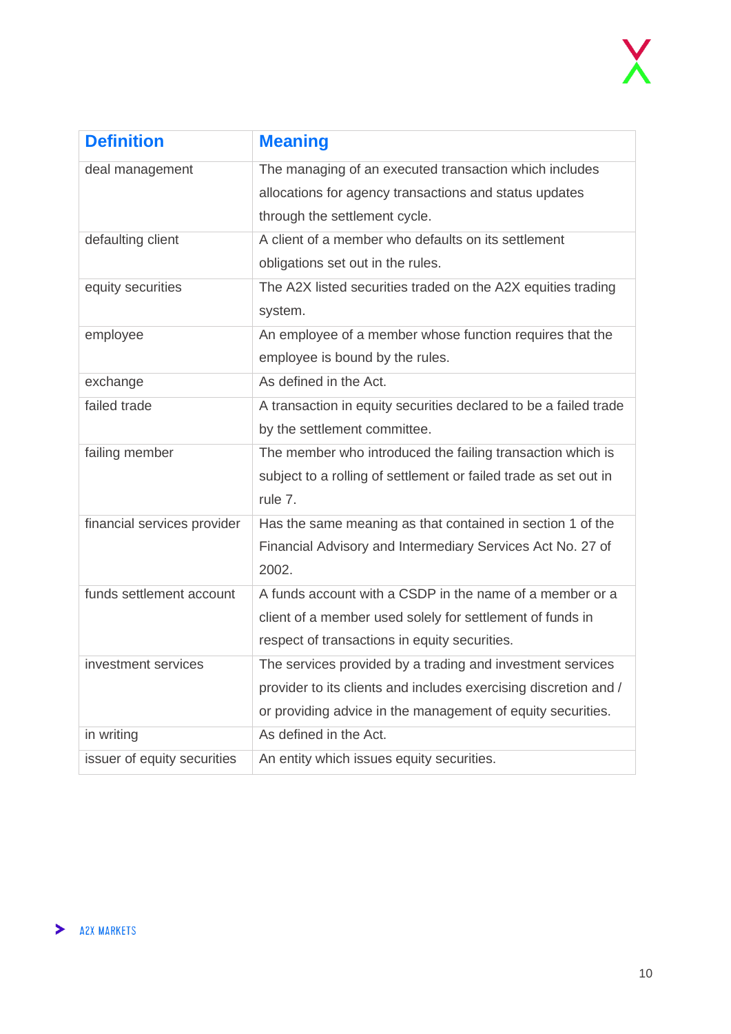

| <b>Definition</b>           | <b>Meaning</b>                                                   |
|-----------------------------|------------------------------------------------------------------|
| deal management             | The managing of an executed transaction which includes           |
|                             | allocations for agency transactions and status updates           |
|                             | through the settlement cycle.                                    |
| defaulting client           | A client of a member who defaults on its settlement              |
|                             | obligations set out in the rules.                                |
| equity securities           | The A2X listed securities traded on the A2X equities trading     |
|                             | system.                                                          |
| employee                    | An employee of a member whose function requires that the         |
|                             | employee is bound by the rules.                                  |
| exchange                    | As defined in the Act.                                           |
| failed trade                | A transaction in equity securities declared to be a failed trade |
|                             | by the settlement committee.                                     |
| failing member              | The member who introduced the failing transaction which is       |
|                             | subject to a rolling of settlement or failed trade as set out in |
|                             | rule 7.                                                          |
| financial services provider | Has the same meaning as that contained in section 1 of the       |
|                             | Financial Advisory and Intermediary Services Act No. 27 of       |
|                             | 2002.                                                            |
| funds settlement account    | A funds account with a CSDP in the name of a member or a         |
|                             | client of a member used solely for settlement of funds in        |
|                             | respect of transactions in equity securities.                    |
| investment services         | The services provided by a trading and investment services       |
|                             | provider to its clients and includes exercising discretion and / |
|                             | or providing advice in the management of equity securities.      |
| in writing                  | As defined in the Act.                                           |
| issuer of equity securities | An entity which issues equity securities.                        |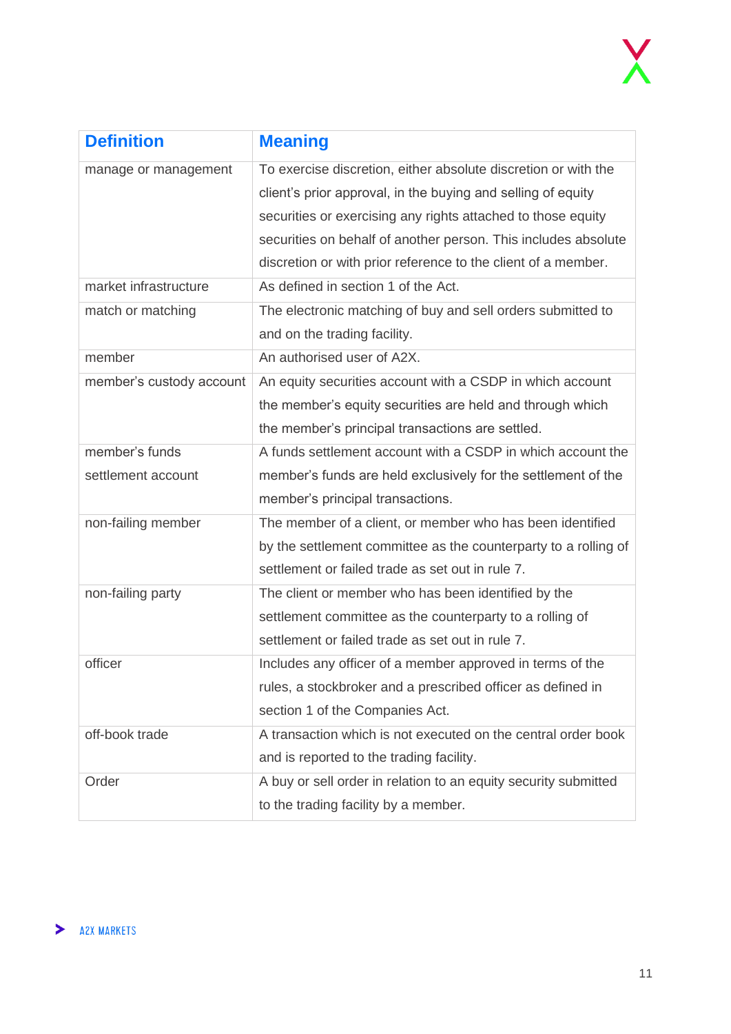

| <b>Definition</b>        | <b>Meaning</b>                                                  |
|--------------------------|-----------------------------------------------------------------|
| manage or management     | To exercise discretion, either absolute discretion or with the  |
|                          | client's prior approval, in the buying and selling of equity    |
|                          | securities or exercising any rights attached to those equity    |
|                          | securities on behalf of another person. This includes absolute  |
|                          | discretion or with prior reference to the client of a member.   |
| market infrastructure    | As defined in section 1 of the Act.                             |
| match or matching        | The electronic matching of buy and sell orders submitted to     |
|                          | and on the trading facility.                                    |
| member                   | An authorised user of A2X.                                      |
| member's custody account | An equity securities account with a CSDP in which account       |
|                          | the member's equity securities are held and through which       |
|                          | the member's principal transactions are settled.                |
| member's funds           | A funds settlement account with a CSDP in which account the     |
| settlement account       | member's funds are held exclusively for the settlement of the   |
|                          | member's principal transactions.                                |
| non-failing member       | The member of a client, or member who has been identified       |
|                          | by the settlement committee as the counterparty to a rolling of |
|                          | settlement or failed trade as set out in rule 7.                |
| non-failing party        | The client or member who has been identified by the             |
|                          | settlement committee as the counterparty to a rolling of        |
|                          | settlement or failed trade as set out in rule 7.                |
| officer                  | Includes any officer of a member approved in terms of the       |
|                          | rules, a stockbroker and a prescribed officer as defined in     |
|                          | section 1 of the Companies Act.                                 |
| off-book trade           | A transaction which is not executed on the central order book   |
|                          | and is reported to the trading facility.                        |
| Order                    | A buy or sell order in relation to an equity security submitted |
|                          | to the trading facility by a member.                            |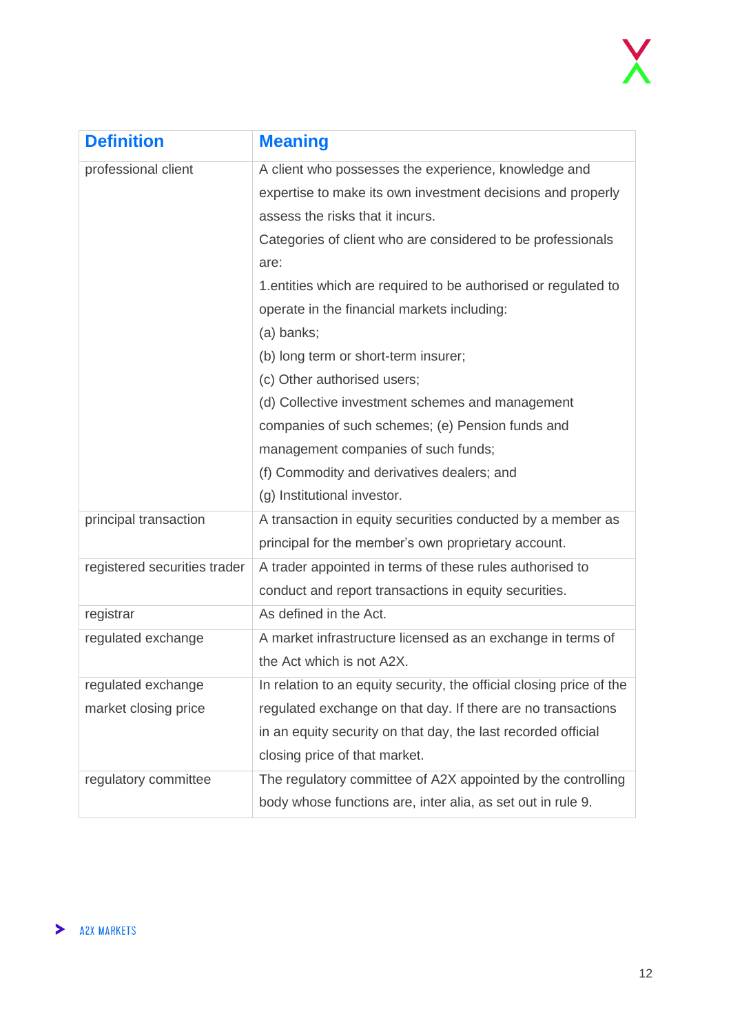

| <b>Definition</b>            | <b>Meaning</b>                                                       |
|------------------------------|----------------------------------------------------------------------|
| professional client          | A client who possesses the experience, knowledge and                 |
|                              | expertise to make its own investment decisions and properly          |
|                              | assess the risks that it incurs.                                     |
|                              | Categories of client who are considered to be professionals          |
|                              | are:                                                                 |
|                              | 1. entities which are required to be authorised or regulated to      |
|                              | operate in the financial markets including:                          |
|                              | (a) banks;                                                           |
|                              | (b) long term or short-term insurer;                                 |
|                              | (c) Other authorised users;                                          |
|                              | (d) Collective investment schemes and management                     |
|                              | companies of such schemes; (e) Pension funds and                     |
|                              | management companies of such funds;                                  |
|                              | (f) Commodity and derivatives dealers; and                           |
|                              | (g) Institutional investor.                                          |
| principal transaction        | A transaction in equity securities conducted by a member as          |
|                              | principal for the member's own proprietary account.                  |
| registered securities trader | A trader appointed in terms of these rules authorised to             |
|                              | conduct and report transactions in equity securities.                |
| registrar                    | As defined in the Act.                                               |
| regulated exchange           | A market infrastructure licensed as an exchange in terms of          |
|                              | the Act which is not A2X.                                            |
| regulated exchange           | In relation to an equity security, the official closing price of the |
| market closing price         | regulated exchange on that day. If there are no transactions         |
|                              | in an equity security on that day, the last recorded official        |
|                              | closing price of that market.                                        |
| regulatory committee         | The regulatory committee of A2X appointed by the controlling         |
|                              | body whose functions are, inter alia, as set out in rule 9.          |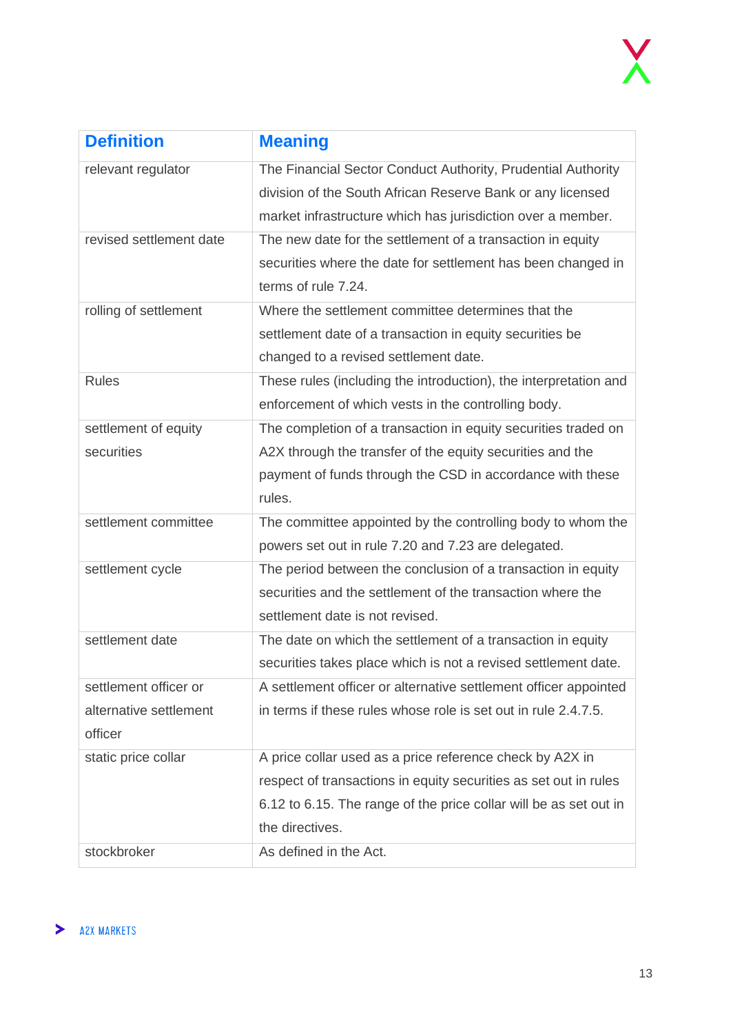| <b>Definition</b>       | <b>Meaning</b>                                                    |
|-------------------------|-------------------------------------------------------------------|
| relevant regulator      | The Financial Sector Conduct Authority, Prudential Authority      |
|                         | division of the South African Reserve Bank or any licensed        |
|                         | market infrastructure which has jurisdiction over a member.       |
| revised settlement date | The new date for the settlement of a transaction in equity        |
|                         | securities where the date for settlement has been changed in      |
|                         | terms of rule 7.24.                                               |
| rolling of settlement   | Where the settlement committee determines that the                |
|                         | settlement date of a transaction in equity securities be          |
|                         | changed to a revised settlement date.                             |
| <b>Rules</b>            | These rules (including the introduction), the interpretation and  |
|                         | enforcement of which vests in the controlling body.               |
| settlement of equity    | The completion of a transaction in equity securities traded on    |
| securities              | A2X through the transfer of the equity securities and the         |
|                         | payment of funds through the CSD in accordance with these         |
|                         | rules.                                                            |
| settlement committee    | The committee appointed by the controlling body to whom the       |
|                         | powers set out in rule 7.20 and 7.23 are delegated.               |
| settlement cycle        | The period between the conclusion of a transaction in equity      |
|                         | securities and the settlement of the transaction where the        |
|                         | settlement date is not revised.                                   |
| settlement date         | The date on which the settlement of a transaction in equity       |
|                         | securities takes place which is not a revised settlement date.    |
| settlement officer or   | A settlement officer or alternative settlement officer appointed  |
| alternative settlement  | in terms if these rules whose role is set out in rule 2.4.7.5.    |
| officer                 |                                                                   |
| static price collar     | A price collar used as a price reference check by A2X in          |
|                         | respect of transactions in equity securities as set out in rules  |
|                         | 6.12 to 6.15. The range of the price collar will be as set out in |
|                         | the directives.                                                   |
| stockbroker             | As defined in the Act.                                            |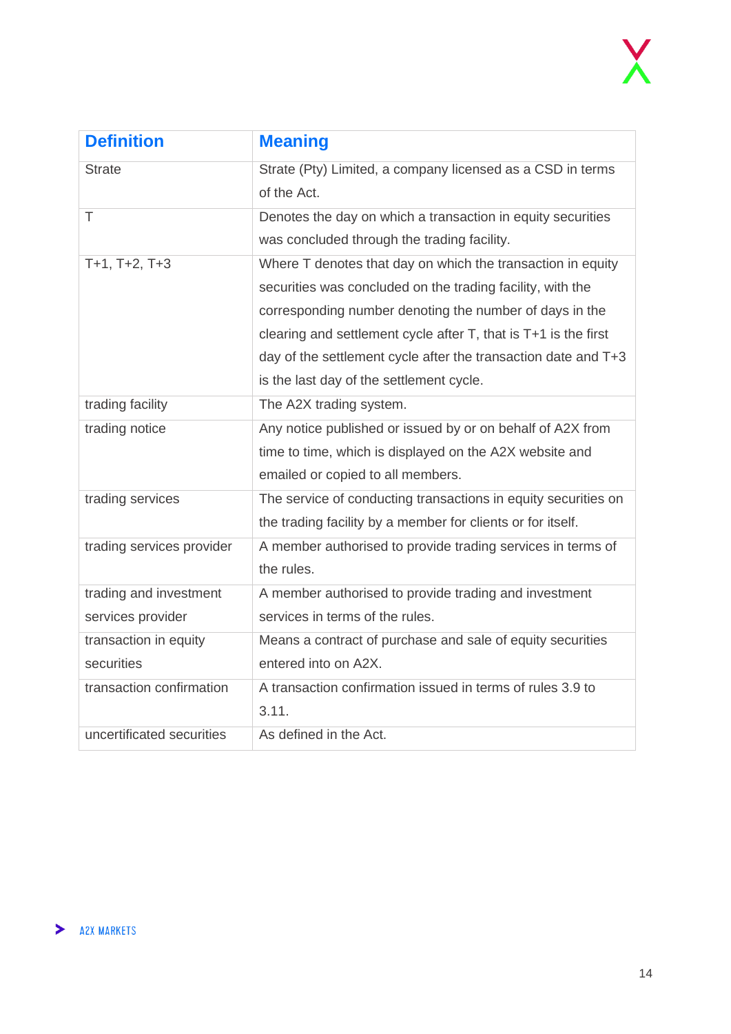| <b>Definition</b>         | <b>Meaning</b>                                                       |
|---------------------------|----------------------------------------------------------------------|
| <b>Strate</b>             | Strate (Pty) Limited, a company licensed as a CSD in terms           |
|                           | of the Act.                                                          |
| T                         | Denotes the day on which a transaction in equity securities          |
|                           | was concluded through the trading facility.                          |
| $T+1$ , $T+2$ , $T+3$     | Where T denotes that day on which the transaction in equity          |
|                           | securities was concluded on the trading facility, with the           |
|                           | corresponding number denoting the number of days in the              |
|                           | clearing and settlement cycle after $T$ , that is $T+1$ is the first |
|                           | day of the settlement cycle after the transaction date and T+3       |
|                           | is the last day of the settlement cycle.                             |
| trading facility          | The A2X trading system.                                              |
| trading notice            | Any notice published or issued by or on behalf of A2X from           |
|                           | time to time, which is displayed on the A2X website and              |
|                           | emailed or copied to all members.                                    |
| trading services          | The service of conducting transactions in equity securities on       |
|                           | the trading facility by a member for clients or for itself.          |
| trading services provider | A member authorised to provide trading services in terms of          |
|                           | the rules.                                                           |
| trading and investment    | A member authorised to provide trading and investment                |
| services provider         | services in terms of the rules.                                      |
| transaction in equity     | Means a contract of purchase and sale of equity securities           |
| securities                | entered into on A2X.                                                 |
| transaction confirmation  | A transaction confirmation issued in terms of rules 3.9 to           |
|                           | 3.11.                                                                |
| uncertificated securities | As defined in the Act.                                               |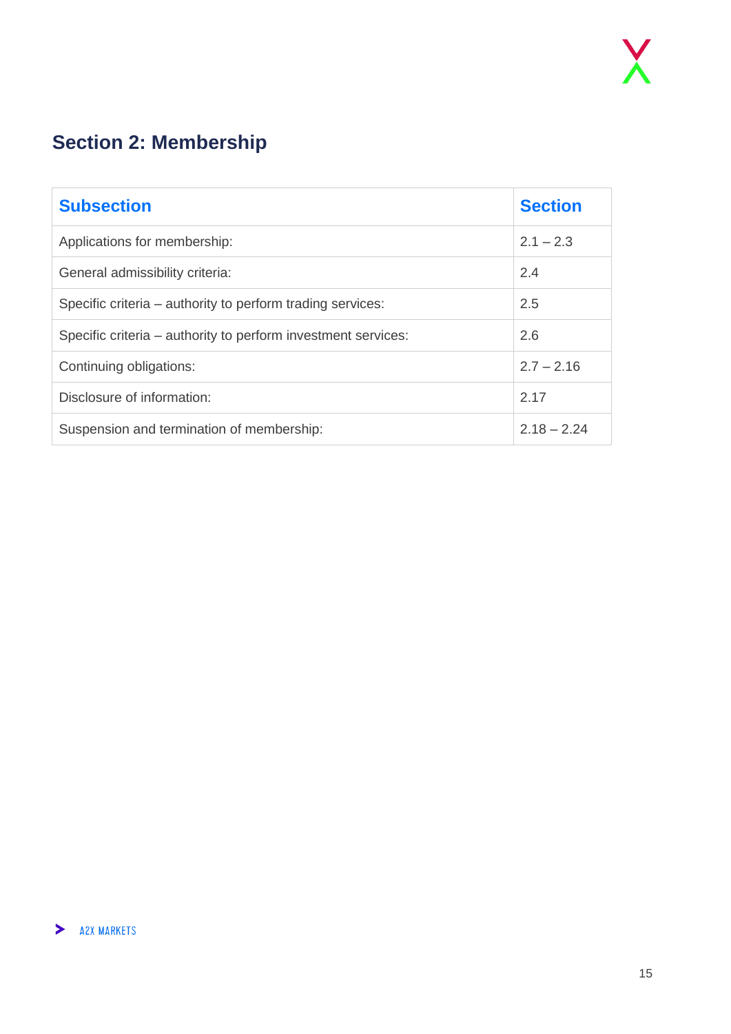## <span id="page-14-0"></span>**Section 2: Membership**

| <b>Subsection</b>                                             | <b>Section</b> |
|---------------------------------------------------------------|----------------|
| Applications for membership:                                  | $2.1 - 2.3$    |
| General admissibility criteria:                               | 2.4            |
| Specific criteria – authority to perform trading services:    | 2.5            |
| Specific criteria – authority to perform investment services: | 2.6            |
| Continuing obligations:                                       | $2.7 - 2.16$   |
| Disclosure of information:                                    | 2.17           |
| Suspension and termination of membership:                     | $2.18 - 2.24$  |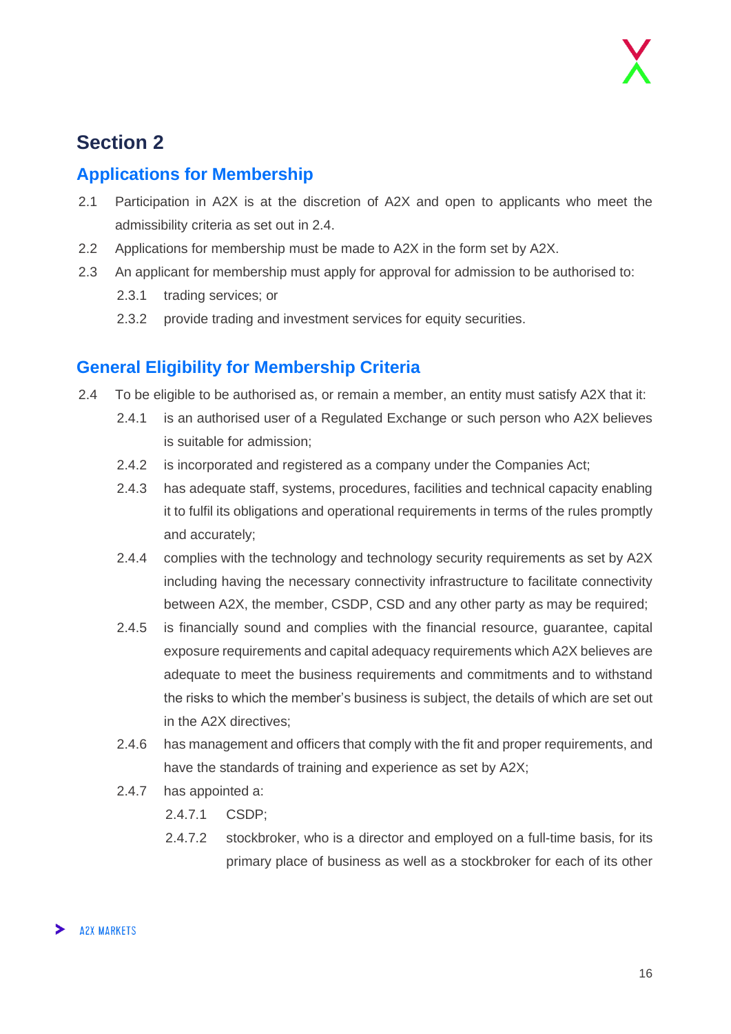## **Section 2**

#### <span id="page-15-0"></span>**Applications for Membership**

- 2.1 Participation in A2X is at the discretion of A2X and open to applicants who meet the admissibility criteria as set out in 2.4.
- 2.2 Applications for membership must be made to A2X in the form set by A2X.
- 2.3 An applicant for membership must apply for approval for admission to be authorised to:
	- 2.3.1 trading services; or
	- 2.3.2 provide trading and investment services for equity securities.

#### <span id="page-15-1"></span>**General Eligibility for Membership Criteria**

- 2.4 To be eligible to be authorised as, or remain a member, an entity must satisfy A2X that it:
	- 2.4.1 is an authorised user of a Regulated Exchange or such person who A2X believes is suitable for admission;
	- 2.4.2 is incorporated and registered as a company under the Companies Act;
	- 2.4.3 has adequate staff, systems, procedures, facilities and technical capacity enabling it to fulfil its obligations and operational requirements in terms of the rules promptly and accurately;
	- 2.4.4 complies with the technology and technology security requirements as set by A2X including having the necessary connectivity infrastructure to facilitate connectivity between A2X, the member, CSDP, CSD and any other party as may be required;
	- 2.4.5 is financially sound and complies with the financial resource, guarantee, capital exposure requirements and capital adequacy requirements which A2X believes are adequate to meet the business requirements and commitments and to withstand the risks to which the member's business is subject, the details of which are set out in the A2X directives;
	- 2.4.6 has management and officers that comply with the fit and proper requirements, and have the standards of training and experience as set by A2X;
	- 2.4.7 has appointed a:
		- 2.4.7.1 CSDP;
		- 2.4.7.2 stockbroker, who is a director and employed on a full-time basis, for its primary place of business as well as a stockbroker for each of its other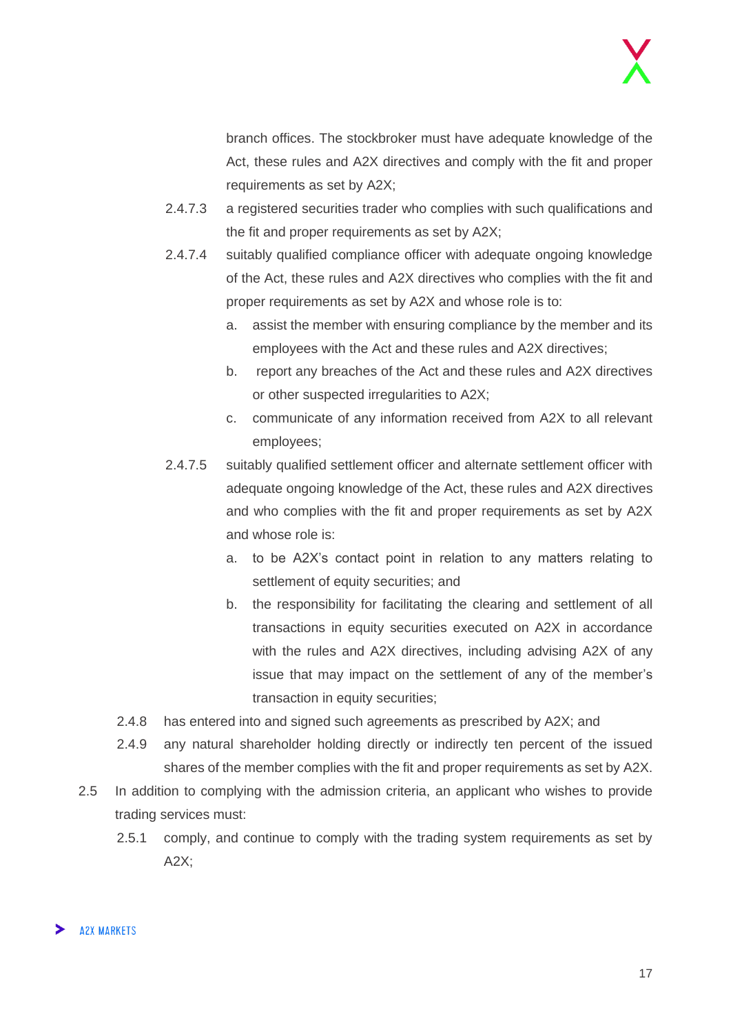branch offices. The stockbroker must have adequate knowledge of the Act, these rules and A2X directives and comply with the fit and proper requirements as set by A2X;

- 2.4.7.3 a registered securities trader who complies with such qualifications and the fit and proper requirements as set by A2X;
- 2.4.7.4 suitably qualified compliance officer with adequate ongoing knowledge of the Act, these rules and A2X directives who complies with the fit and proper requirements as set by A2X and whose role is to:
	- a. assist the member with ensuring compliance by the member and its employees with the Act and these rules and A2X directives;
	- b. report any breaches of the Act and these rules and A2X directives or other suspected irregularities to A2X;
	- c. communicate of any information received from A2X to all relevant employees;
- 2.4.7.5 suitably qualified settlement officer and alternate settlement officer with adequate ongoing knowledge of the Act, these rules and A2X directives and who complies with the fit and proper requirements as set by A2X and whose role is:
	- a. to be A2X's contact point in relation to any matters relating to settlement of equity securities; and
	- b. the responsibility for facilitating the clearing and settlement of all transactions in equity securities executed on A2X in accordance with the rules and A2X directives, including advising A2X of any issue that may impact on the settlement of any of the member's transaction in equity securities;
- 2.4.8 has entered into and signed such agreements as prescribed by A2X; and
- 2.4.9 any natural shareholder holding directly or indirectly ten percent of the issued shares of the member complies with the fit and proper requirements as set by A2X.
- 2.5 In addition to complying with the admission criteria, an applicant who wishes to provide trading services must:
	- 2.5.1 comply, and continue to comply with the trading system requirements as set by A2X;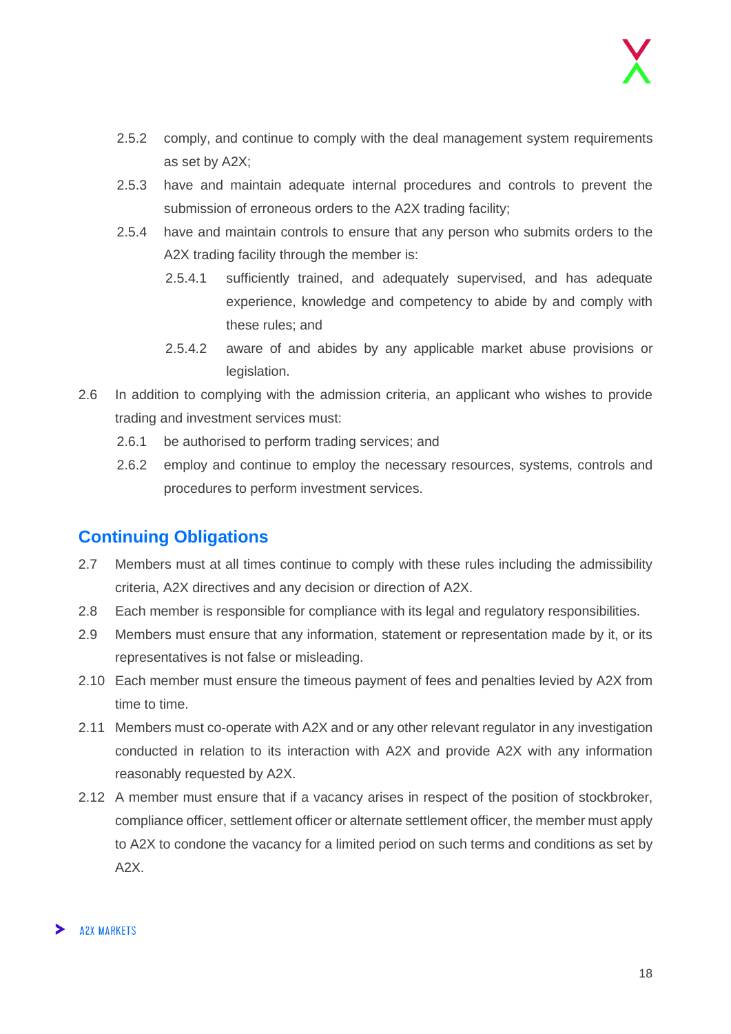- 2.5.2 comply, and continue to comply with the deal management system requirements as set by A2X;
- 2.5.3 have and maintain adequate internal procedures and controls to prevent the submission of erroneous orders to the A2X trading facility;
- 2.5.4 have and maintain controls to ensure that any person who submits orders to the A2X trading facility through the member is:
	- 2.5.4.1 sufficiently trained, and adequately supervised, and has adequate experience, knowledge and competency to abide by and comply with these rules; and
	- 2.5.4.2 aware of and abides by any applicable market abuse provisions or legislation.
- 2.6 In addition to complying with the admission criteria, an applicant who wishes to provide trading and investment services must:
	- 2.6.1 be authorised to perform trading services; and
	- 2.6.2 employ and continue to employ the necessary resources, systems, controls and procedures to perform investment services.

#### <span id="page-17-0"></span>**Continuing Obligations**

- 2.7 Members must at all times continue to comply with these rules including the admissibility criteria, A2X directives and any decision or direction of A2X.
- 2.8 Each member is responsible for compliance with its legal and regulatory responsibilities.
- 2.9 Members must ensure that any information, statement or representation made by it, or its representatives is not false or misleading.
- 2.10 Each member must ensure the timeous payment of fees and penalties levied by A2X from time to time.
- 2.11 Members must co-operate with A2X and or any other relevant regulator in any investigation conducted in relation to its interaction with A2X and provide A2X with any information reasonably requested by A2X.
- 2.12 A member must ensure that if a vacancy arises in respect of the position of stockbroker, compliance officer, settlement officer or alternate settlement officer, the member must apply to A2X to condone the vacancy for a limited period on such terms and conditions as set by A2X.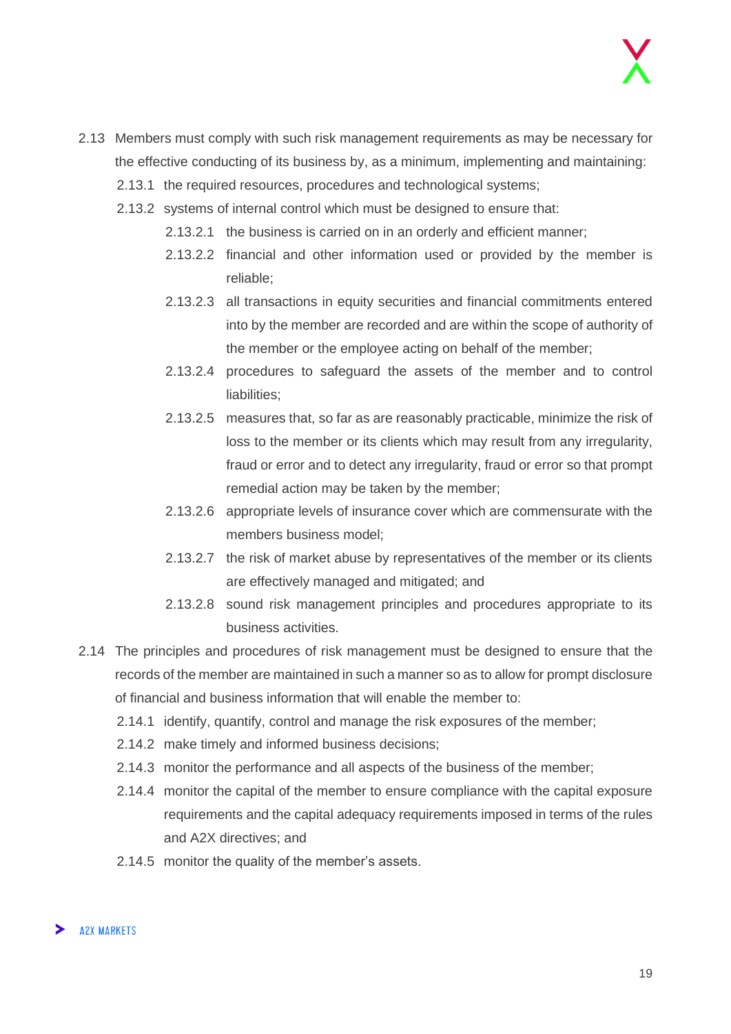- 2.13 Members must comply with such risk management requirements as may be necessary for the effective conducting of its business by, as a minimum, implementing and maintaining:
	- 2.13.1 the required resources, procedures and technological systems;
	- 2.13.2 systems of internal control which must be designed to ensure that:
		- 2.13.2.1 the business is carried on in an orderly and efficient manner;
		- 2.13.2.2 financial and other information used or provided by the member is reliable;
		- 2.13.2.3 all transactions in equity securities and financial commitments entered into by the member are recorded and are within the scope of authority of the member or the employee acting on behalf of the member;
		- 2.13.2.4 procedures to safeguard the assets of the member and to control liabilities;
		- 2.13.2.5 measures that, so far as are reasonably practicable, minimize the risk of loss to the member or its clients which may result from any irregularity, fraud or error and to detect any irregularity, fraud or error so that prompt remedial action may be taken by the member;
		- 2.13.2.6 appropriate levels of insurance cover which are commensurate with the members business model;
		- 2.13.2.7 the risk of market abuse by representatives of the member or its clients are effectively managed and mitigated; and
		- 2.13.2.8 sound risk management principles and procedures appropriate to its business activities.
- 2.14 The principles and procedures of risk management must be designed to ensure that the records of the member are maintained in such a manner so as to allow for prompt disclosure of financial and business information that will enable the member to:
	- 2.14.1 identify, quantify, control and manage the risk exposures of the member;
	- 2.14.2 make timely and informed business decisions;
	- 2.14.3 monitor the performance and all aspects of the business of the member;
	- 2.14.4 monitor the capital of the member to ensure compliance with the capital exposure requirements and the capital adequacy requirements imposed in terms of the rules and A2X directives; and
	- 2.14.5 monitor the quality of the member's assets.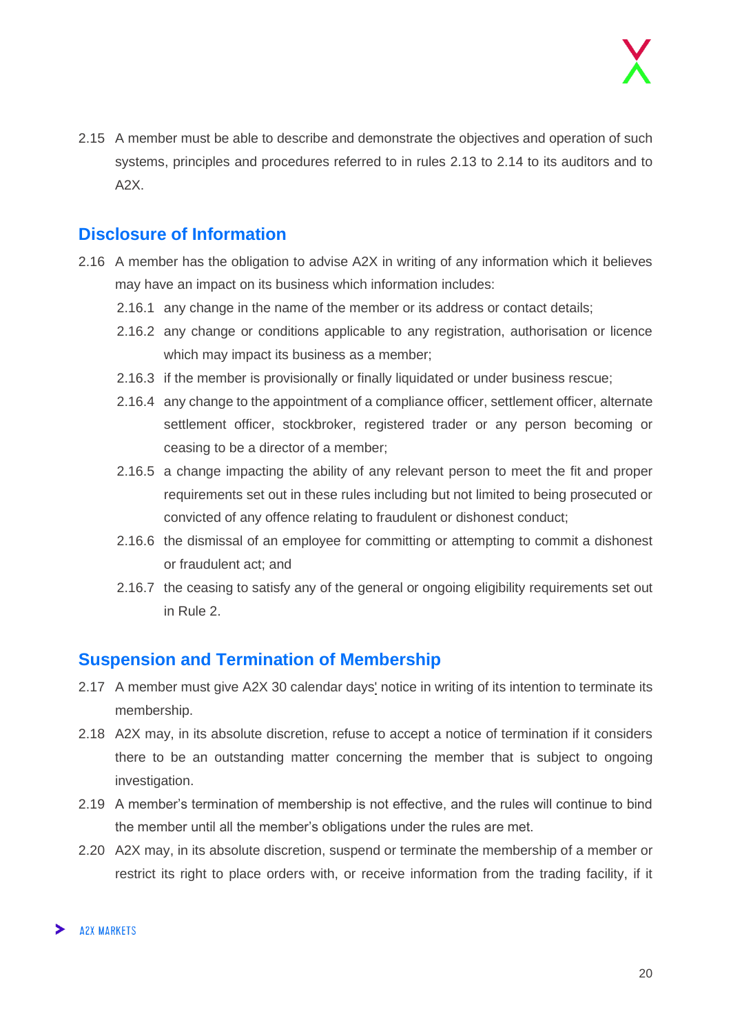2.15 A member must be able to describe and demonstrate the objectives and operation of such systems, principles and procedures referred to in rules 2.13 to 2.14 to its auditors and to A2X.

#### <span id="page-19-0"></span>**Disclosure of Information**

- 2.16 A member has the obligation to advise A2X in writing of any information which it believes may have an impact on its business which information includes:
	- 2.16.1 any change in the name of the member or its address or contact details;
	- 2.16.2 any change or conditions applicable to any registration, authorisation or licence which may impact its business as a member;
	- 2.16.3 if the member is provisionally or finally liquidated or under business rescue;
	- 2.16.4 any change to the appointment of a compliance officer, settlement officer, alternate settlement officer, stockbroker, registered trader or any person becoming or ceasing to be a director of a member;
	- 2.16.5 a change impacting the ability of any relevant person to meet the fit and proper requirements set out in these rules including but not limited to being prosecuted or convicted of any offence relating to fraudulent or dishonest conduct;
	- 2.16.6 the dismissal of an employee for committing or attempting to commit a dishonest or fraudulent act; and
	- 2.16.7 the ceasing to satisfy any of the general or ongoing eligibility requirements set out in Rule 2.

#### <span id="page-19-1"></span>**Suspension and Termination of Membership**

- 2.17 A member must give A2X 30 calendar days' notice in writing of its intention to terminate its membership.
- 2.18 A2X may, in its absolute discretion, refuse to accept a notice of termination if it considers there to be an outstanding matter concerning the member that is subject to ongoing investigation.
- 2.19 A member's termination of membership is not effective, and the rules will continue to bind the member until all the member's obligations under the rules are met.
- 2.20 A2X may, in its absolute discretion, suspend or terminate the membership of a member or restrict its right to place orders with, or receive information from the trading facility, if it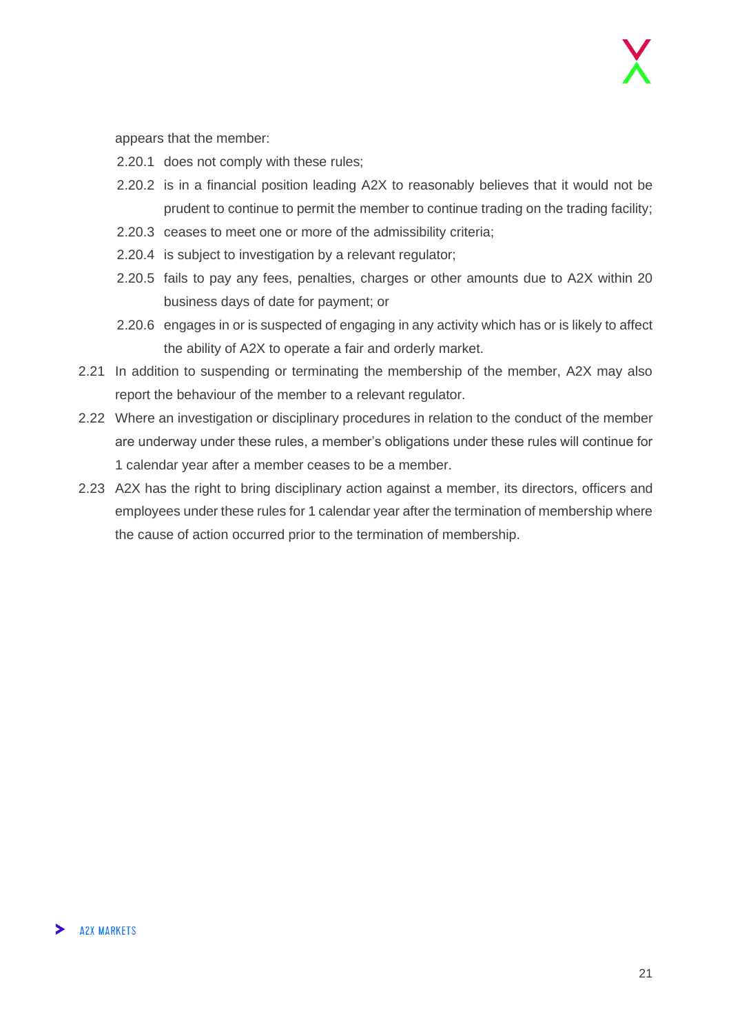appears that the member:

- 2.20.1 does not comply with these rules;
- 2.20.2 is in a financial position leading A2X to reasonably believes that it would not be prudent to continue to permit the member to continue trading on the trading facility;
- 2.20.3 ceases to meet one or more of the admissibility criteria;
- 2.20.4 is subject to investigation by a relevant regulator;
- 2.20.5 fails to pay any fees, penalties, charges or other amounts due to A2X within 20 business days of date for payment; or
- 2.20.6 engages in or is suspected of engaging in any activity which has or is likely to affect the ability of A2X to operate a fair and orderly market.
- 2.21 In addition to suspending or terminating the membership of the member, A2X may also report the behaviour of the member to a relevant regulator.
- 2.22 Where an investigation or disciplinary procedures in relation to the conduct of the member are underway under these rules, a member's obligations under these rules will continue for 1 calendar year after a member ceases to be a member.
- 2.23 A2X has the right to bring disciplinary action against a member, its directors, officers and employees under these rules for 1 calendar year after the termination of membership where the cause of action occurred prior to the termination of membership.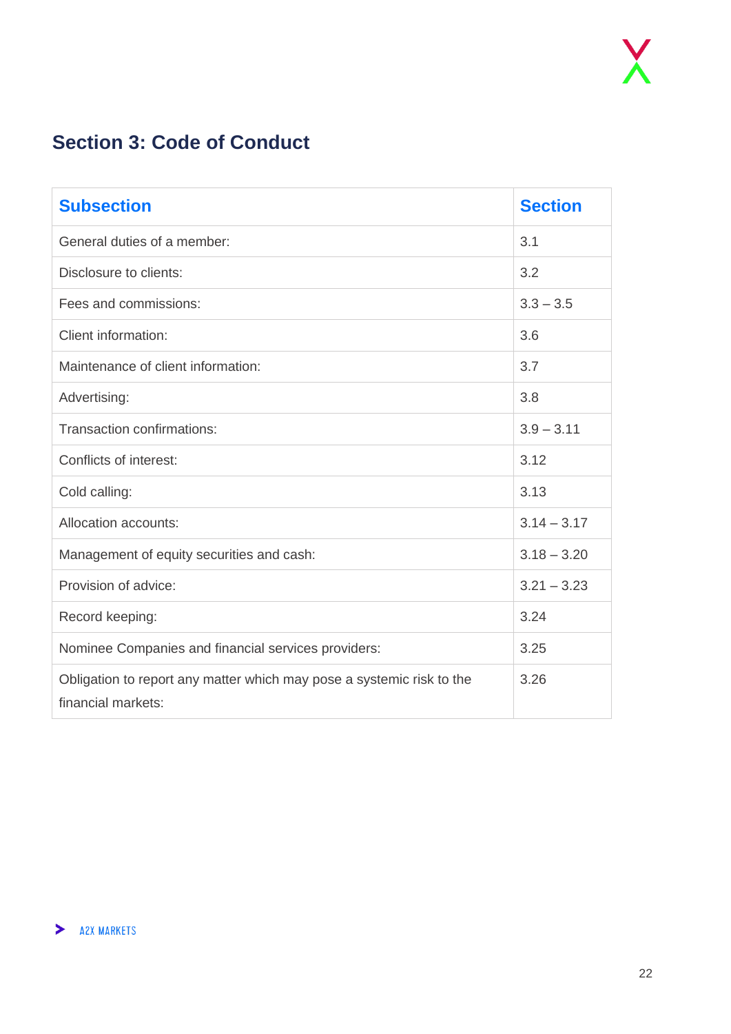## <span id="page-21-0"></span>**Section 3: Code of Conduct**

| <b>Subsection</b>                                                                           | <b>Section</b> |
|---------------------------------------------------------------------------------------------|----------------|
| General duties of a member:                                                                 | 3.1            |
| Disclosure to clients:                                                                      | 3.2            |
| Fees and commissions:                                                                       | $3.3 - 3.5$    |
| <b>Client information:</b>                                                                  | 3.6            |
| Maintenance of client information:                                                          | 3.7            |
| Advertising:                                                                                | 3.8            |
| Transaction confirmations:                                                                  | $3.9 - 3.11$   |
| Conflicts of interest:                                                                      | 3.12           |
| Cold calling:                                                                               | 3.13           |
| Allocation accounts:                                                                        | $3.14 - 3.17$  |
| Management of equity securities and cash:                                                   | $3.18 - 3.20$  |
| Provision of advice:                                                                        | $3.21 - 3.23$  |
| Record keeping:                                                                             | 3.24           |
| Nominee Companies and financial services providers:                                         | 3.25           |
| Obligation to report any matter which may pose a systemic risk to the<br>financial markets: | 3.26           |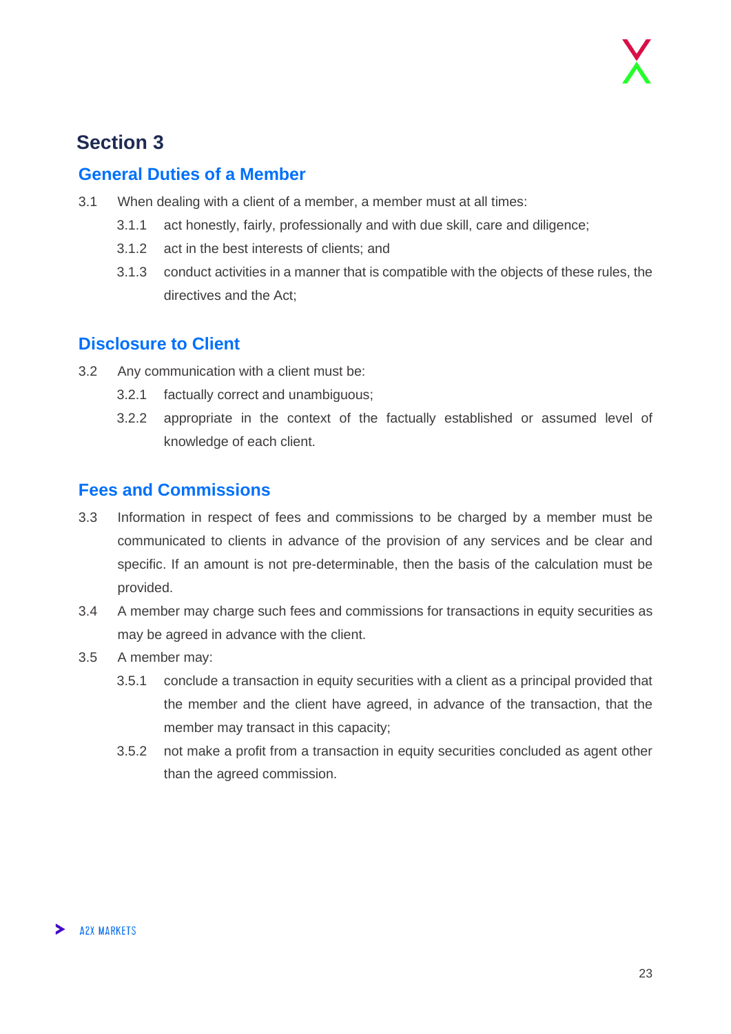## **Section 3**

#### <span id="page-22-0"></span>**General Duties of a Member**

- 3.1 When dealing with a client of a member, a member must at all times:
	- 3.1.1 act honestly, fairly, professionally and with due skill, care and diligence;
	- 3.1.2 act in the best interests of clients; and
	- 3.1.3 conduct activities in a manner that is compatible with the objects of these rules, the directives and the Act;

#### <span id="page-22-1"></span>**Disclosure to Client**

- 3.2 Any communication with a client must be:
	- 3.2.1 factually correct and unambiguous;
	- 3.2.2 appropriate in the context of the factually established or assumed level of knowledge of each client.

#### <span id="page-22-2"></span>**Fees and Commissions**

- 3.3 Information in respect of fees and commissions to be charged by a member must be communicated to clients in advance of the provision of any services and be clear and specific. If an amount is not pre-determinable, then the basis of the calculation must be provided.
- 3.4 A member may charge such fees and commissions for transactions in equity securities as may be agreed in advance with the client.
- 3.5 A member may:
	- 3.5.1 conclude a transaction in equity securities with a client as a principal provided that the member and the client have agreed, in advance of the transaction, that the member may transact in this capacity;
	- 3.5.2 not make a profit from a transaction in equity securities concluded as agent other than the agreed commission.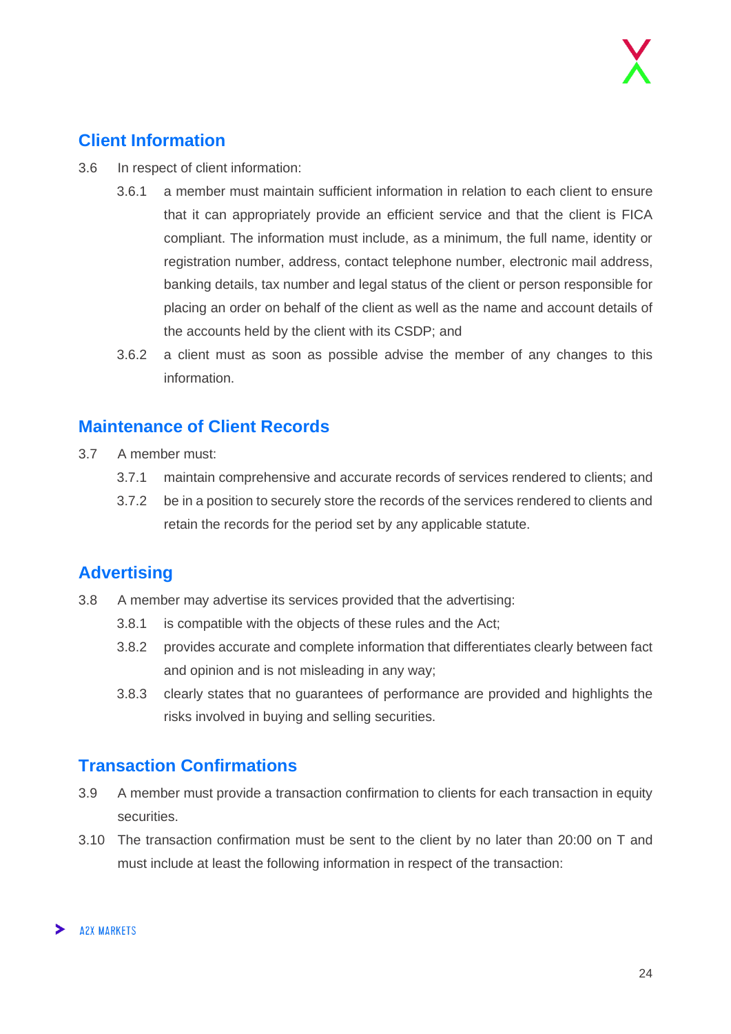#### <span id="page-23-0"></span>**Client Information**

- 3.6 In respect of client information:
	- 3.6.1 a member must maintain sufficient information in relation to each client to ensure that it can appropriately provide an efficient service and that the client is FICA compliant. The information must include, as a minimum, the full name, identity or registration number, address, contact telephone number, electronic mail address, banking details, tax number and legal status of the client or person responsible for placing an order on behalf of the client as well as the name and account details of the accounts held by the client with its CSDP; and
	- 3.6.2 a client must as soon as possible advise the member of any changes to this information.

#### <span id="page-23-1"></span>**Maintenance of Client Records**

- 3.7 A member must:
	- 3.7.1 maintain comprehensive and accurate records of services rendered to clients; and
	- 3.7.2 be in a position to securely store the records of the services rendered to clients and retain the records for the period set by any applicable statute.

#### <span id="page-23-2"></span>**Advertising**

- 3.8 A member may advertise its services provided that the advertising:
	- 3.8.1 is compatible with the objects of these rules and the Act;
	- 3.8.2 provides accurate and complete information that differentiates clearly between fact and opinion and is not misleading in any way;
	- 3.8.3 clearly states that no guarantees of performance are provided and highlights the risks involved in buying and selling securities.

#### <span id="page-23-3"></span>**Transaction Confirmations**

- 3.9 A member must provide a transaction confirmation to clients for each transaction in equity securities.
- 3.10 The transaction confirmation must be sent to the client by no later than 20:00 on T and must include at least the following information in respect of the transaction: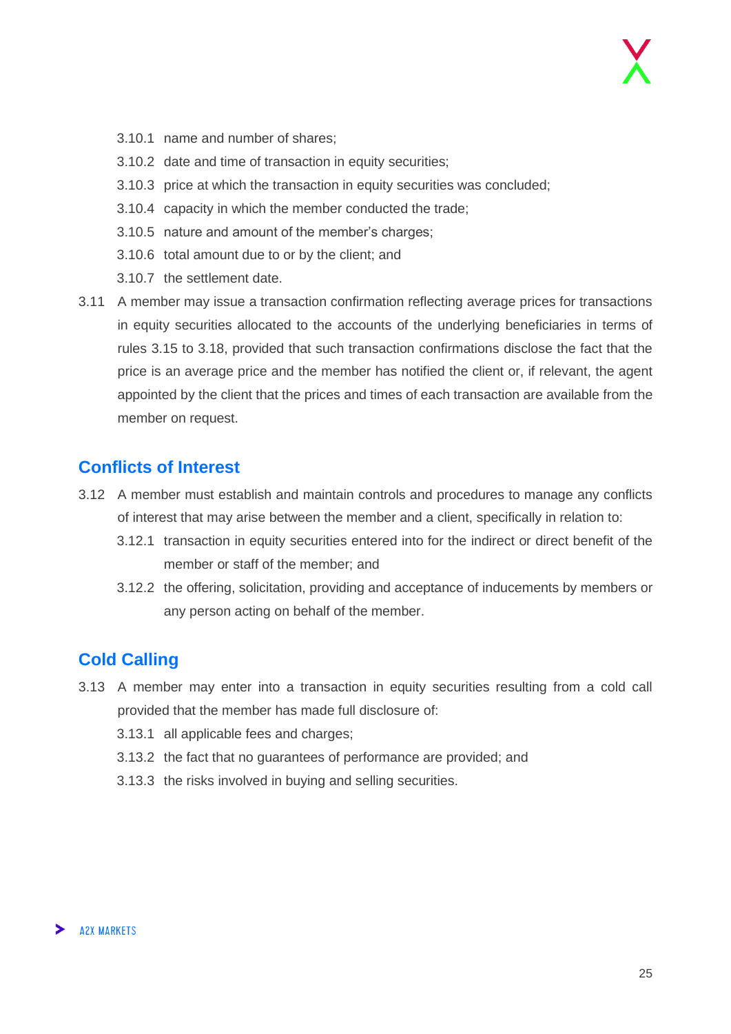- 3.10.1 name and number of shares;
- 3.10.2 date and time of transaction in equity securities;
- 3.10.3 price at which the transaction in equity securities was concluded;
- 3.10.4 capacity in which the member conducted the trade;
- 3.10.5 nature and amount of the member's charges;
- 3.10.6 total amount due to or by the client; and
- 3.10.7 the settlement date.
- 3.11 A member may issue a transaction confirmation reflecting average prices for transactions in equity securities allocated to the accounts of the underlying beneficiaries in terms of rules 3.15 to 3.18, provided that such transaction confirmations disclose the fact that the price is an average price and the member has notified the client or, if relevant, the agent appointed by the client that the prices and times of each transaction are available from the member on request.

#### <span id="page-24-0"></span>**Conflicts of Interest**

- 3.12 A member must establish and maintain controls and procedures to manage any conflicts of interest that may arise between the member and a client, specifically in relation to:
	- 3.12.1 transaction in equity securities entered into for the indirect or direct benefit of the member or staff of the member; and
	- 3.12.2 the offering, solicitation, providing and acceptance of inducements by members or any person acting on behalf of the member.

#### <span id="page-24-1"></span>**Cold Calling**

- 3.13 A member may enter into a transaction in equity securities resulting from a cold call provided that the member has made full disclosure of:
	- 3.13.1 all applicable fees and charges;
	- 3.13.2 the fact that no guarantees of performance are provided; and
	- 3.13.3 the risks involved in buying and selling securities.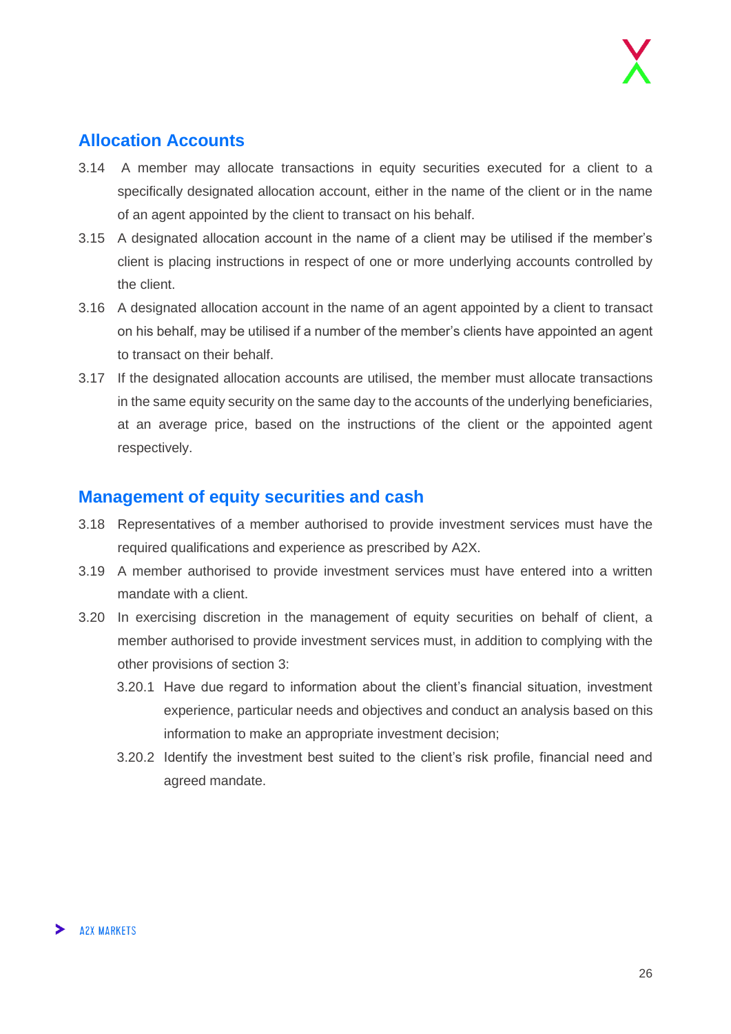#### <span id="page-25-0"></span>**Allocation Accounts**

- 3.14 A member may allocate transactions in equity securities executed for a client to a specifically designated allocation account, either in the name of the client or in the name of an agent appointed by the client to transact on his behalf.
- 3.15 A designated allocation account in the name of a client may be utilised if the member's client is placing instructions in respect of one or more underlying accounts controlled by the client.
- 3.16 A designated allocation account in the name of an agent appointed by a client to transact on his behalf, may be utilised if a number of the member's clients have appointed an agent to transact on their behalf.
- 3.17 If the designated allocation accounts are utilised, the member must allocate transactions in the same equity security on the same day to the accounts of the underlying beneficiaries, at an average price, based on the instructions of the client or the appointed agent respectively.

#### <span id="page-25-1"></span>**Management of equity securities and cash**

- 3.18 Representatives of a member authorised to provide investment services must have the required qualifications and experience as prescribed by A2X.
- 3.19 A member authorised to provide investment services must have entered into a written mandate with a client.
- 3.20 In exercising discretion in the management of equity securities on behalf of client, a member authorised to provide investment services must, in addition to complying with the other provisions of section 3:
	- 3.20.1 Have due regard to information about the client's financial situation, investment experience, particular needs and objectives and conduct an analysis based on this information to make an appropriate investment decision;
	- 3.20.2 Identify the investment best suited to the client's risk profile, financial need and agreed mandate.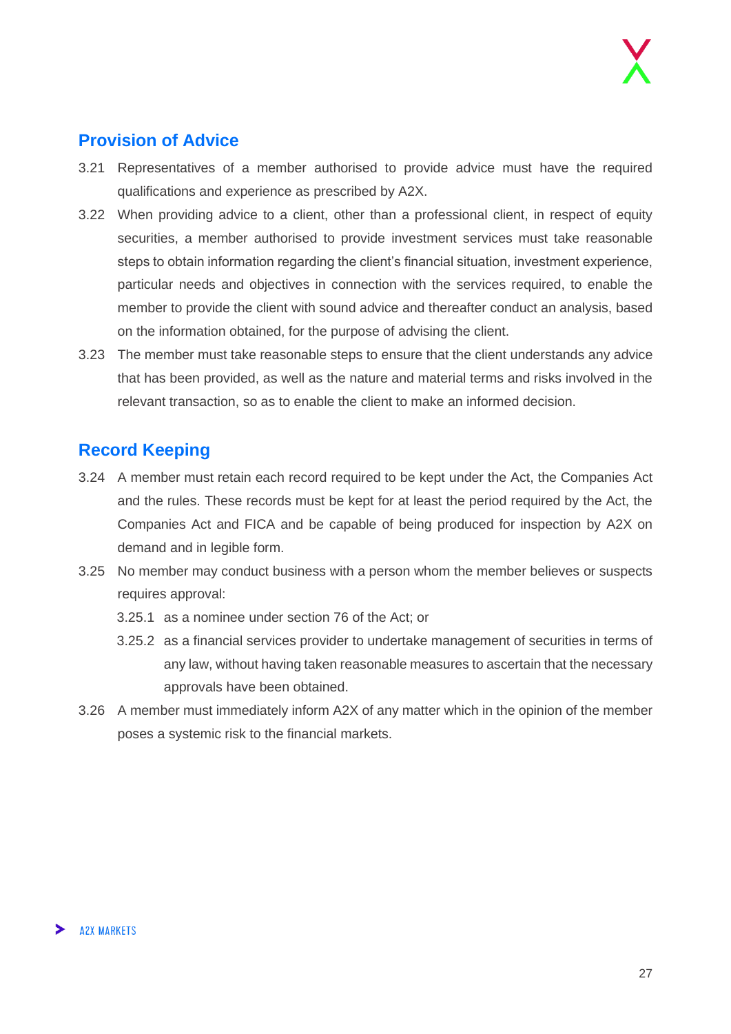#### <span id="page-26-0"></span>**Provision of Advice**

- 3.21 Representatives of a member authorised to provide advice must have the required qualifications and experience as prescribed by A2X.
- 3.22 When providing advice to a client, other than a professional client, in respect of equity securities, a member authorised to provide investment services must take reasonable steps to obtain information regarding the client's financial situation, investment experience, particular needs and objectives in connection with the services required, to enable the member to provide the client with sound advice and thereafter conduct an analysis, based on the information obtained, for the purpose of advising the client.
- 3.23 The member must take reasonable steps to ensure that the client understands any advice that has been provided, as well as the nature and material terms and risks involved in the relevant transaction, so as to enable the client to make an informed decision.

#### <span id="page-26-1"></span>**Record Keeping**

- 3.24 A member must retain each record required to be kept under the Act, the Companies Act and the rules. These records must be kept for at least the period required by the Act, the Companies Act and FICA and be capable of being produced for inspection by A2X on demand and in legible form.
- 3.25 No member may conduct business with a person whom the member believes or suspects requires approval:
	- 3.25.1 as a nominee under section 76 of the Act; or
	- 3.25.2 as a financial services provider to undertake management of securities in terms of any law, without having taken reasonable measures to ascertain that the necessary approvals have been obtained.
- 3.26 A member must immediately inform A2X of any matter which in the opinion of the member poses a systemic risk to the financial markets.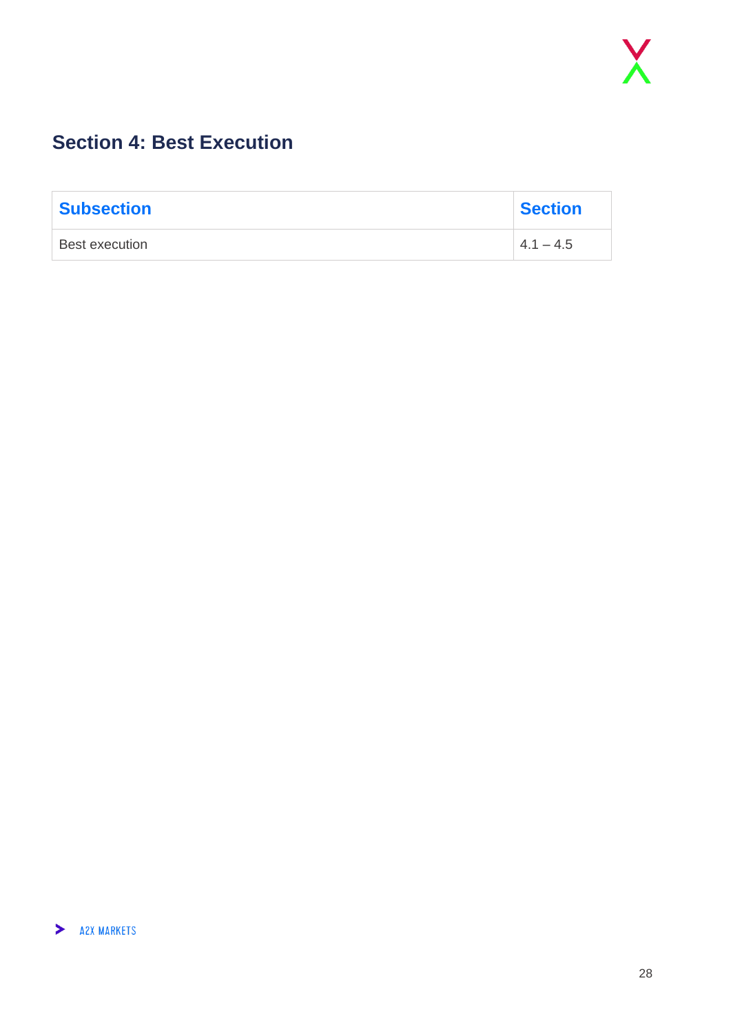## <span id="page-27-0"></span>**Section 4: Best Execution**

| <b>Subsection</b> | <b>Section</b> |
|-------------------|----------------|
| Best execution    | $4.1 - 4.5$    |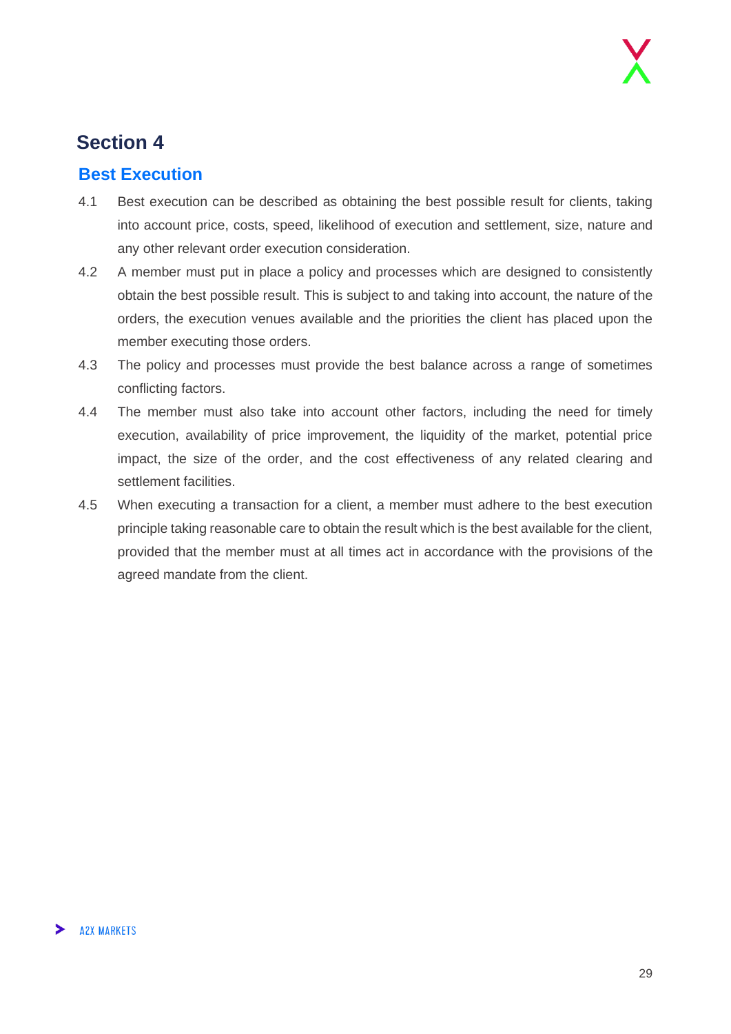### **Section 4**

#### <span id="page-28-0"></span>**Best Execution**

- 4.1 Best execution can be described as obtaining the best possible result for clients, taking into account price, costs, speed, likelihood of execution and settlement, size, nature and any other relevant order execution consideration.
- 4.2 A member must put in place a policy and processes which are designed to consistently obtain the best possible result. This is subject to and taking into account, the nature of the orders, the execution venues available and the priorities the client has placed upon the member executing those orders.
- 4.3 The policy and processes must provide the best balance across a range of sometimes conflicting factors.
- 4.4 The member must also take into account other factors, including the need for timely execution, availability of price improvement, the liquidity of the market, potential price impact, the size of the order, and the cost effectiveness of any related clearing and settlement facilities.
- 4.5 When executing a transaction for a client, a member must adhere to the best execution principle taking reasonable care to obtain the result which is the best available for the client, provided that the member must at all times act in accordance with the provisions of the agreed mandate from the client.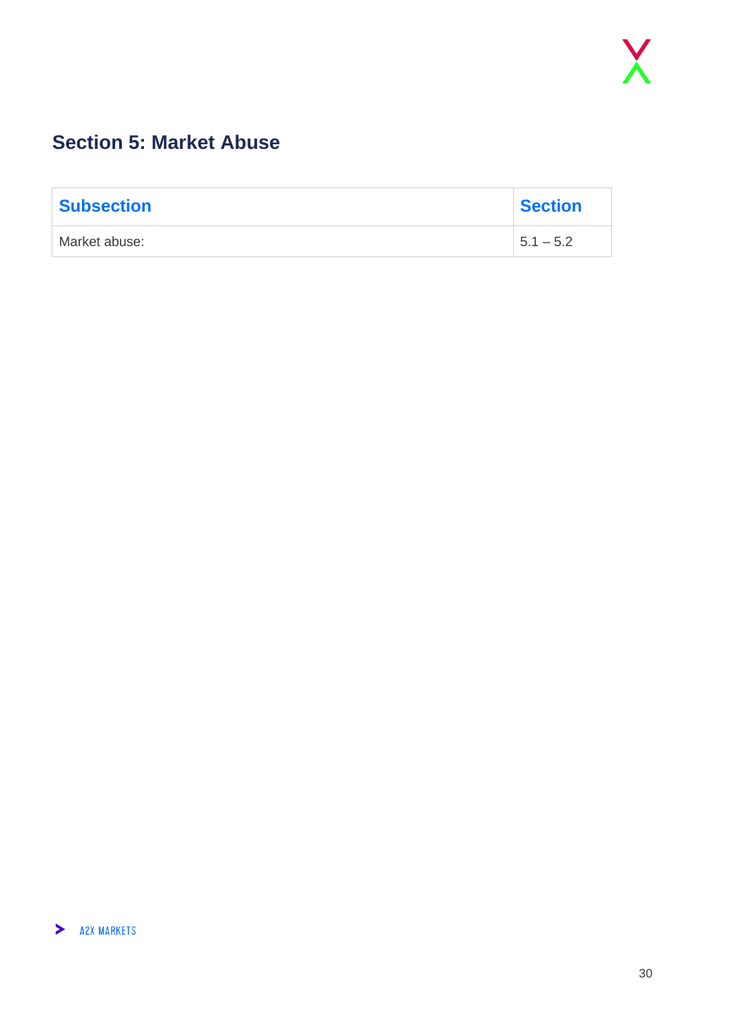## <span id="page-29-0"></span>**Section 5: Market Abuse**

| <b>Subsection</b> | <b>Section</b> |
|-------------------|----------------|
| Market abuse:     | $1, 5.1 - 5.2$ |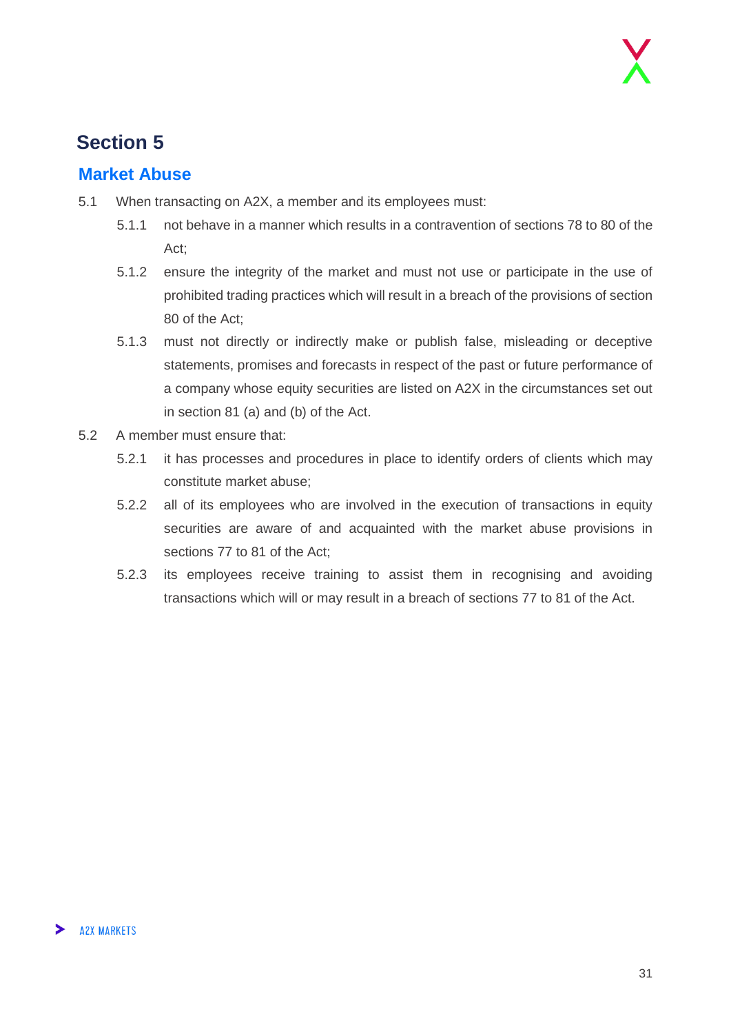## **Section 5**

#### <span id="page-30-0"></span>**Market Abuse**

- 5.1 When transacting on A2X, a member and its employees must:
	- 5.1.1 not behave in a manner which results in a contravention of sections 78 to 80 of the Act;
	- 5.1.2 ensure the integrity of the market and must not use or participate in the use of prohibited trading practices which will result in a breach of the provisions of section 80 of the Act;
	- 5.1.3 must not directly or indirectly make or publish false, misleading or deceptive statements, promises and forecasts in respect of the past or future performance of a company whose equity securities are listed on A2X in the circumstances set out in section 81 (a) and (b) of the Act.
- 5.2 A member must ensure that:
	- 5.2.1 it has processes and procedures in place to identify orders of clients which may constitute market abuse;
	- 5.2.2 all of its employees who are involved in the execution of transactions in equity securities are aware of and acquainted with the market abuse provisions in sections 77 to 81 of the Act;
	- 5.2.3 its employees receive training to assist them in recognising and avoiding transactions which will or may result in a breach of sections 77 to 81 of the Act.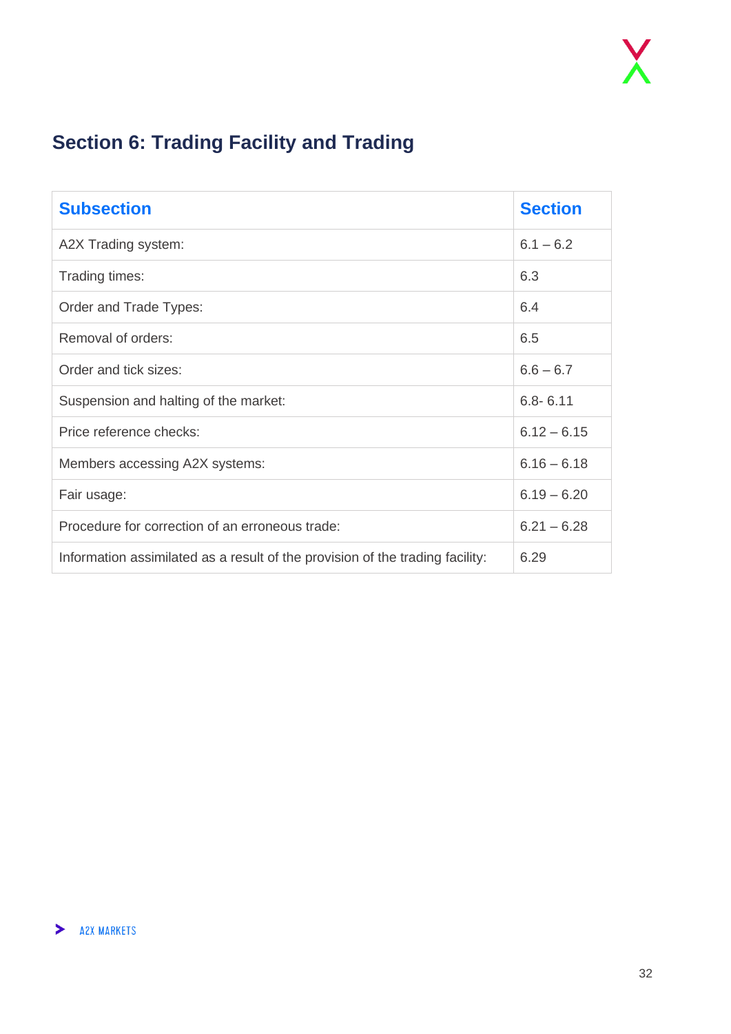## <span id="page-31-0"></span>**Section 6: Trading Facility and Trading**

| <b>Subsection</b>                                                             | <b>Section</b> |
|-------------------------------------------------------------------------------|----------------|
| A2X Trading system:                                                           | $6.1 - 6.2$    |
| Trading times:                                                                | 6.3            |
| Order and Trade Types:                                                        | 6.4            |
| Removal of orders:                                                            | 6.5            |
| Order and tick sizes:                                                         | $6.6 - 6.7$    |
| Suspension and halting of the market:                                         | $6.8 - 6.11$   |
| Price reference checks:                                                       | $6.12 - 6.15$  |
| Members accessing A2X systems:                                                | $6.16 - 6.18$  |
| Fair usage:                                                                   | $6.19 - 6.20$  |
| Procedure for correction of an erroneous trade:                               | $6.21 - 6.28$  |
| Information assimilated as a result of the provision of the trading facility: | 6.29           |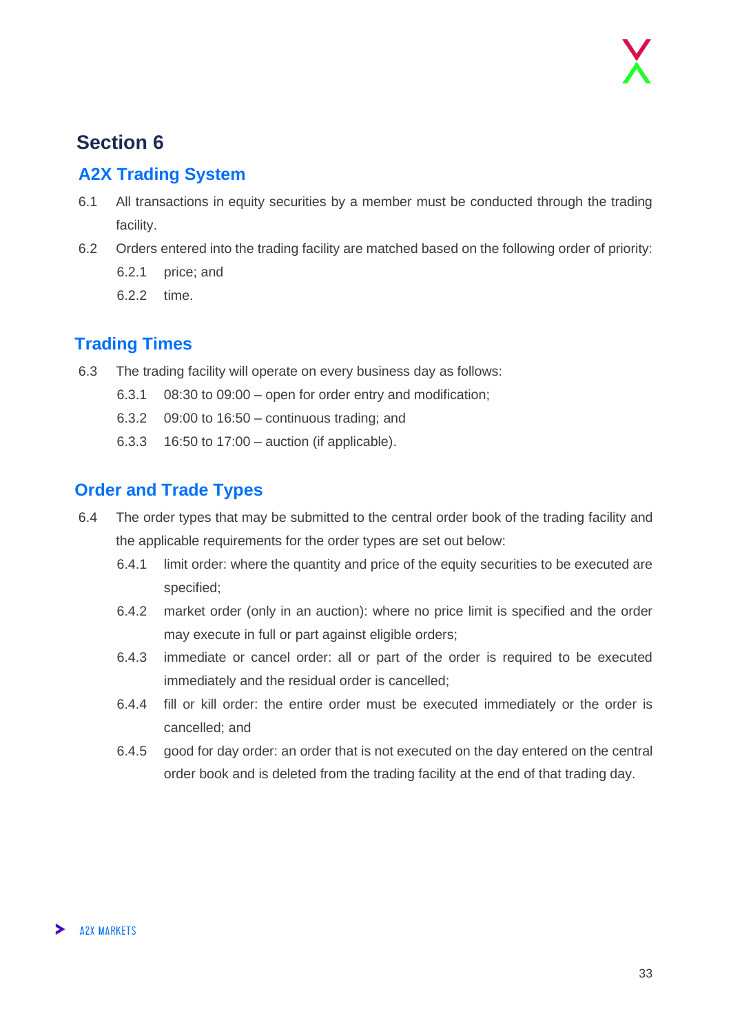## **Section 6**

#### <span id="page-32-0"></span>**A2X Trading System**

- 6.1 All transactions in equity securities by a member must be conducted through the trading facility.
- 6.2 Orders entered into the trading facility are matched based on the following order of priority:
	- 6.2.1 price; and
	- 6.2.2 time.

#### <span id="page-32-1"></span>**Trading Times**

- 6.3 The trading facility will operate on every business day as follows:
	- 6.3.1 08:30 to 09:00 open for order entry and modification;
	- 6.3.2 09:00 to 16:50 continuous trading; and
	- 6.3.3 16:50 to 17:00 auction (if applicable).

#### <span id="page-32-2"></span>**Order and Trade Types**

- 6.4 The order types that may be submitted to the central order book of the trading facility and the applicable requirements for the order types are set out below:
	- 6.4.1 limit order: where the quantity and price of the equity securities to be executed are specified;
	- 6.4.2 market order (only in an auction): where no price limit is specified and the order may execute in full or part against eligible orders;
	- 6.4.3 immediate or cancel order: all or part of the order is required to be executed immediately and the residual order is cancelled;
	- 6.4.4 fill or kill order: the entire order must be executed immediately or the order is cancelled; and
	- 6.4.5 good for day order: an order that is not executed on the day entered on the central order book and is deleted from the trading facility at the end of that trading day.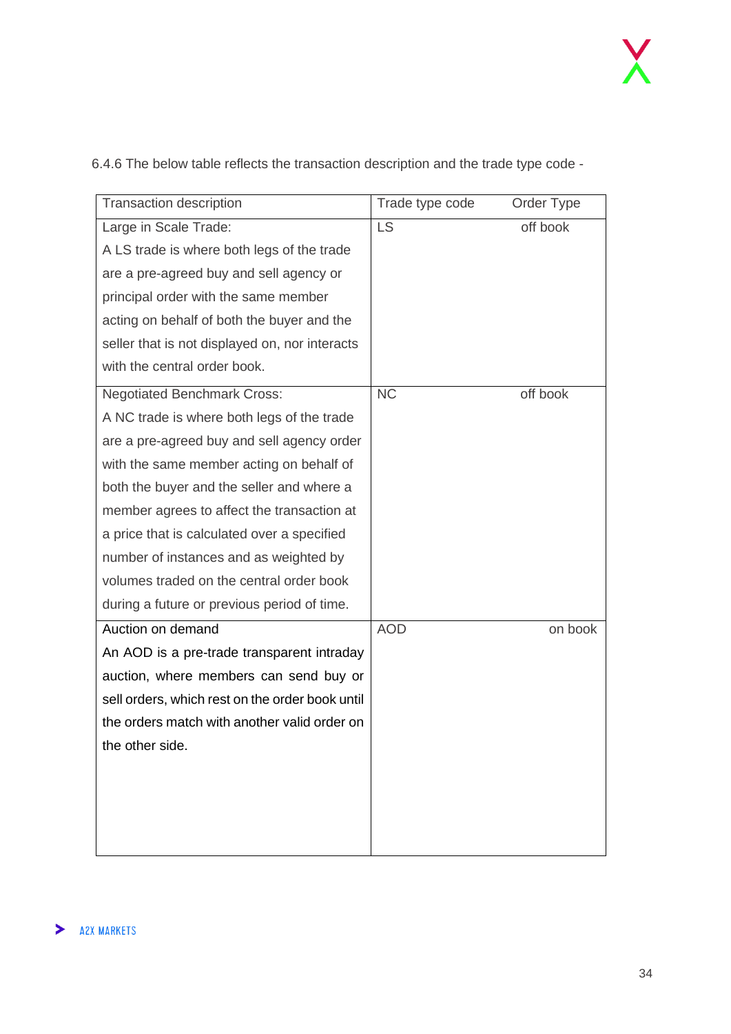| <b>Transaction description</b>                  | Trade type code | Order Type |
|-------------------------------------------------|-----------------|------------|
| Large in Scale Trade:                           | <b>LS</b>       | off book   |
| A LS trade is where both legs of the trade      |                 |            |
| are a pre-agreed buy and sell agency or         |                 |            |
| principal order with the same member            |                 |            |
| acting on behalf of both the buyer and the      |                 |            |
| seller that is not displayed on, nor interacts  |                 |            |
| with the central order book.                    |                 |            |
| <b>Negotiated Benchmark Cross:</b>              | <b>NC</b>       | off book   |
| A NC trade is where both legs of the trade      |                 |            |
| are a pre-agreed buy and sell agency order      |                 |            |
| with the same member acting on behalf of        |                 |            |
| both the buyer and the seller and where a       |                 |            |
| member agrees to affect the transaction at      |                 |            |
| a price that is calculated over a specified     |                 |            |
| number of instances and as weighted by          |                 |            |
| volumes traded on the central order book        |                 |            |
| during a future or previous period of time.     |                 |            |
| Auction on demand                               | <b>AOD</b>      | on book    |
| An AOD is a pre-trade transparent intraday      |                 |            |
| auction, where members can send buy or          |                 |            |
| sell orders, which rest on the order book until |                 |            |
| the orders match with another valid order on    |                 |            |
| the other side.                                 |                 |            |
|                                                 |                 |            |
|                                                 |                 |            |
|                                                 |                 |            |
|                                                 |                 |            |

6.4.6 The below table reflects the transaction description and the trade type code -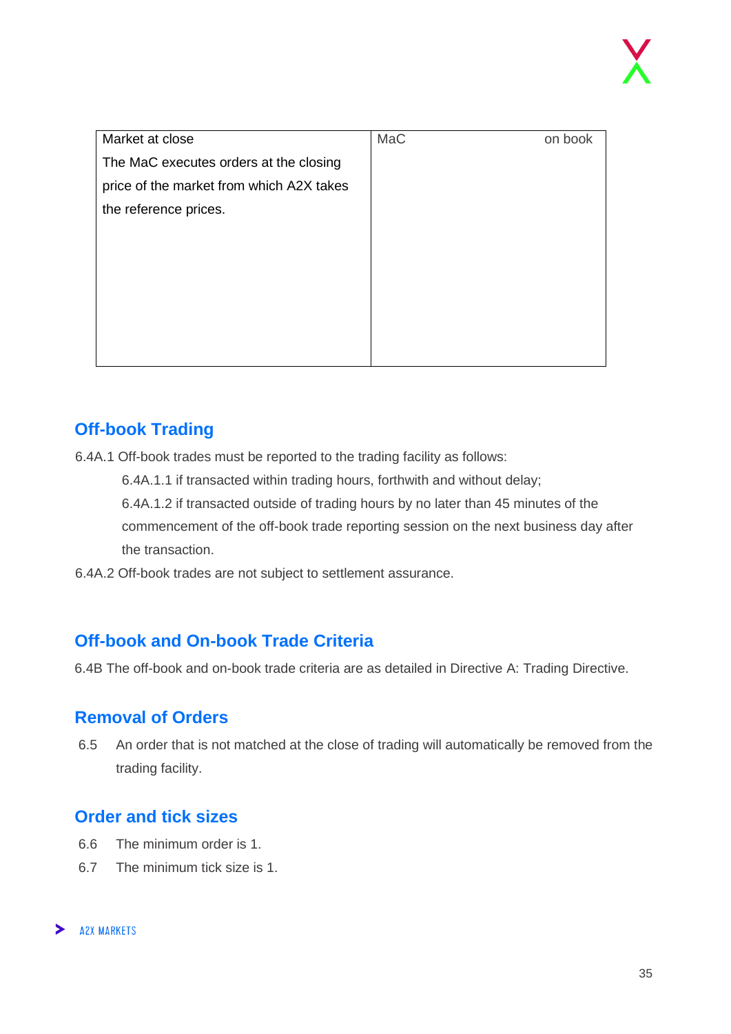| Market at close                          | MaC | on book |
|------------------------------------------|-----|---------|
| The MaC executes orders at the closing   |     |         |
| price of the market from which A2X takes |     |         |
| the reference prices.                    |     |         |
|                                          |     |         |
|                                          |     |         |
|                                          |     |         |
|                                          |     |         |
|                                          |     |         |
|                                          |     |         |
|                                          |     |         |

#### <span id="page-34-0"></span>**Off-book Trading**

6.4A.1 Off-book trades must be reported to the trading facility as follows:

6.4A.1.1 if transacted within trading hours, forthwith and without delay;

6.4A.1.2 if transacted outside of trading hours by no later than 45 minutes of the commencement of the off-book trade reporting session on the next business day after the transaction.

6.4A.2 Off-book trades are not subject to settlement assurance.

#### <span id="page-34-1"></span>**Off-book and On-book Trade Criteria**

6.4B The off-book and on-book trade criteria are as detailed in Directive A: Trading Directive.

#### <span id="page-34-2"></span>**Removal of Orders**

6.5 An order that is not matched at the close of trading will automatically be removed from the trading facility.

#### <span id="page-34-3"></span>**Order and tick sizes**

- 6.6 The minimum order is 1.
- 6.7 The minimum tick size is 1.

#### **A2X MARKETS**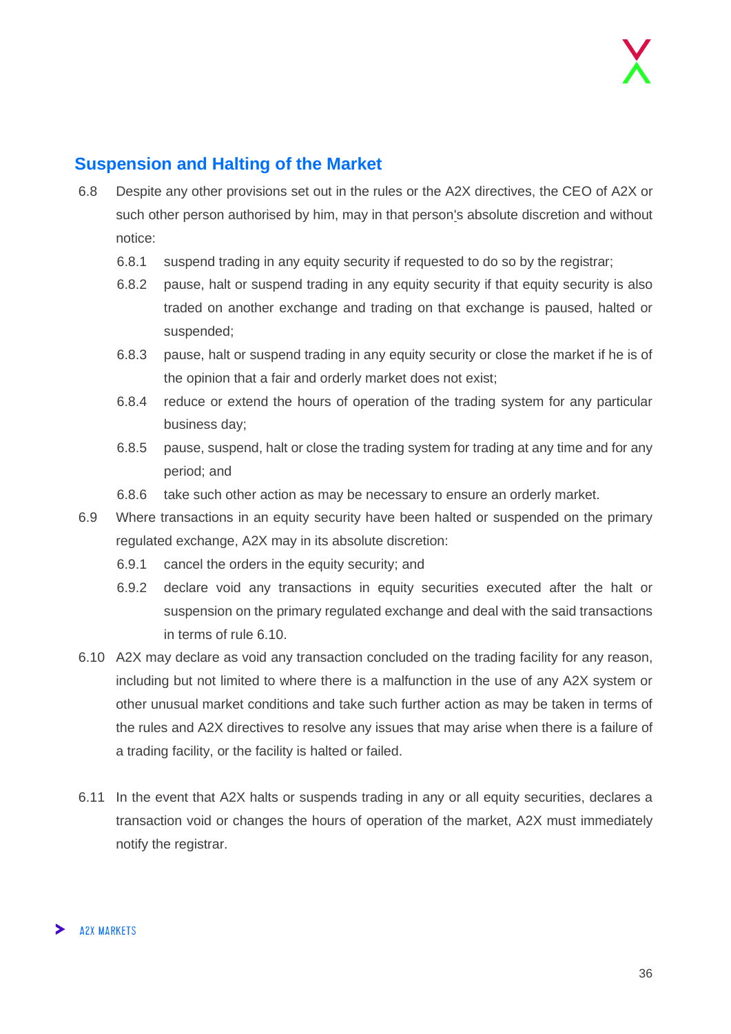#### <span id="page-35-0"></span>**Suspension and Halting of the Market**

- 6.8 Despite any other provisions set out in the rules or the A2X directives, the CEO of A2X or such other person authorised by him, may in that person's absolute discretion and without notice:
	- 6.8.1 suspend trading in any equity security if requested to do so by the registrar;
	- 6.8.2 pause, halt or suspend trading in any equity security if that equity security is also traded on another exchange and trading on that exchange is paused, halted or suspended;
	- 6.8.3 pause, halt or suspend trading in any equity security or close the market if he is of the opinion that a fair and orderly market does not exist;
	- 6.8.4 reduce or extend the hours of operation of the trading system for any particular business day;
	- 6.8.5 pause, suspend, halt or close the trading system for trading at any time and for any period; and
	- 6.8.6 take such other action as may be necessary to ensure an orderly market.
- 6.9 Where transactions in an equity security have been halted or suspended on the primary regulated exchange, A2X may in its absolute discretion:
	- 6.9.1 cancel the orders in the equity security; and
	- 6.9.2 declare void any transactions in equity securities executed after the halt or suspension on the primary regulated exchange and deal with the said transactions in terms of rule 6.10.
- 6.10 A2X may declare as void any transaction concluded on the trading facility for any reason, including but not limited to where there is a malfunction in the use of any A2X system or other unusual market conditions and take such further action as may be taken in terms of the rules and A2X directives to resolve any issues that may arise when there is a failure of a trading facility, or the facility is halted or failed.
- 6.11 In the event that A2X halts or suspends trading in any or all equity securities, declares a transaction void or changes the hours of operation of the market, A2X must immediately notify the registrar.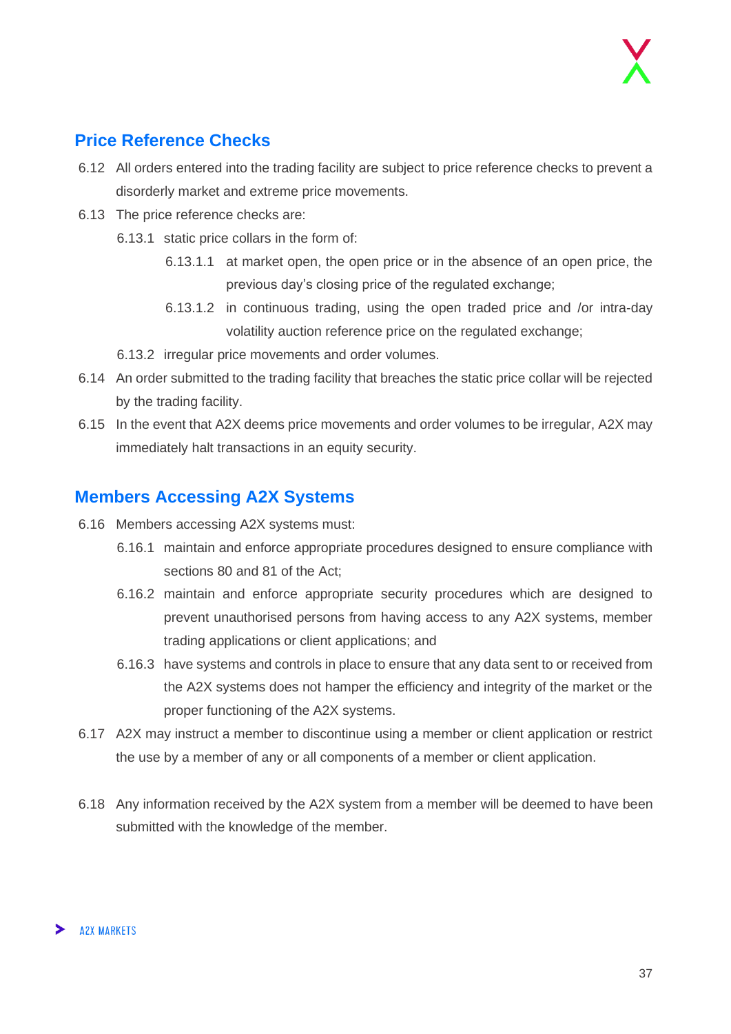#### <span id="page-36-0"></span>**Price Reference Checks**

- 6.12 All orders entered into the trading facility are subject to price reference checks to prevent a disorderly market and extreme price movements.
- 6.13 The price reference checks are:
	- 6.13.1 static price collars in the form of:
		- 6.13.1.1 at market open, the open price or in the absence of an open price, the previous day's closing price of the regulated exchange;
		- 6.13.1.2 in continuous trading, using the open traded price and /or intra-day volatility auction reference price on the regulated exchange;
	- 6.13.2 irregular price movements and order volumes.
- 6.14 An order submitted to the trading facility that breaches the static price collar will be rejected by the trading facility.
- 6.15 In the event that A2X deems price movements and order volumes to be irregular, A2X may immediately halt transactions in an equity security.

#### <span id="page-36-1"></span>**Members Accessing A2X Systems**

- 6.16 Members accessing A2X systems must:
	- 6.16.1 maintain and enforce appropriate procedures designed to ensure compliance with sections 80 and 81 of the Act;
	- 6.16.2 maintain and enforce appropriate security procedures which are designed to prevent unauthorised persons from having access to any A2X systems, member trading applications or client applications; and
	- 6.16.3 have systems and controls in place to ensure that any data sent to or received from the A2X systems does not hamper the efficiency and integrity of the market or the proper functioning of the A2X systems.
- 6.17 A2X may instruct a member to discontinue using a member or client application or restrict the use by a member of any or all components of a member or client application.
- 6.18 Any information received by the A2X system from a member will be deemed to have been submitted with the knowledge of the member.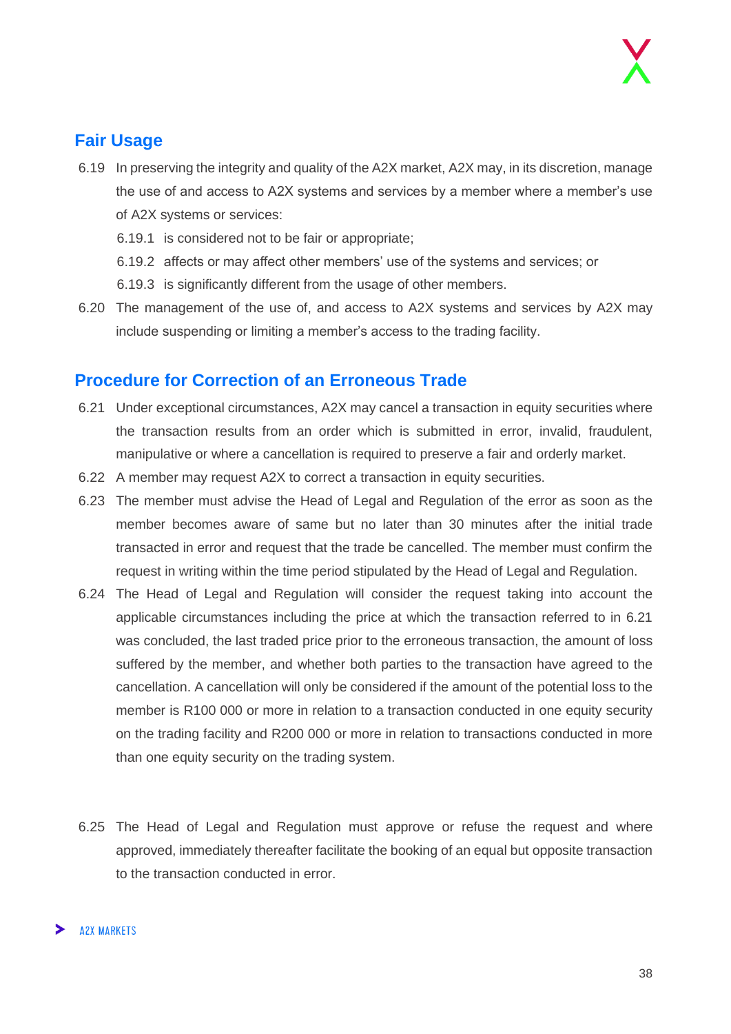#### <span id="page-37-0"></span>**Fair Usage**

- 6.19 In preserving the integrity and quality of the A2X market, A2X may, in its discretion, manage the use of and access to A2X systems and services by a member where a member's use of A2X systems or services:
	- 6.19.1 is considered not to be fair or appropriate;
	- 6.19.2 affects or may affect other members' use of the systems and services; or
	- 6.19.3 is significantly different from the usage of other members.
- 6.20 The management of the use of, and access to A2X systems and services by A2X may include suspending or limiting a member's access to the trading facility.

#### <span id="page-37-1"></span>**Procedure for Correction of an Erroneous Trade**

- 6.21 Under exceptional circumstances, A2X may cancel a transaction in equity securities where the transaction results from an order which is submitted in error, invalid, fraudulent, manipulative or where a cancellation is required to preserve a fair and orderly market.
- 6.22 A member may request A2X to correct a transaction in equity securities.
- 6.23 The member must advise the Head of Legal and Regulation of the error as soon as the member becomes aware of same but no later than 30 minutes after the initial trade transacted in error and request that the trade be cancelled. The member must confirm the request in writing within the time period stipulated by the Head of Legal and Regulation.
- 6.24 The Head of Legal and Regulation will consider the request taking into account the applicable circumstances including the price at which the transaction referred to in 6.21 was concluded, the last traded price prior to the erroneous transaction, the amount of loss suffered by the member, and whether both parties to the transaction have agreed to the cancellation. A cancellation will only be considered if the amount of the potential loss to the member is R100 000 or more in relation to a transaction conducted in one equity security on the trading facility and R200 000 or more in relation to transactions conducted in more than one equity security on the trading system.
- 6.25 The Head of Legal and Regulation must approve or refuse the request and where approved, immediately thereafter facilitate the booking of an equal but opposite transaction to the transaction conducted in error.

#### **A2X MARKETS**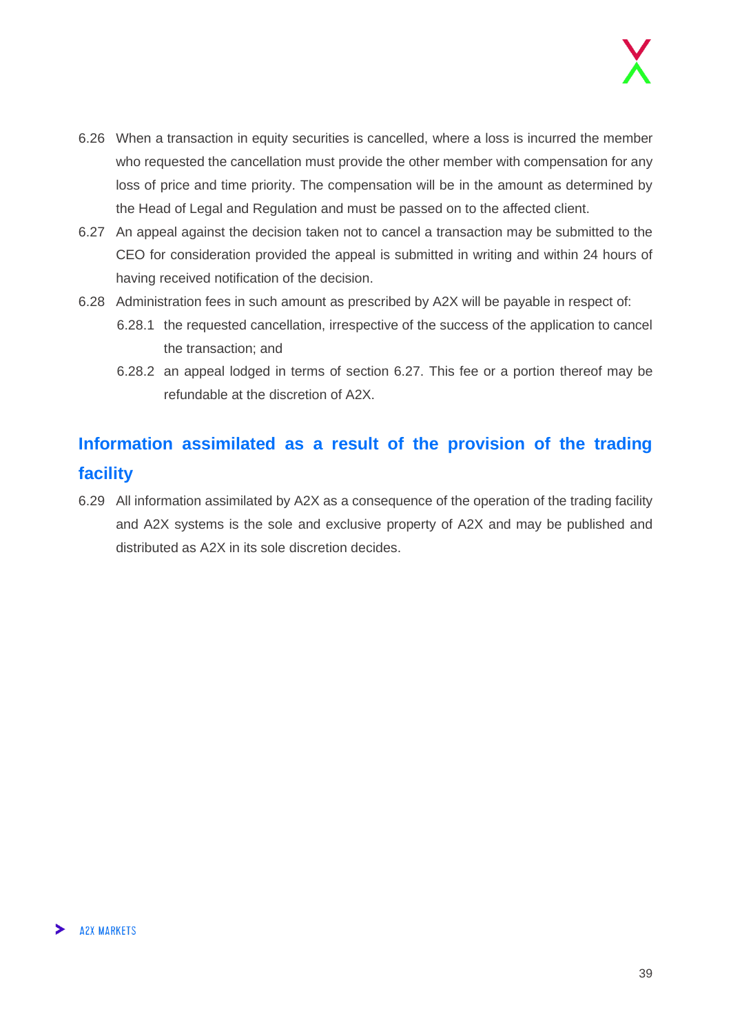- 6.26 When a transaction in equity securities is cancelled, where a loss is incurred the member who requested the cancellation must provide the other member with compensation for any loss of price and time priority. The compensation will be in the amount as determined by the Head of Legal and Regulation and must be passed on to the affected client.
- 6.27 An appeal against the decision taken not to cancel a transaction may be submitted to the CEO for consideration provided the appeal is submitted in writing and within 24 hours of having received notification of the decision.
- 6.28 Administration fees in such amount as prescribed by A2X will be payable in respect of:
	- 6.28.1 the requested cancellation, irrespective of the success of the application to cancel the transaction; and
	- 6.28.2 an appeal lodged in terms of section 6.27. This fee or a portion thereof may be refundable at the discretion of A2X.

## <span id="page-38-0"></span>**Information assimilated as a result of the provision of the trading facility**

6.29 All information assimilated by A2X as a consequence of the operation of the trading facility and A2X systems is the sole and exclusive property of A2X and may be published and distributed as A2X in its sole discretion decides.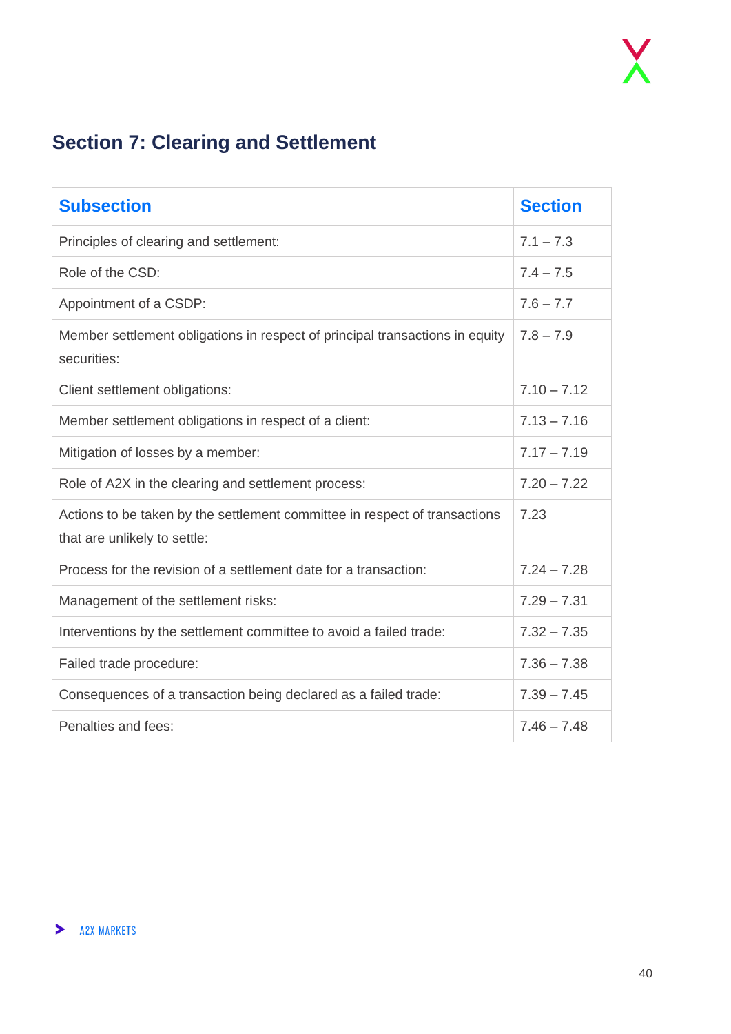## <span id="page-39-0"></span>**Section 7: Clearing and Settlement**

| <b>Subsection</b>                                                                                          | <b>Section</b> |
|------------------------------------------------------------------------------------------------------------|----------------|
| Principles of clearing and settlement:                                                                     | $7.1 - 7.3$    |
| Role of the CSD:                                                                                           | $7.4 - 7.5$    |
| Appointment of a CSDP:                                                                                     | $7.6 - 7.7$    |
| Member settlement obligations in respect of principal transactions in equity<br>securities:                | $7.8 - 7.9$    |
| Client settlement obligations:                                                                             | $7.10 - 7.12$  |
| Member settlement obligations in respect of a client:                                                      | $7.13 - 7.16$  |
| Mitigation of losses by a member:                                                                          | $7.17 - 7.19$  |
| Role of A2X in the clearing and settlement process:                                                        | $7.20 - 7.22$  |
| Actions to be taken by the settlement committee in respect of transactions<br>that are unlikely to settle: | 7.23           |
| Process for the revision of a settlement date for a transaction:                                           | $7.24 - 7.28$  |
| Management of the settlement risks:                                                                        | $7.29 - 7.31$  |
| Interventions by the settlement committee to avoid a failed trade:                                         | $7.32 - 7.35$  |
| Failed trade procedure:                                                                                    | $7.36 - 7.38$  |
| Consequences of a transaction being declared as a failed trade:                                            | $7.39 - 7.45$  |
| Penalties and fees:                                                                                        | $7.46 - 7.48$  |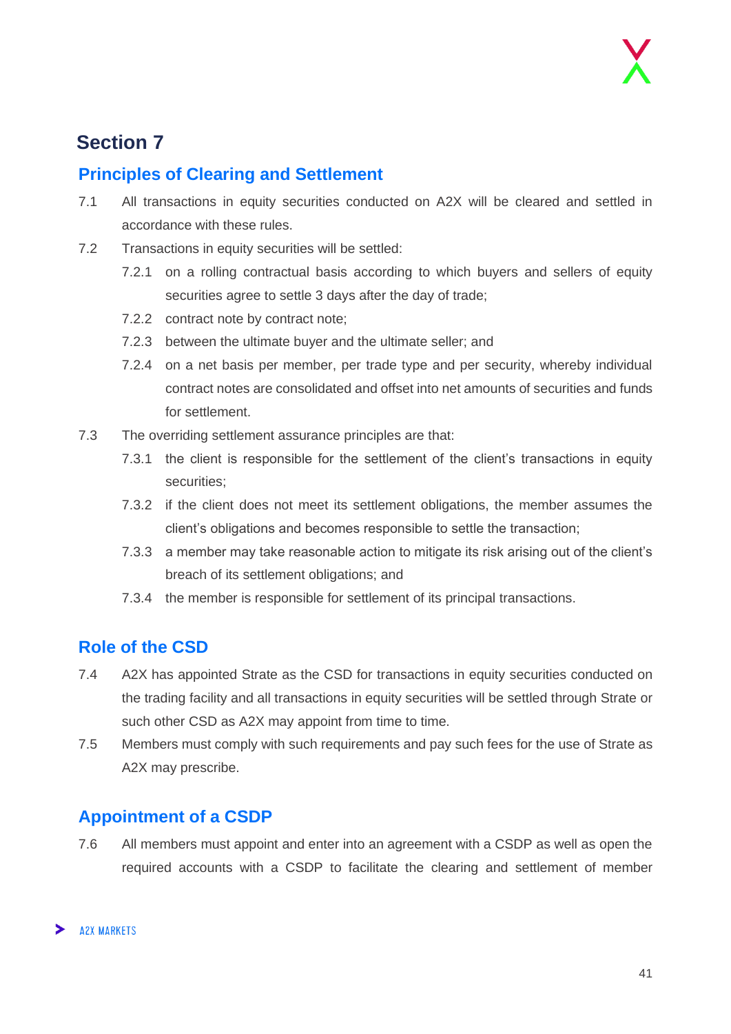## **Section 7**

#### <span id="page-40-0"></span>**Principles of Clearing and Settlement**

- 7.1 All transactions in equity securities conducted on A2X will be cleared and settled in accordance with these rules.
- 7.2 Transactions in equity securities will be settled:
	- 7.2.1 on a rolling contractual basis according to which buyers and sellers of equity securities agree to settle 3 days after the day of trade;
	- 7.2.2 contract note by contract note;
	- 7.2.3 between the ultimate buyer and the ultimate seller; and
	- 7.2.4 on a net basis per member, per trade type and per security, whereby individual contract notes are consolidated and offset into net amounts of securities and funds for settlement.
- 7.3 The overriding settlement assurance principles are that:
	- 7.3.1 the client is responsible for the settlement of the client's transactions in equity securities;
	- 7.3.2 if the client does not meet its settlement obligations, the member assumes the client's obligations and becomes responsible to settle the transaction;
	- 7.3.3 a member may take reasonable action to mitigate its risk arising out of the client's breach of its settlement obligations; and
	- 7.3.4 the member is responsible for settlement of its principal transactions.

#### <span id="page-40-1"></span>**Role of the CSD**

- 7.4 A2X has appointed Strate as the CSD for transactions in equity securities conducted on the trading facility and all transactions in equity securities will be settled through Strate or such other CSD as A2X may appoint from time to time.
- 7.5 Members must comply with such requirements and pay such fees for the use of Strate as A2X may prescribe.

#### <span id="page-40-2"></span>**Appointment of a CSDP**

7.6 All members must appoint and enter into an agreement with a CSDP as well as open the required accounts with a CSDP to facilitate the clearing and settlement of member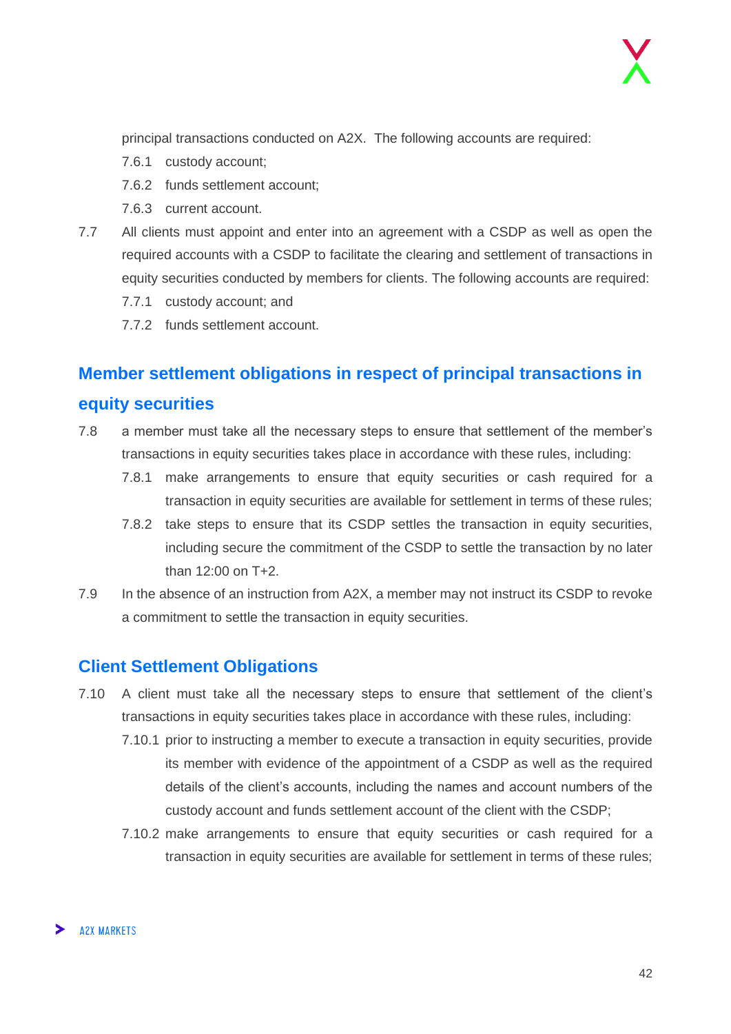principal transactions conducted on A2X. The following accounts are required:

- 7.6.1 custody account;
- 7.6.2 funds settlement account;
- 7.6.3 current account.
- 7.7 All clients must appoint and enter into an agreement with a CSDP as well as open the required accounts with a CSDP to facilitate the clearing and settlement of transactions in equity securities conducted by members for clients. The following accounts are required:
	- 7.7.1 custody account; and
	- 7.7.2 funds settlement account.

## <span id="page-41-0"></span>**Member settlement obligations in respect of principal transactions in equity securities**

- 7.8 a member must take all the necessary steps to ensure that settlement of the member's transactions in equity securities takes place in accordance with these rules, including:
	- 7.8.1 make arrangements to ensure that equity securities or cash required for a transaction in equity securities are available for settlement in terms of these rules;
	- 7.8.2 take steps to ensure that its CSDP settles the transaction in equity securities, including secure the commitment of the CSDP to settle the transaction by no later than 12:00 on T+2.
- 7.9 In the absence of an instruction from A2X, a member may not instruct its CSDP to revoke a commitment to settle the transaction in equity securities.

#### <span id="page-41-1"></span>**Client Settlement Obligations**

- 7.10 A client must take all the necessary steps to ensure that settlement of the client's transactions in equity securities takes place in accordance with these rules, including:
	- 7.10.1 prior to instructing a member to execute a transaction in equity securities, provide its member with evidence of the appointment of a CSDP as well as the required details of the client's accounts, including the names and account numbers of the custody account and funds settlement account of the client with the CSDP;
	- 7.10.2 make arrangements to ensure that equity securities or cash required for a transaction in equity securities are available for settlement in terms of these rules;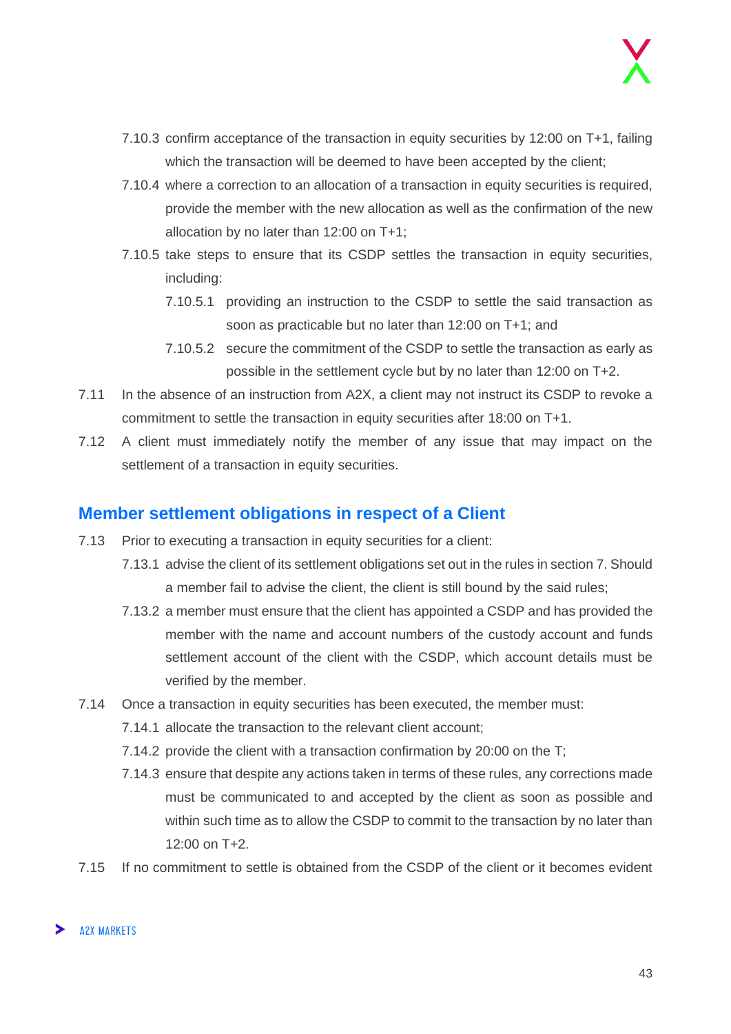- 7.10.3 confirm acceptance of the transaction in equity securities by 12:00 on T+1, failing which the transaction will be deemed to have been accepted by the client;
- 7.10.4 where a correction to an allocation of a transaction in equity securities is required, provide the member with the new allocation as well as the confirmation of the new allocation by no later than 12:00 on T+1;
- 7.10.5 take steps to ensure that its CSDP settles the transaction in equity securities, including:
	- 7.10.5.1 providing an instruction to the CSDP to settle the said transaction as soon as practicable but no later than 12:00 on T+1; and
	- 7.10.5.2 secure the commitment of the CSDP to settle the transaction as early as possible in the settlement cycle but by no later than 12:00 on T+2.
- 7.11 In the absence of an instruction from A2X, a client may not instruct its CSDP to revoke a commitment to settle the transaction in equity securities after 18:00 on T+1.
- 7.12 A client must immediately notify the member of any issue that may impact on the settlement of a transaction in equity securities.

#### <span id="page-42-0"></span>**Member settlement obligations in respect of a Client**

- 7.13 Prior to executing a transaction in equity securities for a client:
	- 7.13.1 advise the client of its settlement obligations set out in the rules in section 7. Should a member fail to advise the client, the client is still bound by the said rules;
	- 7.13.2 a member must ensure that the client has appointed a CSDP and has provided the member with the name and account numbers of the custody account and funds settlement account of the client with the CSDP, which account details must be verified by the member.
- 7.14 Once a transaction in equity securities has been executed, the member must:
	- 7.14.1 allocate the transaction to the relevant client account;
	- 7.14.2 provide the client with a transaction confirmation by 20:00 on the T;
	- 7.14.3 ensure that despite any actions taken in terms of these rules, any corrections made must be communicated to and accepted by the client as soon as possible and within such time as to allow the CSDP to commit to the transaction by no later than 12:00 on T+2.
- 7.15 If no commitment to settle is obtained from the CSDP of the client or it becomes evident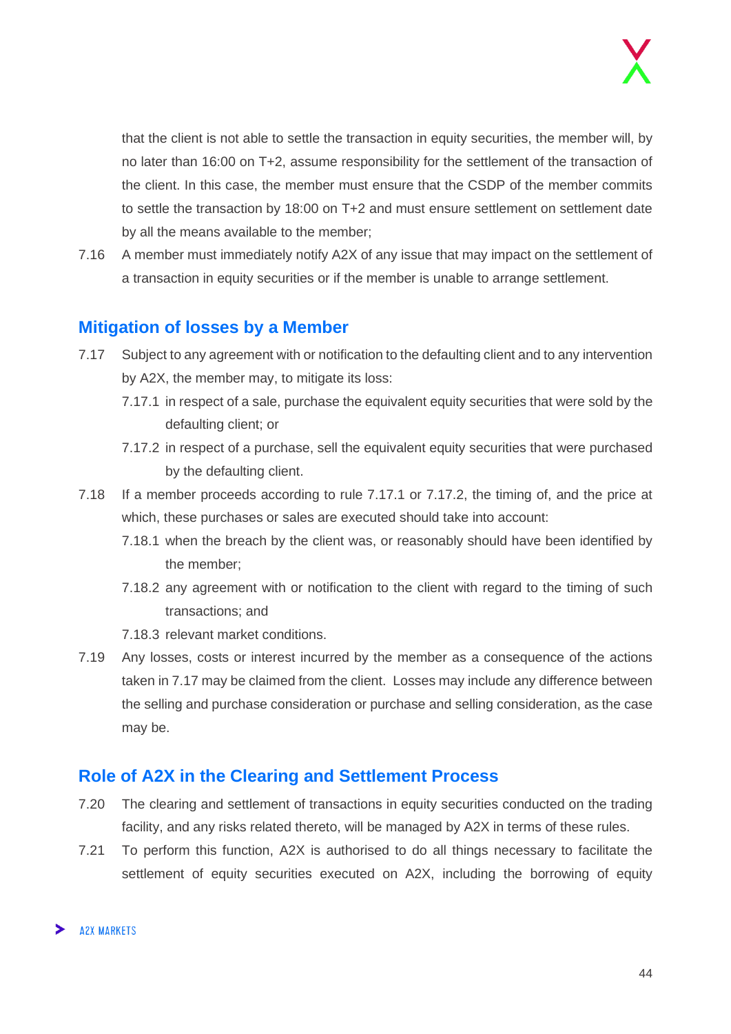that the client is not able to settle the transaction in equity securities, the member will, by no later than 16:00 on T+2, assume responsibility for the settlement of the transaction of the client. In this case, the member must ensure that the CSDP of the member commits to settle the transaction by 18:00 on T+2 and must ensure settlement on settlement date by all the means available to the member;

7.16 A member must immediately notify A2X of any issue that may impact on the settlement of a transaction in equity securities or if the member is unable to arrange settlement.

#### <span id="page-43-0"></span>**Mitigation of losses by a Member**

- 7.17 Subject to any agreement with or notification to the defaulting client and to any intervention by A2X, the member may, to mitigate its loss:
	- 7.17.1 in respect of a sale, purchase the equivalent equity securities that were sold by the defaulting client; or
	- 7.17.2 in respect of a purchase, sell the equivalent equity securities that were purchased by the defaulting client.
- 7.18 If a member proceeds according to rule 7.17.1 or 7.17.2, the timing of, and the price at which, these purchases or sales are executed should take into account:
	- 7.18.1 when the breach by the client was, or reasonably should have been identified by the member;
	- 7.18.2 any agreement with or notification to the client with regard to the timing of such transactions; and
	- 7.18.3 relevant market conditions.
- 7.19 Any losses, costs or interest incurred by the member as a consequence of the actions taken in 7.17 may be claimed from the client. Losses may include any difference between the selling and purchase consideration or purchase and selling consideration, as the case may be.

#### <span id="page-43-1"></span>**Role of A2X in the Clearing and Settlement Process**

- 7.20 The clearing and settlement of transactions in equity securities conducted on the trading facility, and any risks related thereto, will be managed by A2X in terms of these rules.
- 7.21 To perform this function, A2X is authorised to do all things necessary to facilitate the settlement of equity securities executed on A2X, including the borrowing of equity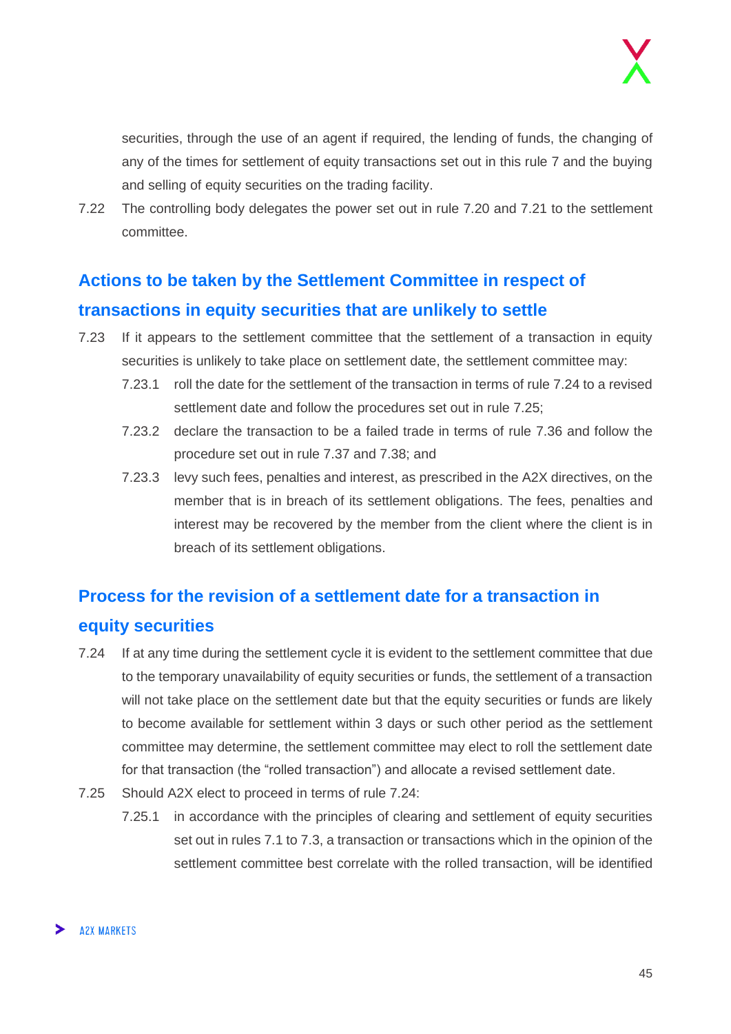securities, through the use of an agent if required, the lending of funds, the changing of any of the times for settlement of equity transactions set out in this rule 7 and the buying and selling of equity securities on the trading facility.

7.22 The controlling body delegates the power set out in rule 7.20 and 7.21 to the settlement committee.

## <span id="page-44-0"></span>**Actions to be taken by the Settlement Committee in respect of transactions in equity securities that are unlikely to settle**

- 7.23 If it appears to the settlement committee that the settlement of a transaction in equity securities is unlikely to take place on settlement date, the settlement committee may:
	- 7.23.1 roll the date for the settlement of the transaction in terms of rule 7.24 to a revised settlement date and follow the procedures set out in rule 7.25;
	- 7.23.2 declare the transaction to be a failed trade in terms of rule 7.36 and follow the procedure set out in rule 7.37 and 7.38; and
	- 7.23.3 levy such fees, penalties and interest, as prescribed in the A2X directives, on the member that is in breach of its settlement obligations. The fees, penalties and interest may be recovered by the member from the client where the client is in breach of its settlement obligations.

## <span id="page-44-1"></span>**Process for the revision of a settlement date for a transaction in equity securities**

- 7.24 If at any time during the settlement cycle it is evident to the settlement committee that due to the temporary unavailability of equity securities or funds, the settlement of a transaction will not take place on the settlement date but that the equity securities or funds are likely to become available for settlement within 3 days or such other period as the settlement committee may determine, the settlement committee may elect to roll the settlement date for that transaction (the "rolled transaction") and allocate a revised settlement date.
- 7.25 Should A2X elect to proceed in terms of rule 7.24:
	- 7.25.1 in accordance with the principles of clearing and settlement of equity securities set out in rules 7.1 to 7.3, a transaction or transactions which in the opinion of the settlement committee best correlate with the rolled transaction, will be identified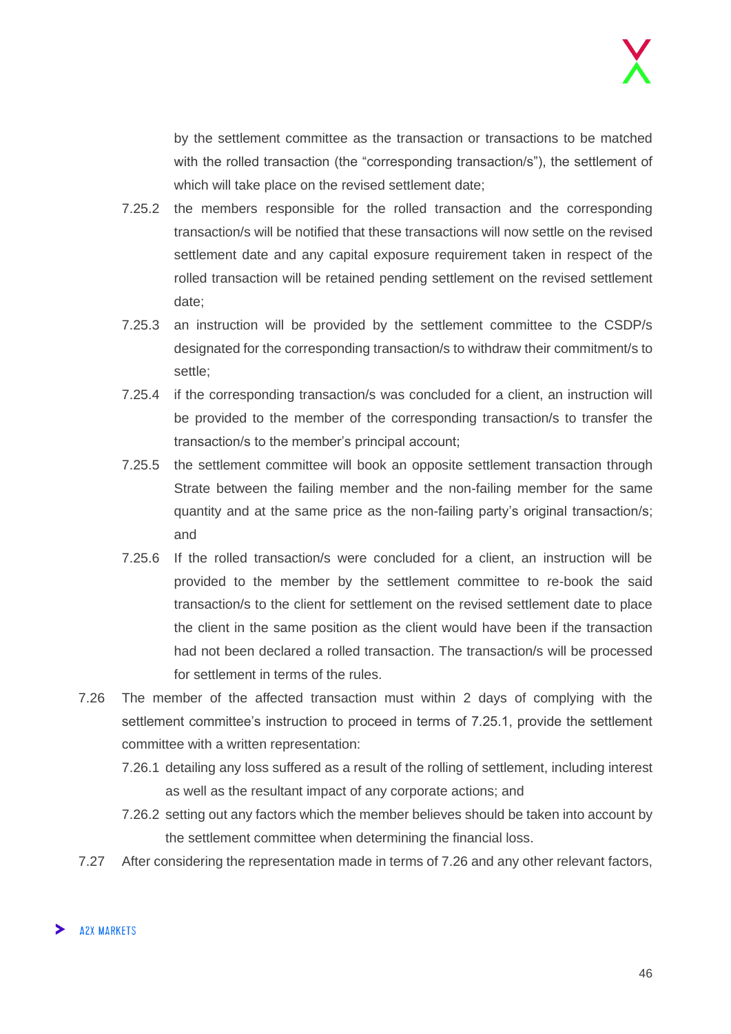by the settlement committee as the transaction or transactions to be matched with the rolled transaction (the "corresponding transaction/s"), the settlement of which will take place on the revised settlement date;

- 7.25.2 the members responsible for the rolled transaction and the corresponding transaction/s will be notified that these transactions will now settle on the revised settlement date and any capital exposure requirement taken in respect of the rolled transaction will be retained pending settlement on the revised settlement date;
- 7.25.3 an instruction will be provided by the settlement committee to the CSDP/s designated for the corresponding transaction/s to withdraw their commitment/s to settle;
- 7.25.4 if the corresponding transaction/s was concluded for a client, an instruction will be provided to the member of the corresponding transaction/s to transfer the transaction/s to the member's principal account;
- 7.25.5 the settlement committee will book an opposite settlement transaction through Strate between the failing member and the non-failing member for the same quantity and at the same price as the non-failing party's original transaction/s; and
- 7.25.6 If the rolled transaction/s were concluded for a client, an instruction will be provided to the member by the settlement committee to re-book the said transaction/s to the client for settlement on the revised settlement date to place the client in the same position as the client would have been if the transaction had not been declared a rolled transaction. The transaction/s will be processed for settlement in terms of the rules.
- 7.26 The member of the affected transaction must within 2 days of complying with the settlement committee's instruction to proceed in terms of 7.25.1, provide the settlement committee with a written representation:
	- 7.26.1 detailing any loss suffered as a result of the rolling of settlement, including interest as well as the resultant impact of any corporate actions; and
	- 7.26.2 setting out any factors which the member believes should be taken into account by the settlement committee when determining the financial loss.
- 7.27 After considering the representation made in terms of 7.26 and any other relevant factors,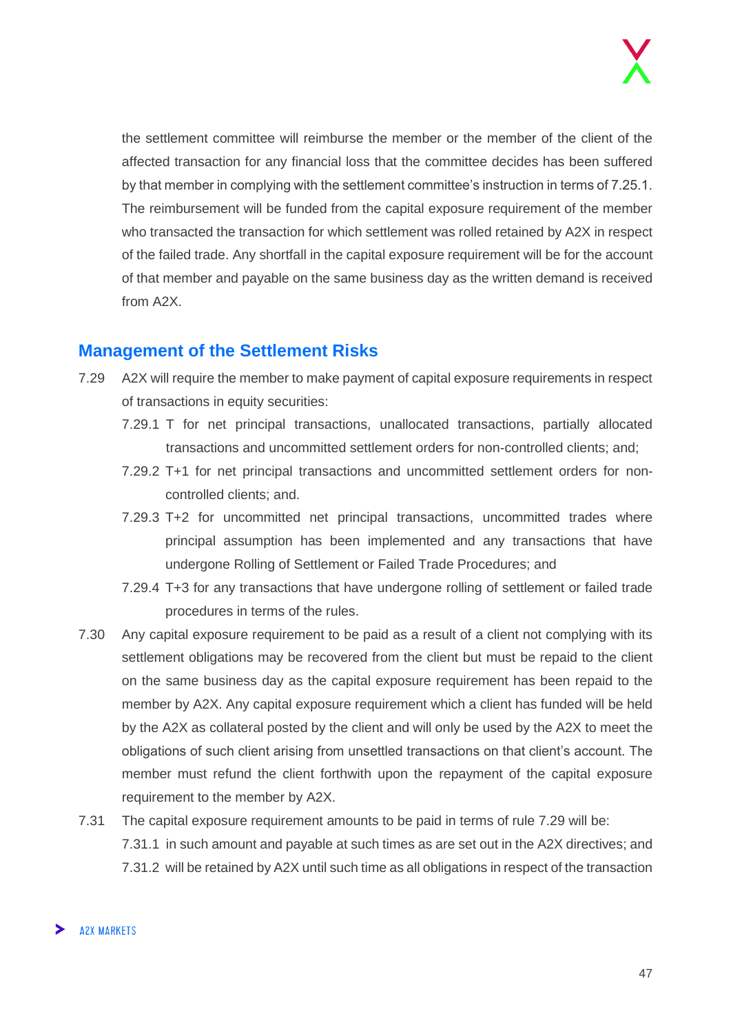the settlement committee will reimburse the member or the member of the client of the affected transaction for any financial loss that the committee decides has been suffered by that member in complying with the settlement committee's instruction in terms of 7.25.1. The reimbursement will be funded from the capital exposure requirement of the member who transacted the transaction for which settlement was rolled retained by A2X in respect of the failed trade. Any shortfall in the capital exposure requirement will be for the account of that member and payable on the same business day as the written demand is received from A2X.

#### <span id="page-46-0"></span>**Management of the Settlement Risks**

- 7.29 A2X will require the member to make payment of capital exposure requirements in respect of transactions in equity securities:
	- 7.29.1 T for net principal transactions, unallocated transactions, partially allocated transactions and uncommitted settlement orders for non-controlled clients; and;
	- 7.29.2 T+1 for net principal transactions and uncommitted settlement orders for noncontrolled clients; and.
	- 7.29.3 T+2 for uncommitted net principal transactions, uncommitted trades where principal assumption has been implemented and any transactions that have undergone Rolling of Settlement or Failed Trade Procedures; and
	- 7.29.4 T+3 for any transactions that have undergone rolling of settlement or failed trade procedures in terms of the rules.
- 7.30 Any capital exposure requirement to be paid as a result of a client not complying with its settlement obligations may be recovered from the client but must be repaid to the client on the same business day as the capital exposure requirement has been repaid to the member by A2X. Any capital exposure requirement which a client has funded will be held by the A2X as collateral posted by the client and will only be used by the A2X to meet the obligations of such client arising from unsettled transactions on that client's account. The member must refund the client forthwith upon the repayment of the capital exposure requirement to the member by A2X.
- 7.31 The capital exposure requirement amounts to be paid in terms of rule 7.29 will be: 7.31.1 in such amount and payable at such times as are set out in the A2X directives; and 7.31.2 will be retained by A2X until such time as all obligations in respect of the transaction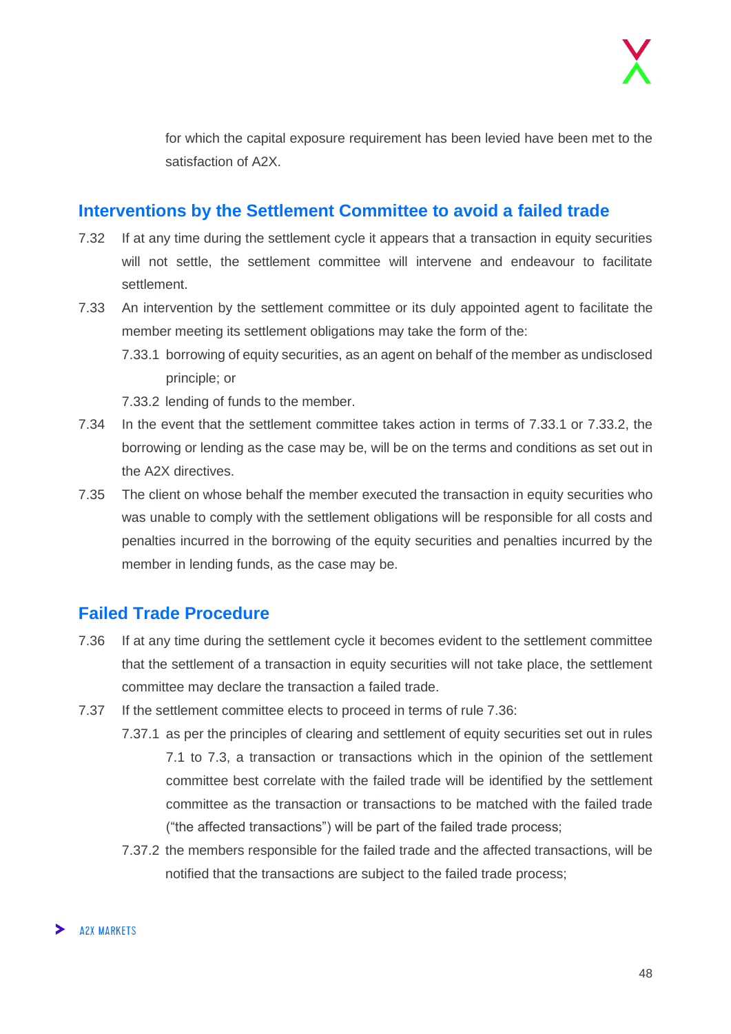for which the capital exposure requirement has been levied have been met to the satisfaction of A2X.

#### <span id="page-47-0"></span>**Interventions by the Settlement Committee to avoid a failed trade**

- 7.32 If at any time during the settlement cycle it appears that a transaction in equity securities will not settle, the settlement committee will intervene and endeavour to facilitate settlement.
- 7.33 An intervention by the settlement committee or its duly appointed agent to facilitate the member meeting its settlement obligations may take the form of the:
	- 7.33.1 borrowing of equity securities, as an agent on behalf of the member as undisclosed principle; or

7.33.2 lending of funds to the member.

- 7.34 In the event that the settlement committee takes action in terms of 7.33.1 or 7.33.2, the borrowing or lending as the case may be, will be on the terms and conditions as set out in the A2X directives.
- 7.35 The client on whose behalf the member executed the transaction in equity securities who was unable to comply with the settlement obligations will be responsible for all costs and penalties incurred in the borrowing of the equity securities and penalties incurred by the member in lending funds, as the case may be.

#### <span id="page-47-1"></span>**Failed Trade Procedure**

- 7.36 If at any time during the settlement cycle it becomes evident to the settlement committee that the settlement of a transaction in equity securities will not take place, the settlement committee may declare the transaction a failed trade.
- 7.37 If the settlement committee elects to proceed in terms of rule 7.36:
	- 7.37.1 as per the principles of clearing and settlement of equity securities set out in rules 7.1 to 7.3, a transaction or transactions which in the opinion of the settlement committee best correlate with the failed trade will be identified by the settlement committee as the transaction or transactions to be matched with the failed trade ("the affected transactions") will be part of the failed trade process;
	- 7.37.2 the members responsible for the failed trade and the affected transactions, will be notified that the transactions are subject to the failed trade process;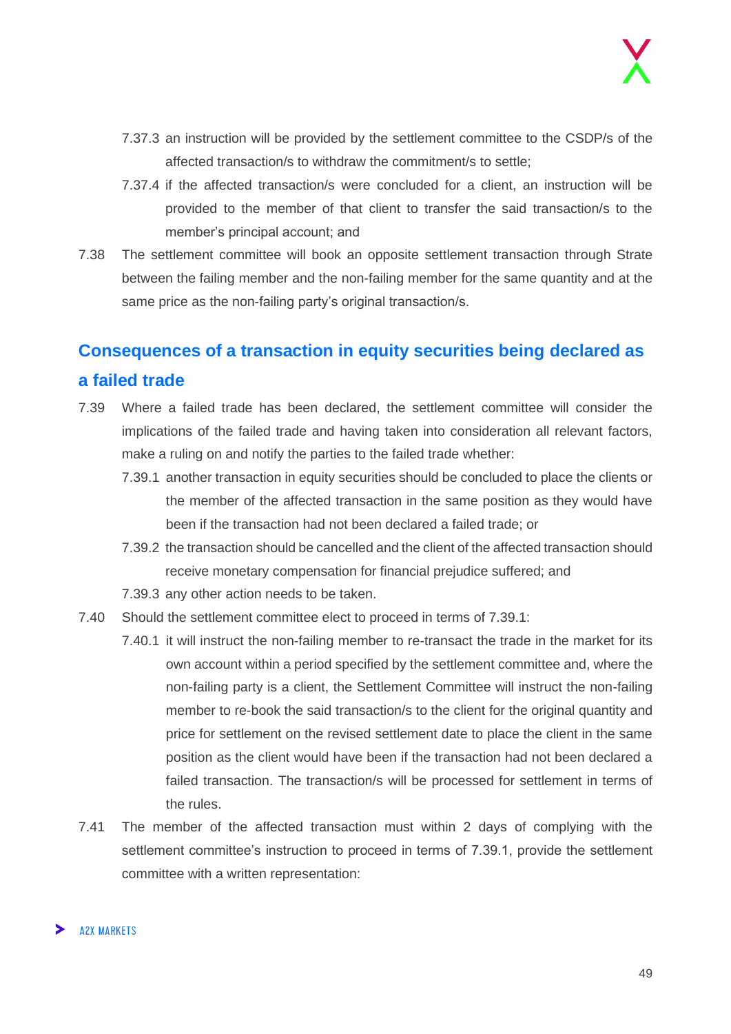- 7.37.3 an instruction will be provided by the settlement committee to the CSDP/s of the affected transaction/s to withdraw the commitment/s to settle;
- 7.37.4 if the affected transaction/s were concluded for a client, an instruction will be provided to the member of that client to transfer the said transaction/s to the member's principal account; and
- 7.38 The settlement committee will book an opposite settlement transaction through Strate between the failing member and the non-failing member for the same quantity and at the same price as the non-failing party's original transaction/s.

## <span id="page-48-0"></span>**Consequences of a transaction in equity securities being declared as a failed trade**

- 7.39 Where a failed trade has been declared, the settlement committee will consider the implications of the failed trade and having taken into consideration all relevant factors, make a ruling on and notify the parties to the failed trade whether:
	- 7.39.1 another transaction in equity securities should be concluded to place the clients or the member of the affected transaction in the same position as they would have been if the transaction had not been declared a failed trade; or
	- 7.39.2 the transaction should be cancelled and the client of the affected transaction should receive monetary compensation for financial prejudice suffered; and
	- 7.39.3 any other action needs to be taken.
- 7.40 Should the settlement committee elect to proceed in terms of 7.39.1:
	- 7.40.1 it will instruct the non-failing member to re-transact the trade in the market for its own account within a period specified by the settlement committee and, where the non-failing party is a client, the Settlement Committee will instruct the non-failing member to re-book the said transaction/s to the client for the original quantity and price for settlement on the revised settlement date to place the client in the same position as the client would have been if the transaction had not been declared a failed transaction. The transaction/s will be processed for settlement in terms of the rules.
- 7.41 The member of the affected transaction must within 2 days of complying with the settlement committee's instruction to proceed in terms of 7.39.1, provide the settlement committee with a written representation: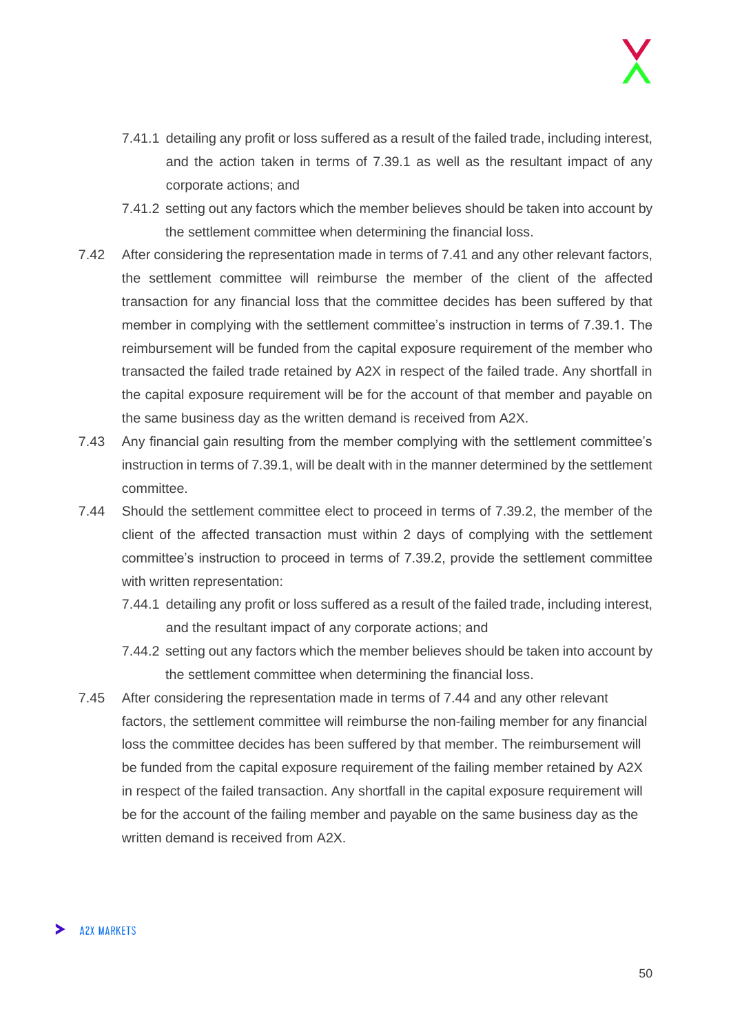- 7.41.1 detailing any profit or loss suffered as a result of the failed trade, including interest, and the action taken in terms of 7.39.1 as well as the resultant impact of any corporate actions; and
- 7.41.2 setting out any factors which the member believes should be taken into account by the settlement committee when determining the financial loss.
- 7.42 After considering the representation made in terms of 7.41 and any other relevant factors, the settlement committee will reimburse the member of the client of the affected transaction for any financial loss that the committee decides has been suffered by that member in complying with the settlement committee's instruction in terms of 7.39.1. The reimbursement will be funded from the capital exposure requirement of the member who transacted the failed trade retained by A2X in respect of the failed trade. Any shortfall in the capital exposure requirement will be for the account of that member and payable on the same business day as the written demand is received from A2X.
- 7.43 Any financial gain resulting from the member complying with the settlement committee's instruction in terms of 7.39.1, will be dealt with in the manner determined by the settlement committee.
- 7.44 Should the settlement committee elect to proceed in terms of 7.39.2, the member of the client of the affected transaction must within 2 days of complying with the settlement committee's instruction to proceed in terms of 7.39.2, provide the settlement committee with written representation:
	- 7.44.1 detailing any profit or loss suffered as a result of the failed trade, including interest, and the resultant impact of any corporate actions; and
	- 7.44.2 setting out any factors which the member believes should be taken into account by the settlement committee when determining the financial loss.
- 7.45 After considering the representation made in terms of 7.44 and any other relevant factors, the settlement committee will reimburse the non-failing member for any financial loss the committee decides has been suffered by that member. The reimbursement will be funded from the capital exposure requirement of the failing member retained by A2X in respect of the failed transaction. Any shortfall in the capital exposure requirement will be for the account of the failing member and payable on the same business day as the written demand is received from A2X.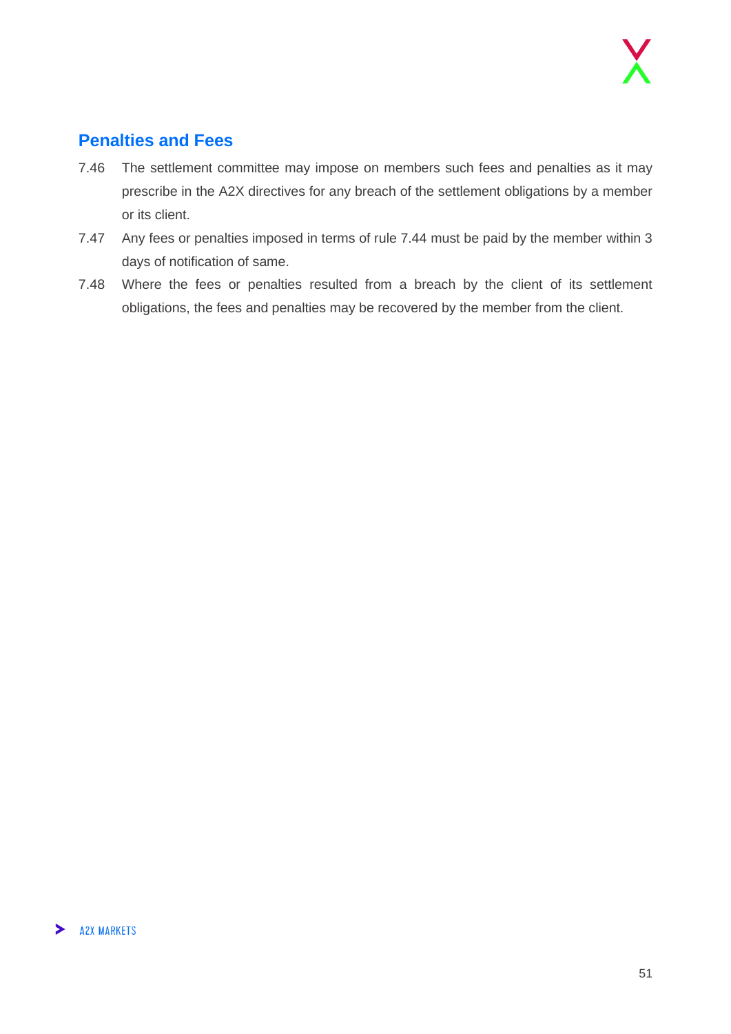#### <span id="page-50-0"></span>**Penalties and Fees**

- 7.46 The settlement committee may impose on members such fees and penalties as it may prescribe in the A2X directives for any breach of the settlement obligations by a member or its client.
- 7.47 Any fees or penalties imposed in terms of rule 7.44 must be paid by the member within 3 days of notification of same.
- 7.48 Where the fees or penalties resulted from a breach by the client of its settlement obligations, the fees and penalties may be recovered by the member from the client.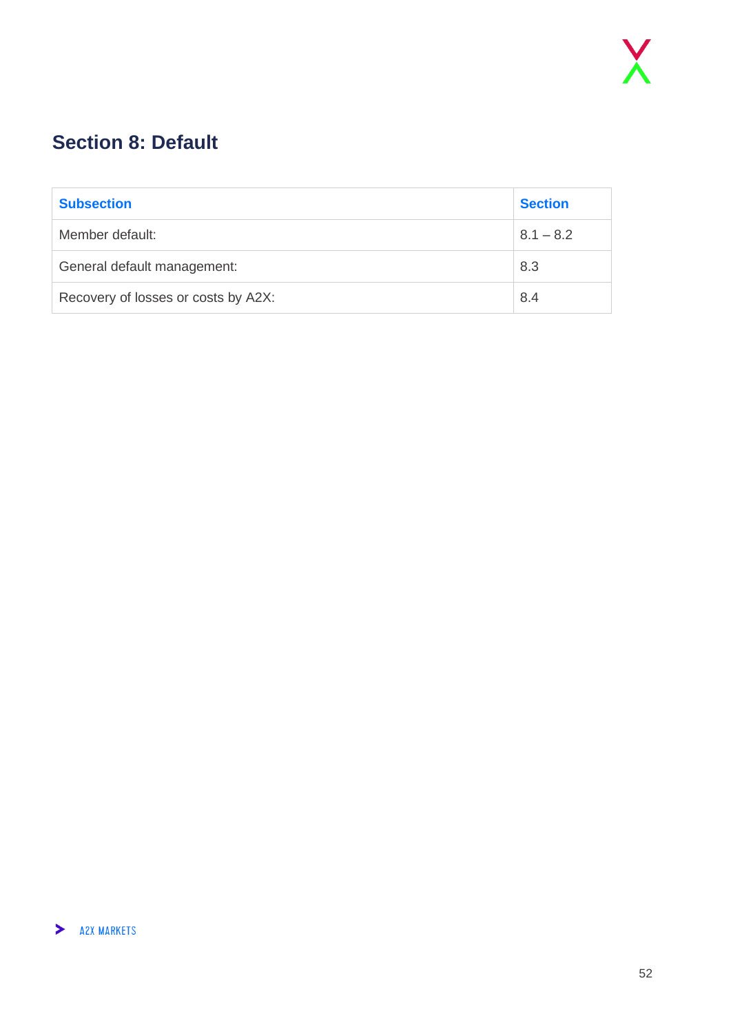## <span id="page-51-0"></span>**Section 8: Default**

| <b>Subsection</b>                   | <b>Section</b> |
|-------------------------------------|----------------|
| Member default:                     | $8.1 - 8.2$    |
| General default management:         | 8.3            |
| Recovery of losses or costs by A2X: | 8.4            |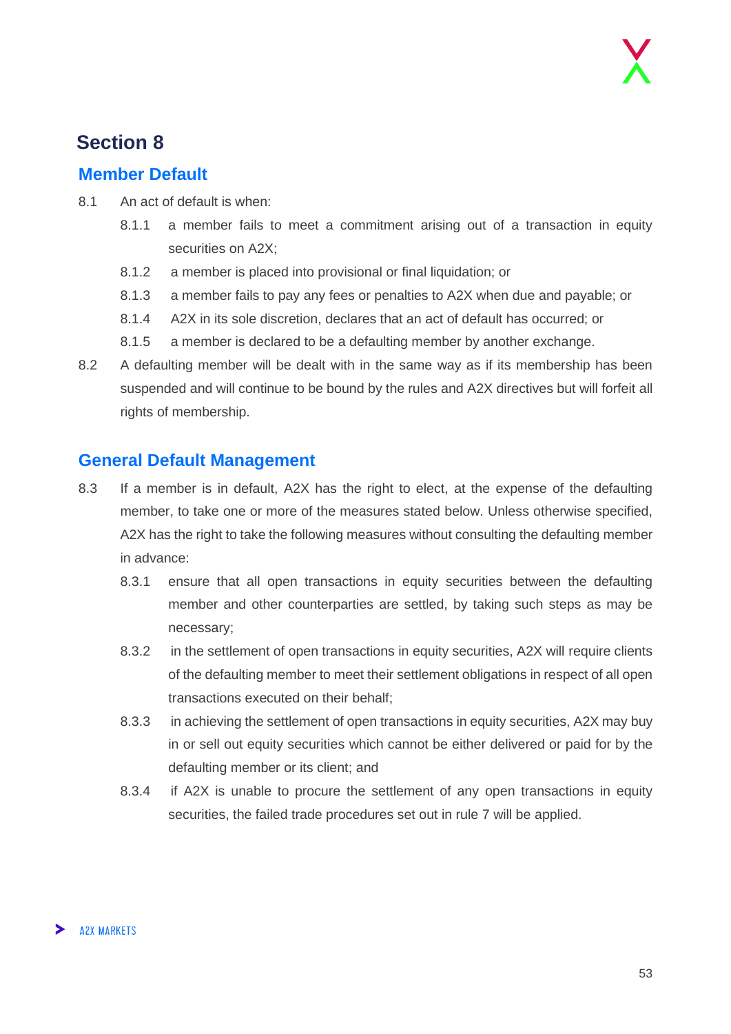### **Section 8**

#### <span id="page-52-0"></span>**Member Default**

- 8.1 An act of default is when:
	- 8.1.1 a member fails to meet a commitment arising out of a transaction in equity securities on A2X;
	- 8.1.2 a member is placed into provisional or final liquidation; or
	- 8.1.3 a member fails to pay any fees or penalties to A2X when due and payable; or
	- 8.1.4 A2X in its sole discretion, declares that an act of default has occurred; or
	- 8.1.5 a member is declared to be a defaulting member by another exchange.
- 8.2 A defaulting member will be dealt with in the same way as if its membership has been suspended and will continue to be bound by the rules and A2X directives but will forfeit all rights of membership.

#### <span id="page-52-1"></span>**General Default Management**

- 8.3 If a member is in default, A2X has the right to elect, at the expense of the defaulting member, to take one or more of the measures stated below. Unless otherwise specified, A2X has the right to take the following measures without consulting the defaulting member in advance:
	- 8.3.1 ensure that all open transactions in equity securities between the defaulting member and other counterparties are settled, by taking such steps as may be necessary;
	- 8.3.2 in the settlement of open transactions in equity securities, A2X will require clients of the defaulting member to meet their settlement obligations in respect of all open transactions executed on their behalf;
	- 8.3.3 in achieving the settlement of open transactions in equity securities, A2X may buy in or sell out equity securities which cannot be either delivered or paid for by the defaulting member or its client; and
	- 8.3.4 if A2X is unable to procure the settlement of any open transactions in equity securities, the failed trade procedures set out in rule 7 will be applied.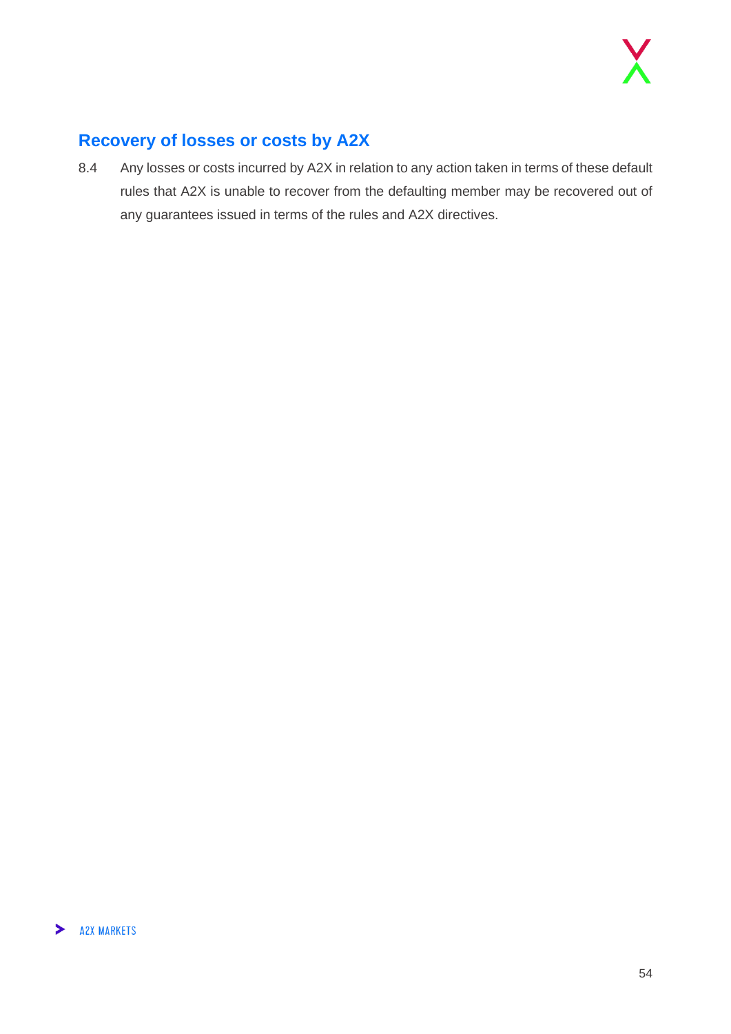#### <span id="page-53-0"></span>**Recovery of losses or costs by A2X**

8.4 Any losses or costs incurred by A2X in relation to any action taken in terms of these default rules that A2X is unable to recover from the defaulting member may be recovered out of any guarantees issued in terms of the rules and A2X directives.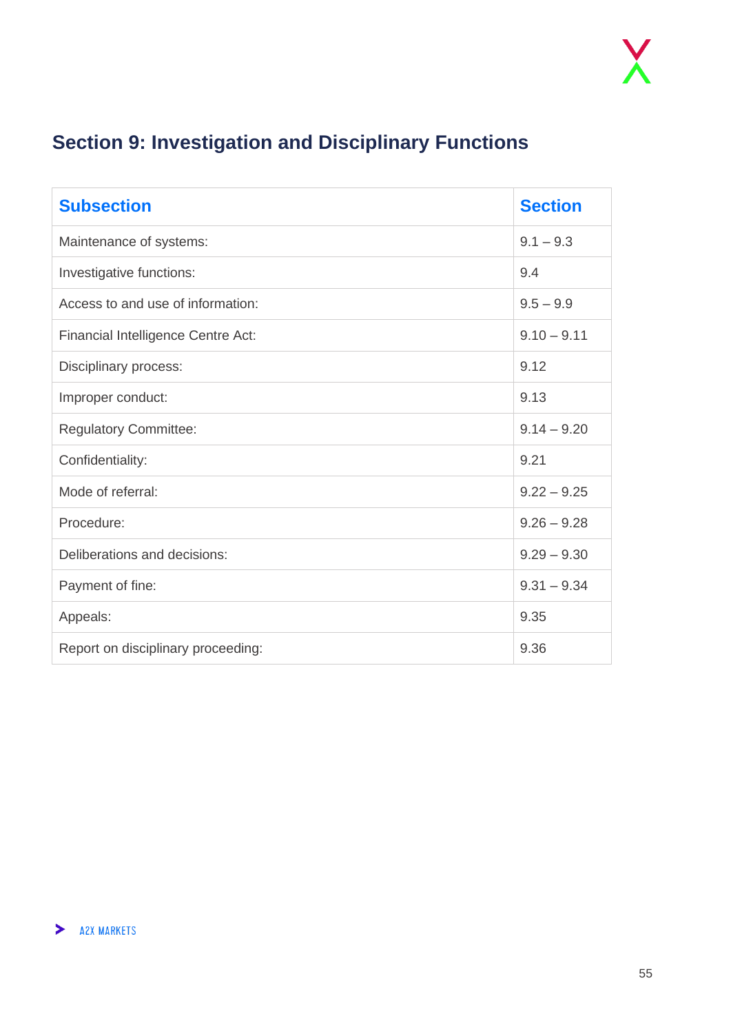## <span id="page-54-0"></span>**Section 9: Investigation and Disciplinary Functions**

| <b>Subsection</b>                  | <b>Section</b> |
|------------------------------------|----------------|
| Maintenance of systems:            | $9.1 - 9.3$    |
| Investigative functions:           | 9.4            |
| Access to and use of information:  | $9.5 - 9.9$    |
| Financial Intelligence Centre Act: | $9.10 - 9.11$  |
| Disciplinary process:              | 9.12           |
| Improper conduct:                  | 9.13           |
| <b>Regulatory Committee:</b>       | $9.14 - 9.20$  |
| Confidentiality:                   | 9.21           |
| Mode of referral:                  | $9.22 - 9.25$  |
| Procedure:                         | $9.26 - 9.28$  |
| Deliberations and decisions:       | $9.29 - 9.30$  |
| Payment of fine:                   | $9.31 - 9.34$  |
| Appeals:                           | 9.35           |
| Report on disciplinary proceeding: | 9.36           |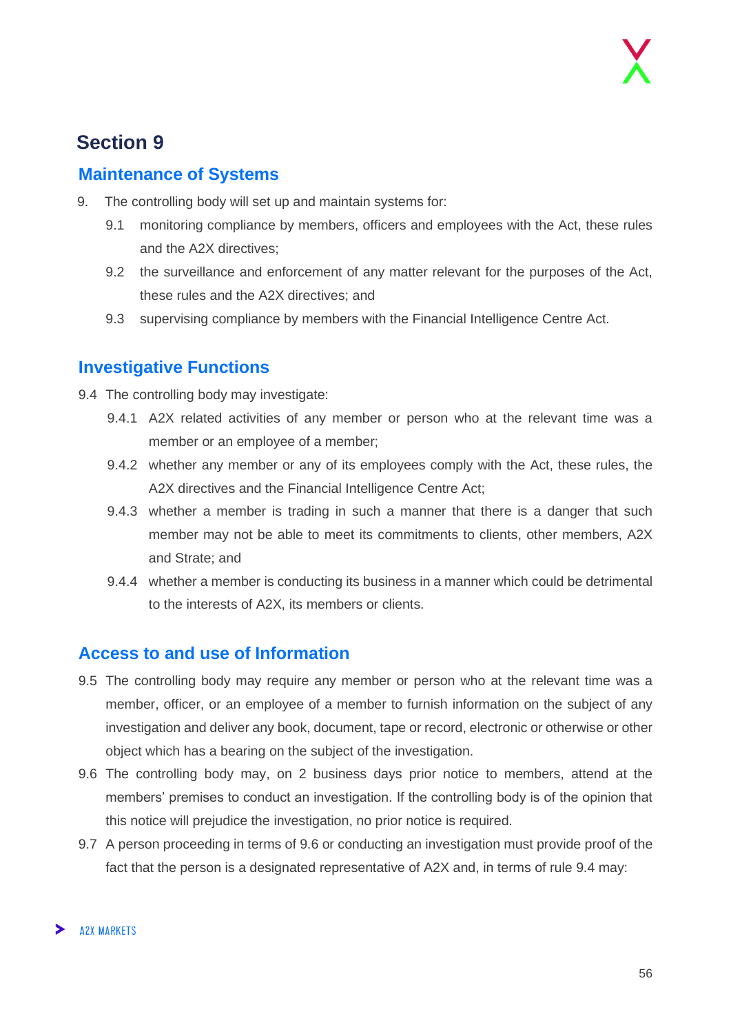### **Section 9**

#### <span id="page-55-0"></span>**Maintenance of Systems**

- 9. The controlling body will set up and maintain systems for:
	- 9.1 monitoring compliance by members, officers and employees with the Act, these rules and the A2X directives;
	- 9.2 the surveillance and enforcement of any matter relevant for the purposes of the Act, these rules and the A2X directives; and
	- 9.3 supervising compliance by members with the Financial Intelligence Centre Act.

#### <span id="page-55-1"></span>**Investigative Functions**

- 9.4 The controlling body may investigate:
	- 9.4.1 A2X related activities of any member or person who at the relevant time was a member or an employee of a member;
	- 9.4.2 whether any member or any of its employees comply with the Act, these rules, the A2X directives and the Financial Intelligence Centre Act;
	- 9.4.3 whether a member is trading in such a manner that there is a danger that such member may not be able to meet its commitments to clients, other members, A2X and Strate; and
	- 9.4.4 whether a member is conducting its business in a manner which could be detrimental to the interests of A2X, its members or clients.

#### <span id="page-55-2"></span>**Access to and use of Information**

- 9.5 The controlling body may require any member or person who at the relevant time was a member, officer, or an employee of a member to furnish information on the subject of any investigation and deliver any book, document, tape or record, electronic or otherwise or other object which has a bearing on the subject of the investigation.
- 9.6 The controlling body may, on 2 business days prior notice to members, attend at the members' premises to conduct an investigation. If the controlling body is of the opinion that this notice will prejudice the investigation, no prior notice is required.
- 9.7 A person proceeding in terms of 9.6 or conducting an investigation must provide proof of the fact that the person is a designated representative of A2X and, in terms of rule 9.4 may: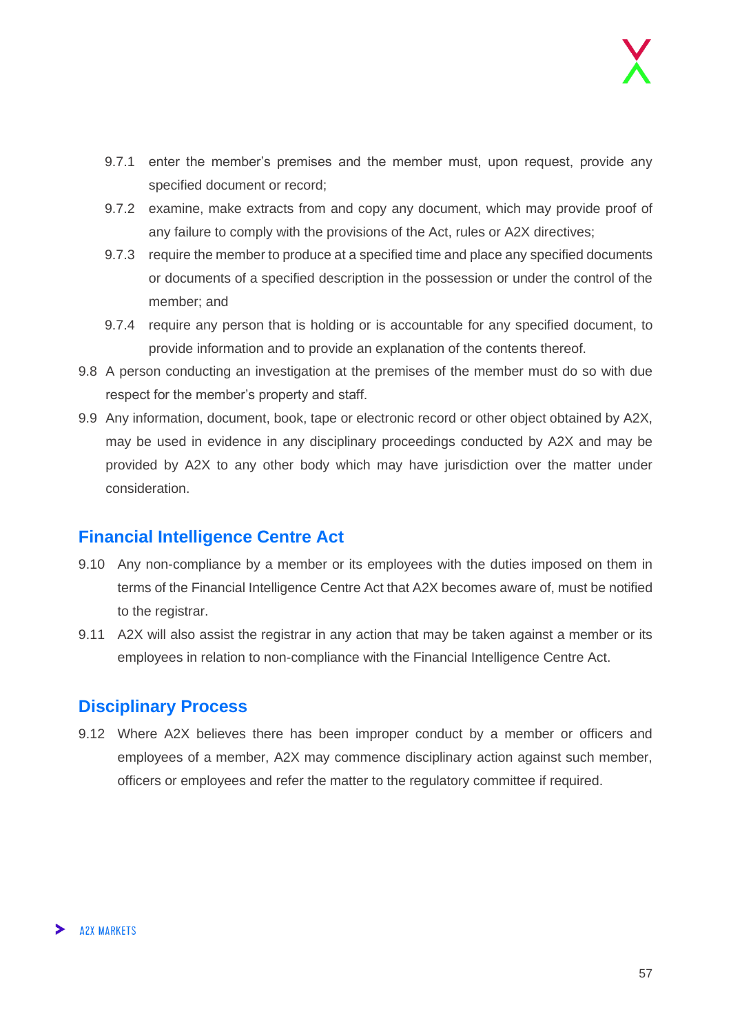- 9.7.1 enter the member's premises and the member must, upon request, provide any specified document or record;
- 9.7.2 examine, make extracts from and copy any document, which may provide proof of any failure to comply with the provisions of the Act, rules or A2X directives;
- 9.7.3 require the member to produce at a specified time and place any specified documents or documents of a specified description in the possession or under the control of the member; and
- 9.7.4 require any person that is holding or is accountable for any specified document, to provide information and to provide an explanation of the contents thereof.
- 9.8 A person conducting an investigation at the premises of the member must do so with due respect for the member's property and staff.
- 9.9 Any information, document, book, tape or electronic record or other object obtained by A2X, may be used in evidence in any disciplinary proceedings conducted by A2X and may be provided by A2X to any other body which may have jurisdiction over the matter under consideration.

#### <span id="page-56-0"></span>**Financial Intelligence Centre Act**

- 9.10 Any non-compliance by a member or its employees with the duties imposed on them in terms of the Financial Intelligence Centre Act that A2X becomes aware of, must be notified to the registrar.
- 9.11 A2X will also assist the registrar in any action that may be taken against a member or its employees in relation to non-compliance with the Financial Intelligence Centre Act.

#### <span id="page-56-1"></span>**Disciplinary Process**

9.12 Where A2X believes there has been improper conduct by a member or officers and employees of a member, A2X may commence disciplinary action against such member, officers or employees and refer the matter to the regulatory committee if required.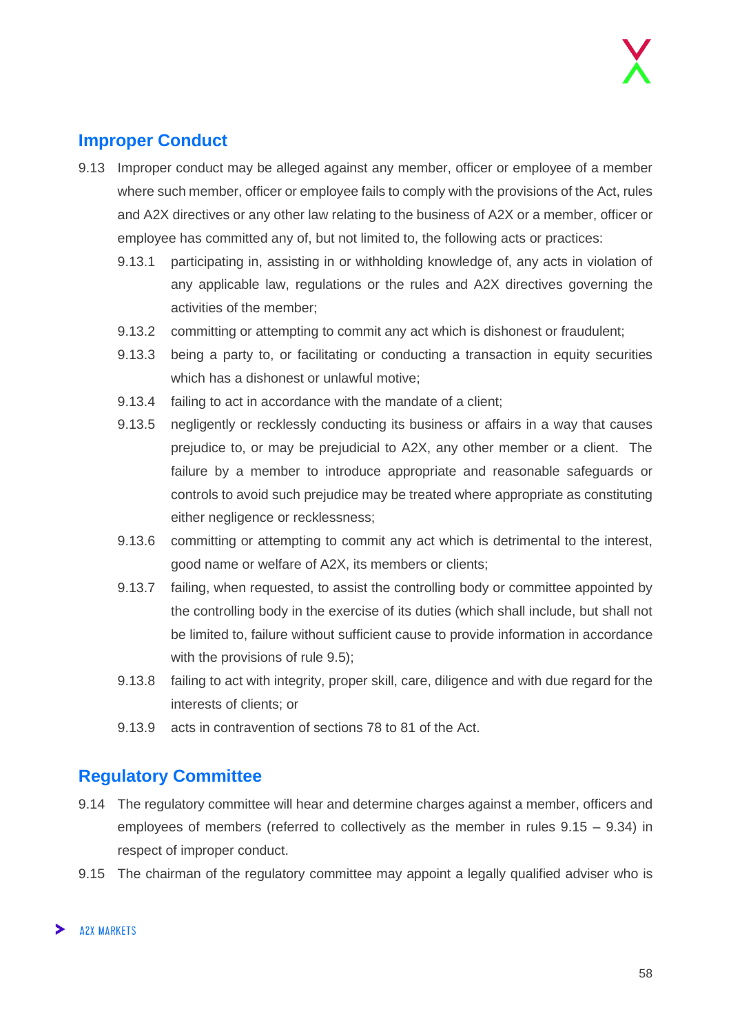#### <span id="page-57-0"></span>**Improper Conduct**

- 9.13 Improper conduct may be alleged against any member, officer or employee of a member where such member, officer or employee fails to comply with the provisions of the Act, rules and A2X directives or any other law relating to the business of A2X or a member, officer or employee has committed any of, but not limited to, the following acts or practices:
	- 9.13.1 participating in, assisting in or withholding knowledge of, any acts in violation of any applicable law, regulations or the rules and A2X directives governing the activities of the member;
	- 9.13.2 committing or attempting to commit any act which is dishonest or fraudulent;
	- 9.13.3 being a party to, or facilitating or conducting a transaction in equity securities which has a dishonest or unlawful motive;
	- 9.13.4 failing to act in accordance with the mandate of a client;
	- 9.13.5 negligently or recklessly conducting its business or affairs in a way that causes prejudice to, or may be prejudicial to A2X, any other member or a client. The failure by a member to introduce appropriate and reasonable safeguards or controls to avoid such prejudice may be treated where appropriate as constituting either negligence or recklessness;
	- 9.13.6 committing or attempting to commit any act which is detrimental to the interest, good name or welfare of A2X, its members or clients;
	- 9.13.7 failing, when requested, to assist the controlling body or committee appointed by the controlling body in the exercise of its duties (which shall include, but shall not be limited to, failure without sufficient cause to provide information in accordance with the provisions of rule 9.5);
	- 9.13.8 failing to act with integrity, proper skill, care, diligence and with due regard for the interests of clients; or
	- 9.13.9 acts in contravention of sections 78 to 81 of the Act.

#### <span id="page-57-1"></span>**Regulatory Committee**

- 9.14 The regulatory committee will hear and determine charges against a member, officers and employees of members (referred to collectively as the member in rules 9.15 – 9.34) in respect of improper conduct.
- 9.15 The chairman of the regulatory committee may appoint a legally qualified adviser who is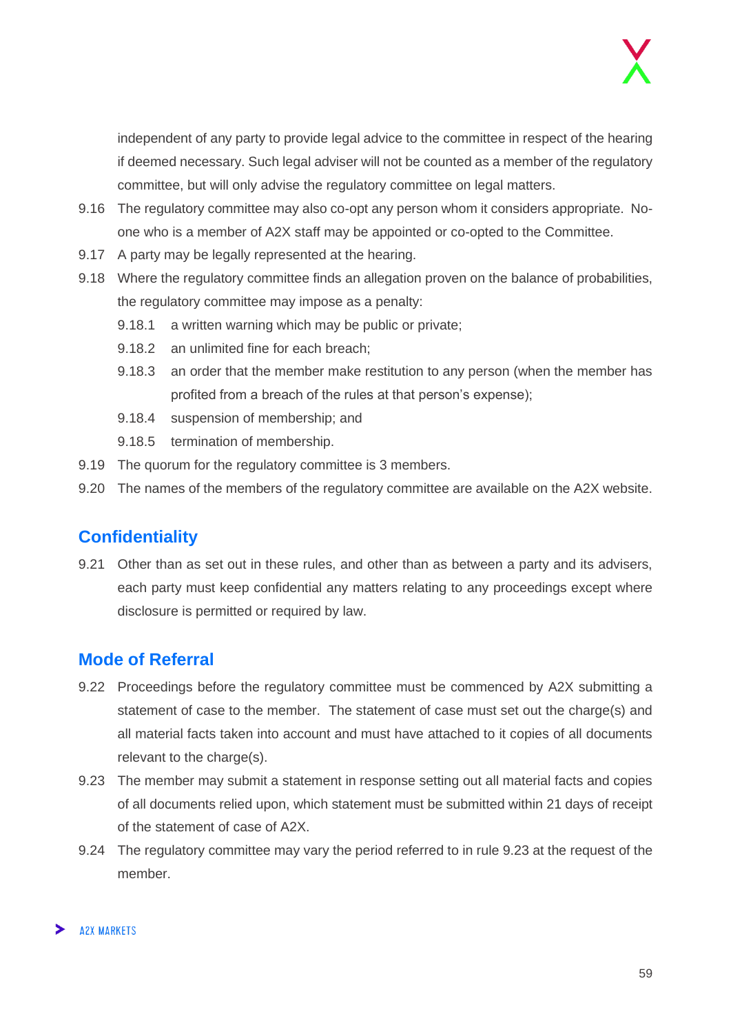independent of any party to provide legal advice to the committee in respect of the hearing if deemed necessary. Such legal adviser will not be counted as a member of the regulatory committee, but will only advise the regulatory committee on legal matters.

- 9.16 The regulatory committee may also co-opt any person whom it considers appropriate. Noone who is a member of A2X staff may be appointed or co-opted to the Committee.
- 9.17 A party may be legally represented at the hearing.
- 9.18 Where the regulatory committee finds an allegation proven on the balance of probabilities, the regulatory committee may impose as a penalty:
	- 9.18.1 a written warning which may be public or private;
	- 9.18.2 an unlimited fine for each breach;
	- 9.18.3 an order that the member make restitution to any person (when the member has profited from a breach of the rules at that person's expense);
	- 9.18.4 suspension of membership; and
	- 9.18.5 termination of membership.
- 9.19 The quorum for the regulatory committee is 3 members.
- 9.20 The names of the members of the regulatory committee are available on the A2X website.

#### <span id="page-58-0"></span>**Confidentiality**

9.21 Other than as set out in these rules, and other than as between a party and its advisers, each party must keep confidential any matters relating to any proceedings except where disclosure is permitted or required by law.

#### <span id="page-58-1"></span>**Mode of Referral**

- 9.22 Proceedings before the regulatory committee must be commenced by A2X submitting a statement of case to the member. The statement of case must set out the charge(s) and all material facts taken into account and must have attached to it copies of all documents relevant to the charge(s).
- 9.23 The member may submit a statement in response setting out all material facts and copies of all documents relied upon, which statement must be submitted within 21 days of receipt of the statement of case of A2X.
- 9.24 The regulatory committee may vary the period referred to in rule 9.23 at the request of the member.

#### **A2X MARKETS**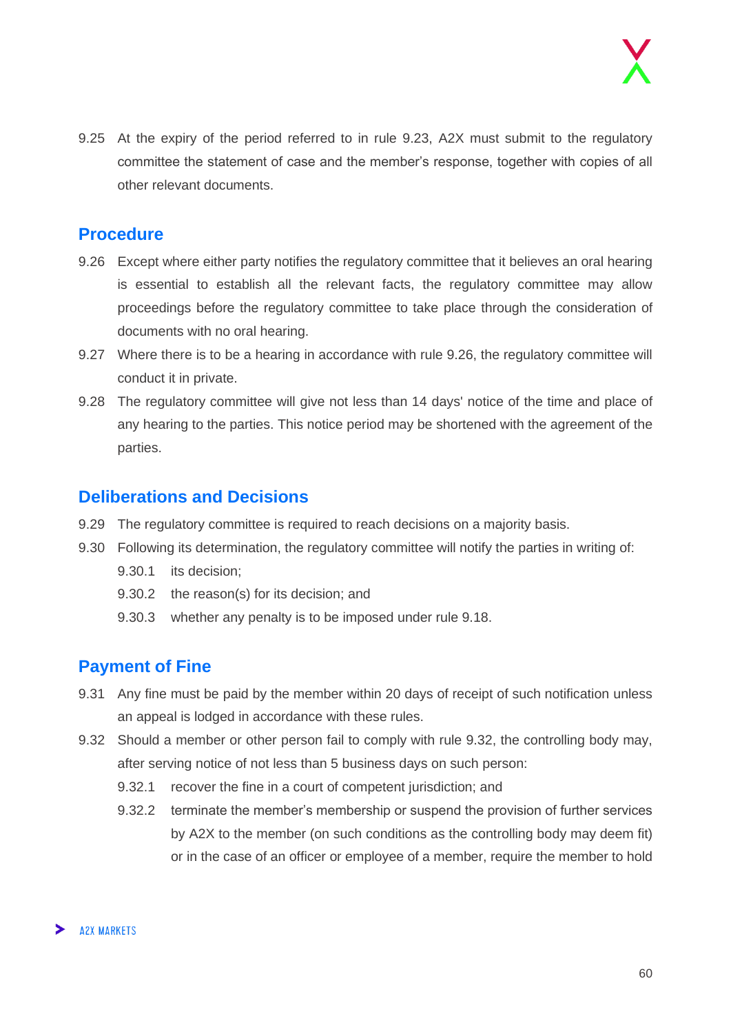9.25 At the expiry of the period referred to in rule 9.23, A2X must submit to the regulatory committee the statement of case and the member's response, together with copies of all other relevant documents.

#### <span id="page-59-0"></span>**Procedure**

- 9.26 Except where either party notifies the regulatory committee that it believes an oral hearing is essential to establish all the relevant facts, the regulatory committee may allow proceedings before the regulatory committee to take place through the consideration of documents with no oral hearing.
- 9.27 Where there is to be a hearing in accordance with rule 9.26, the regulatory committee will conduct it in private.
- 9.28 The regulatory committee will give not less than 14 days' notice of the time and place of any hearing to the parties. This notice period may be shortened with the agreement of the parties.

#### <span id="page-59-1"></span>**Deliberations and Decisions**

- 9.29 The regulatory committee is required to reach decisions on a majority basis.
- 9.30 Following its determination, the regulatory committee will notify the parties in writing of:
	- 9.30.1 its decision;
	- 9.30.2 the reason(s) for its decision; and
	- 9.30.3 whether any penalty is to be imposed under rule 9.18.

#### <span id="page-59-2"></span>**Payment of Fine**

- 9.31 Any fine must be paid by the member within 20 days of receipt of such notification unless an appeal is lodged in accordance with these rules.
- 9.32 Should a member or other person fail to comply with rule 9.32, the controlling body may, after serving notice of not less than 5 business days on such person:
	- 9.32.1 recover the fine in a court of competent jurisdiction; and
	- 9.32.2 terminate the member's membership or suspend the provision of further services by A2X to the member (on such conditions as the controlling body may deem fit) or in the case of an officer or employee of a member, require the member to hold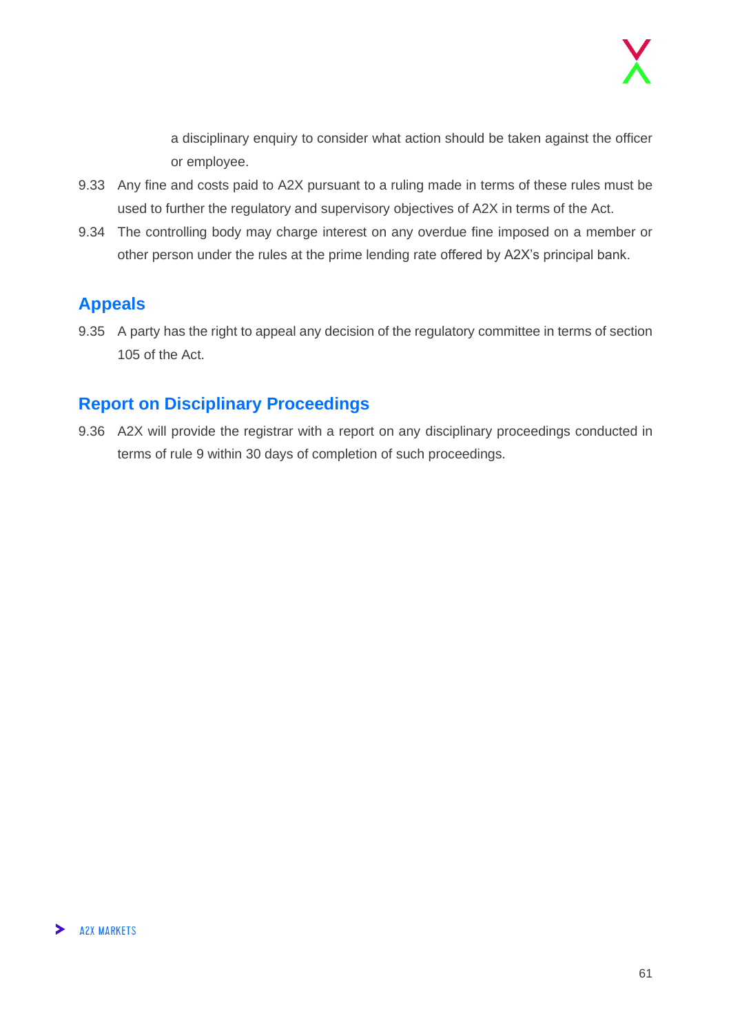a disciplinary enquiry to consider what action should be taken against the officer or employee.

- 9.33 Any fine and costs paid to A2X pursuant to a ruling made in terms of these rules must be used to further the regulatory and supervisory objectives of A2X in terms of the Act.
- 9.34 The controlling body may charge interest on any overdue fine imposed on a member or other person under the rules at the prime lending rate offered by A2X's principal bank.

#### <span id="page-60-0"></span>**Appeals**

9.35 A party has the right to appeal any decision of the regulatory committee in terms of section 105 of the Act.

#### <span id="page-60-1"></span>**Report on Disciplinary Proceedings**

9.36 A2X will provide the registrar with a report on any disciplinary proceedings conducted in terms of rule 9 within 30 days of completion of such proceedings.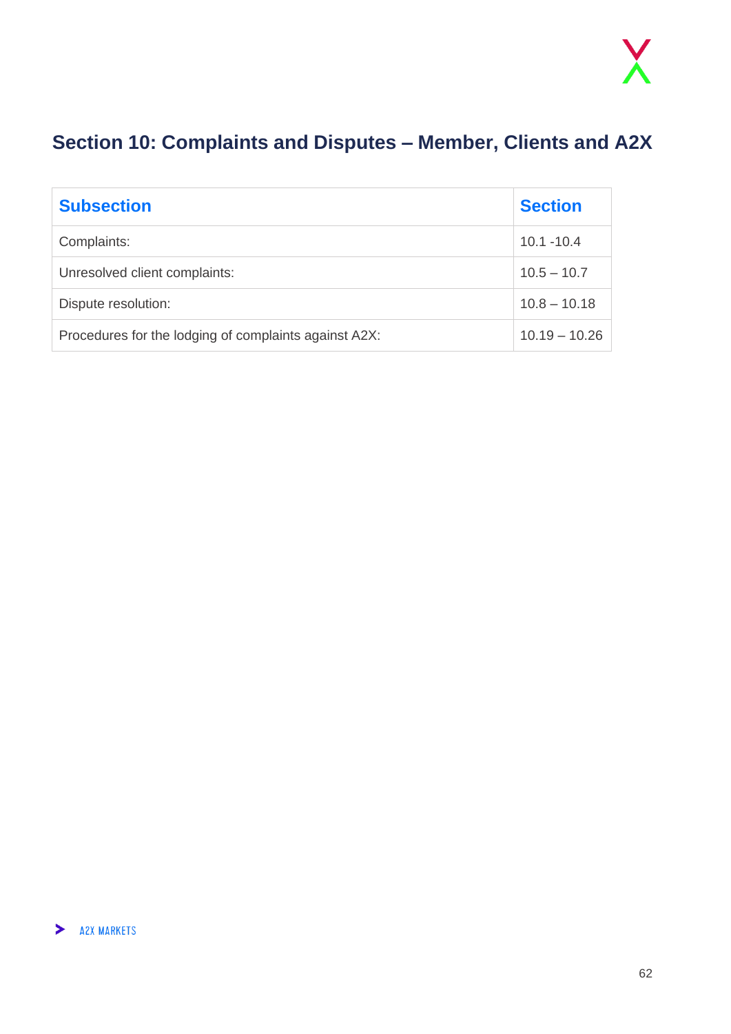## <span id="page-61-0"></span>**Section 10: Complaints and Disputes – Member, Clients and A2X**

| <b>Subsection</b>                                     | <b>Section</b>  |
|-------------------------------------------------------|-----------------|
| Complaints:                                           | $10.1 - 10.4$   |
| Unresolved client complaints:                         | $10.5 - 10.7$   |
| Dispute resolution:                                   | $10.8 - 10.18$  |
| Procedures for the lodging of complaints against A2X: | $10.19 - 10.26$ |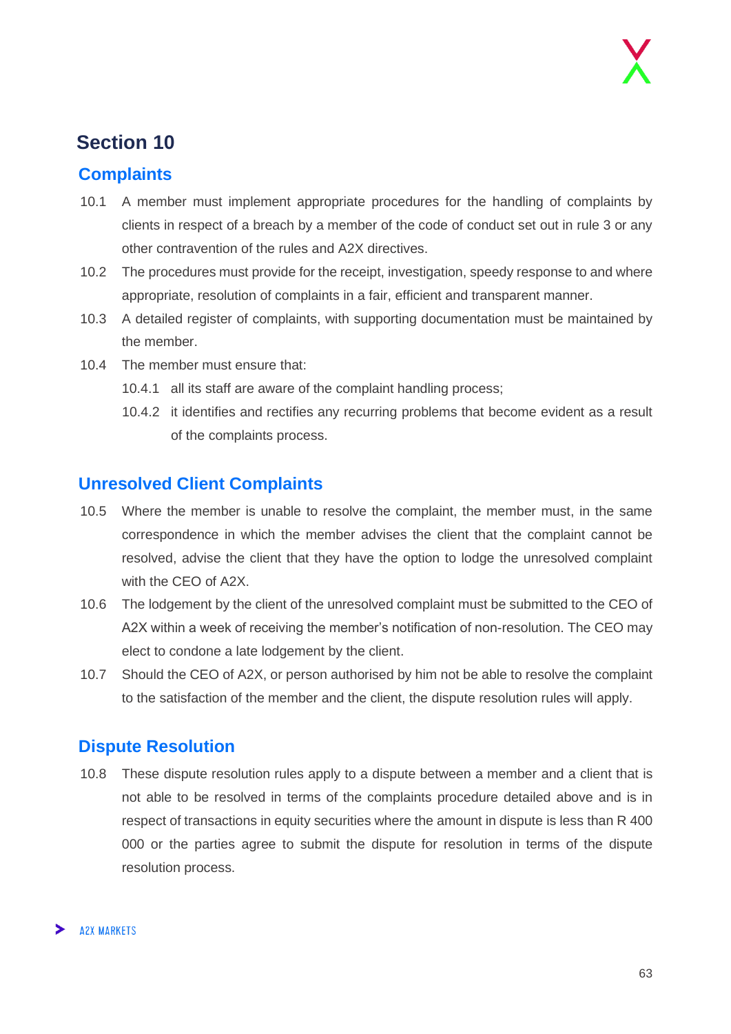## **Section 10**

#### <span id="page-62-0"></span>**Complaints**

- 10.1 A member must implement appropriate procedures for the handling of complaints by clients in respect of a breach by a member of the code of conduct set out in rule 3 or any other contravention of the rules and A2X directives.
- 10.2 The procedures must provide for the receipt, investigation, speedy response to and where appropriate, resolution of complaints in a fair, efficient and transparent manner.
- 10.3 A detailed register of complaints, with supporting documentation must be maintained by the member.
- 10.4 The member must ensure that:
	- 10.4.1 all its staff are aware of the complaint handling process;
	- 10.4.2 it identifies and rectifies any recurring problems that become evident as a result of the complaints process.

#### <span id="page-62-1"></span>**Unresolved Client Complaints**

- 10.5 Where the member is unable to resolve the complaint, the member must, in the same correspondence in which the member advises the client that the complaint cannot be resolved, advise the client that they have the option to lodge the unresolved complaint with the CEO of A2X.
- 10.6 The lodgement by the client of the unresolved complaint must be submitted to the CEO of A2X within a week of receiving the member's notification of non-resolution. The CEO may elect to condone a late lodgement by the client.
- 10.7 Should the CEO of A2X, or person authorised by him not be able to resolve the complaint to the satisfaction of the member and the client, the dispute resolution rules will apply.

#### <span id="page-62-2"></span>**Dispute Resolution**

10.8 These dispute resolution rules apply to a dispute between a member and a client that is not able to be resolved in terms of the complaints procedure detailed above and is in respect of transactions in equity securities where the amount in dispute is less than R 400 000 or the parties agree to submit the dispute for resolution in terms of the dispute resolution process.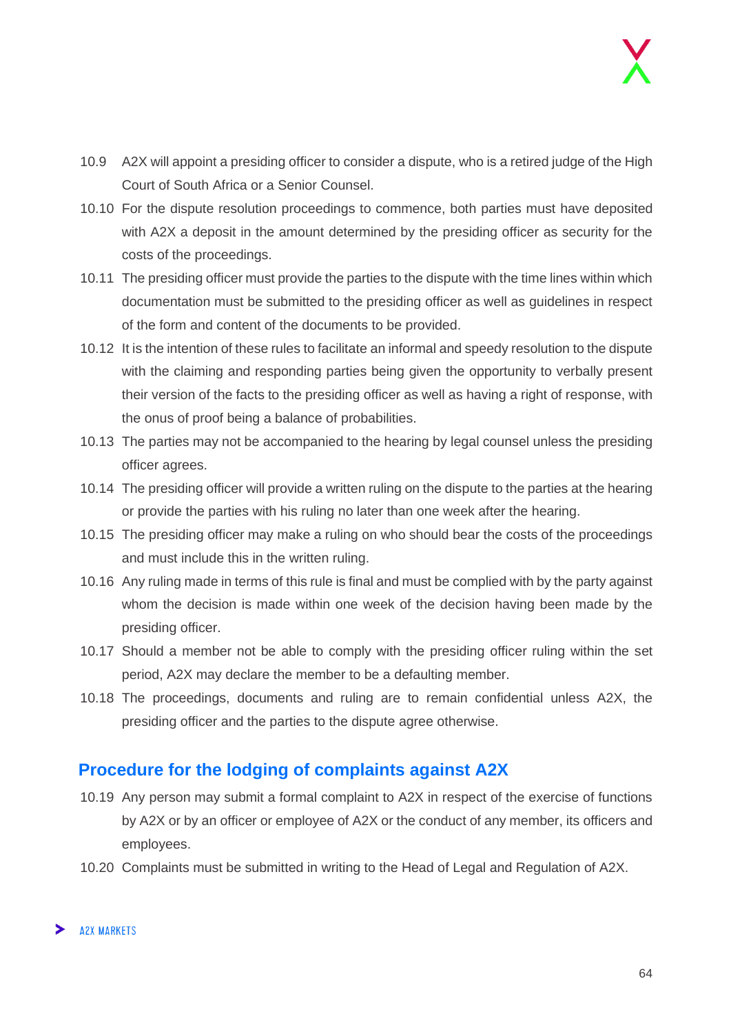- 10.9 A2X will appoint a presiding officer to consider a dispute, who is a retired judge of the High Court of South Africa or a Senior Counsel.
- 10.10 For the dispute resolution proceedings to commence, both parties must have deposited with A2X a deposit in the amount determined by the presiding officer as security for the costs of the proceedings.
- 10.11 The presiding officer must provide the parties to the dispute with the time lines within which documentation must be submitted to the presiding officer as well as guidelines in respect of the form and content of the documents to be provided.
- 10.12 It is the intention of these rules to facilitate an informal and speedy resolution to the dispute with the claiming and responding parties being given the opportunity to verbally present their version of the facts to the presiding officer as well as having a right of response, with the onus of proof being a balance of probabilities.
- 10.13 The parties may not be accompanied to the hearing by legal counsel unless the presiding officer agrees.
- 10.14 The presiding officer will provide a written ruling on the dispute to the parties at the hearing or provide the parties with his ruling no later than one week after the hearing.
- 10.15 The presiding officer may make a ruling on who should bear the costs of the proceedings and must include this in the written ruling.
- 10.16 Any ruling made in terms of this rule is final and must be complied with by the party against whom the decision is made within one week of the decision having been made by the presiding officer.
- 10.17 Should a member not be able to comply with the presiding officer ruling within the set period, A2X may declare the member to be a defaulting member.
- 10.18 The proceedings, documents and ruling are to remain confidential unless A2X, the presiding officer and the parties to the dispute agree otherwise.

#### <span id="page-63-0"></span>**Procedure for the lodging of complaints against A2X**

- 10.19 Any person may submit a formal complaint to A2X in respect of the exercise of functions by A2X or by an officer or employee of A2X or the conduct of any member, its officers and employees.
- 10.20 Complaints must be submitted in writing to the Head of Legal and Regulation of A2X.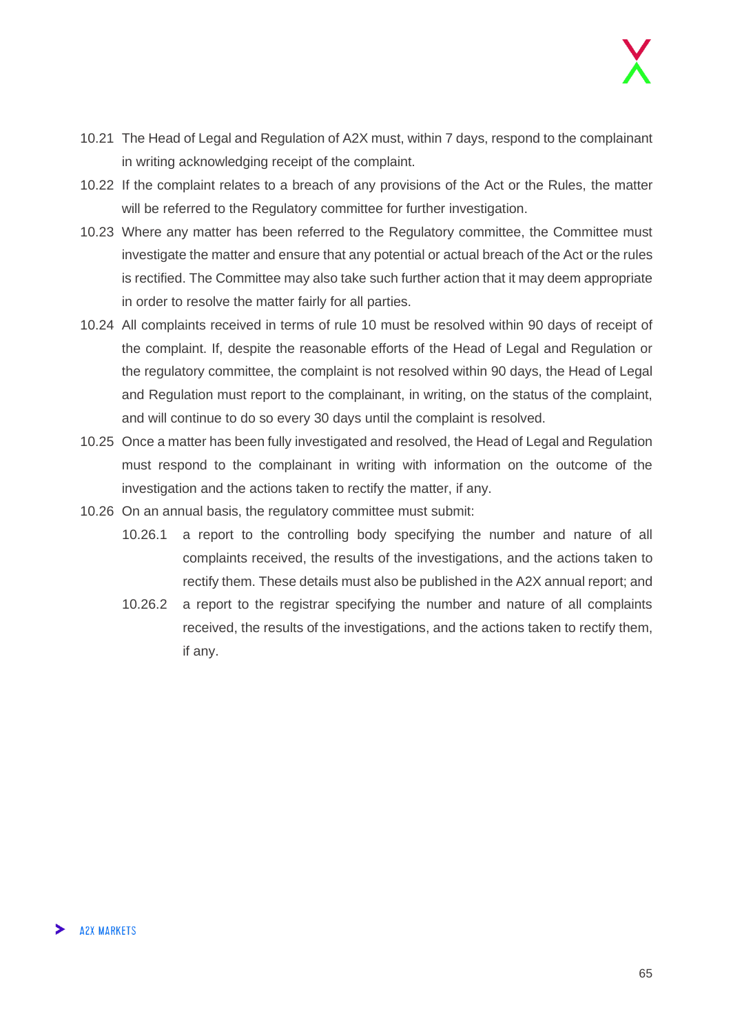- 10.21 The Head of Legal and Regulation of A2X must, within 7 days, respond to the complainant in writing acknowledging receipt of the complaint.
- 10.22 If the complaint relates to a breach of any provisions of the Act or the Rules, the matter will be referred to the Regulatory committee for further investigation.
- 10.23 Where any matter has been referred to the Regulatory committee, the Committee must investigate the matter and ensure that any potential or actual breach of the Act or the rules is rectified. The Committee may also take such further action that it may deem appropriate in order to resolve the matter fairly for all parties.
- 10.24 All complaints received in terms of rule 10 must be resolved within 90 days of receipt of the complaint. If, despite the reasonable efforts of the Head of Legal and Regulation or the regulatory committee, the complaint is not resolved within 90 days, the Head of Legal and Regulation must report to the complainant, in writing, on the status of the complaint, and will continue to do so every 30 days until the complaint is resolved.
- 10.25 Once a matter has been fully investigated and resolved, the Head of Legal and Regulation must respond to the complainant in writing with information on the outcome of the investigation and the actions taken to rectify the matter, if any.
- 10.26 On an annual basis, the regulatory committee must submit:
	- 10.26.1 a report to the controlling body specifying the number and nature of all complaints received, the results of the investigations, and the actions taken to rectify them. These details must also be published in the A2X annual report; and
	- 10.26.2 a report to the registrar specifying the number and nature of all complaints received, the results of the investigations, and the actions taken to rectify them, if any.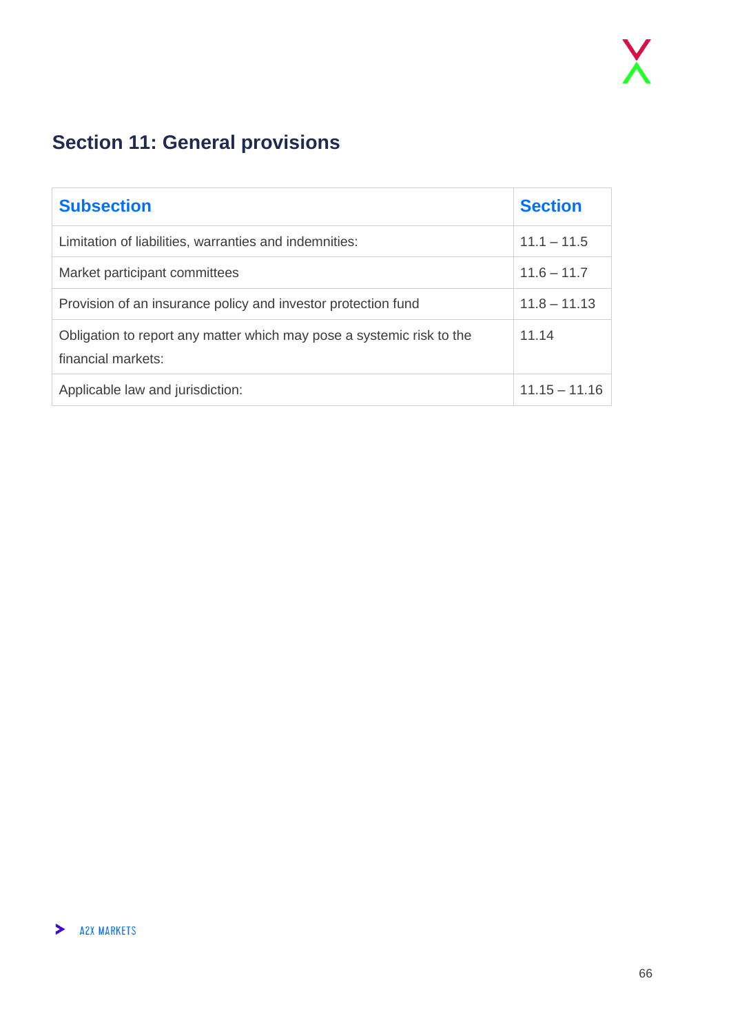## <span id="page-65-0"></span>**Section 11: General provisions**

| <b>Subsection</b>                                                                           | <b>Section</b>  |
|---------------------------------------------------------------------------------------------|-----------------|
| Limitation of liabilities, warranties and indemnities:                                      | $11.1 - 11.5$   |
| Market participant committees                                                               | $11.6 - 11.7$   |
| Provision of an insurance policy and investor protection fund                               | $11.8 - 11.13$  |
| Obligation to report any matter which may pose a systemic risk to the<br>financial markets: | 11.14           |
| Applicable law and jurisdiction:                                                            | $11.15 - 11.16$ |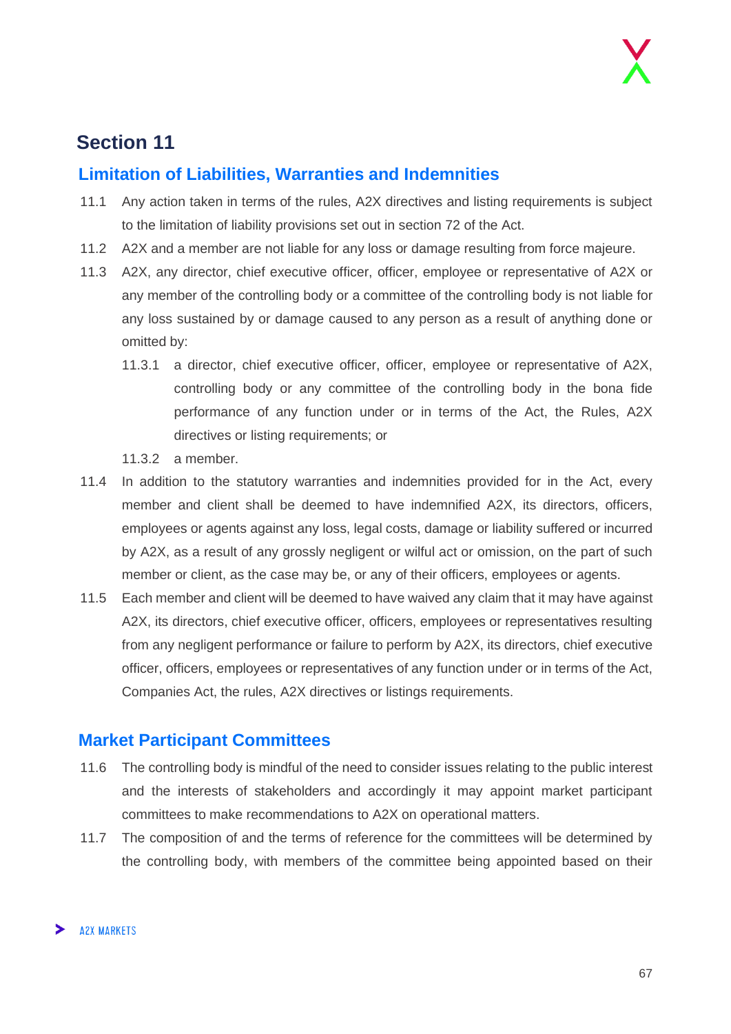## **Section 11**

#### <span id="page-66-0"></span>**Limitation of Liabilities, Warranties and Indemnities**

- 11.1 Any action taken in terms of the rules, A2X directives and listing requirements is subject to the limitation of liability provisions set out in section 72 of the Act.
- 11.2 A2X and a member are not liable for any loss or damage resulting from force majeure.
- 11.3 A2X, any director, chief executive officer, officer, employee or representative of A2X or any member of the controlling body or a committee of the controlling body is not liable for any loss sustained by or damage caused to any person as a result of anything done or omitted by:
	- 11.3.1 a director, chief executive officer, officer, employee or representative of A2X, controlling body or any committee of the controlling body in the bona fide performance of any function under or in terms of the Act, the Rules, A2X directives or listing requirements; or
	- 11.3.2 a member.
- 11.4 In addition to the statutory warranties and indemnities provided for in the Act, every member and client shall be deemed to have indemnified A2X, its directors, officers, employees or agents against any loss, legal costs, damage or liability suffered or incurred by A2X, as a result of any grossly negligent or wilful act or omission, on the part of such member or client, as the case may be, or any of their officers, employees or agents.
- 11.5 Each member and client will be deemed to have waived any claim that it may have against A2X, its directors, chief executive officer, officers, employees or representatives resulting from any negligent performance or failure to perform by A2X, its directors, chief executive officer, officers, employees or representatives of any function under or in terms of the Act, Companies Act, the rules, A2X directives or listings requirements.

#### <span id="page-66-1"></span>**Market Participant Committees**

- 11.6 The controlling body is mindful of the need to consider issues relating to the public interest and the interests of stakeholders and accordingly it may appoint market participant committees to make recommendations to A2X on operational matters.
- 11.7 The composition of and the terms of reference for the committees will be determined by the controlling body, with members of the committee being appointed based on their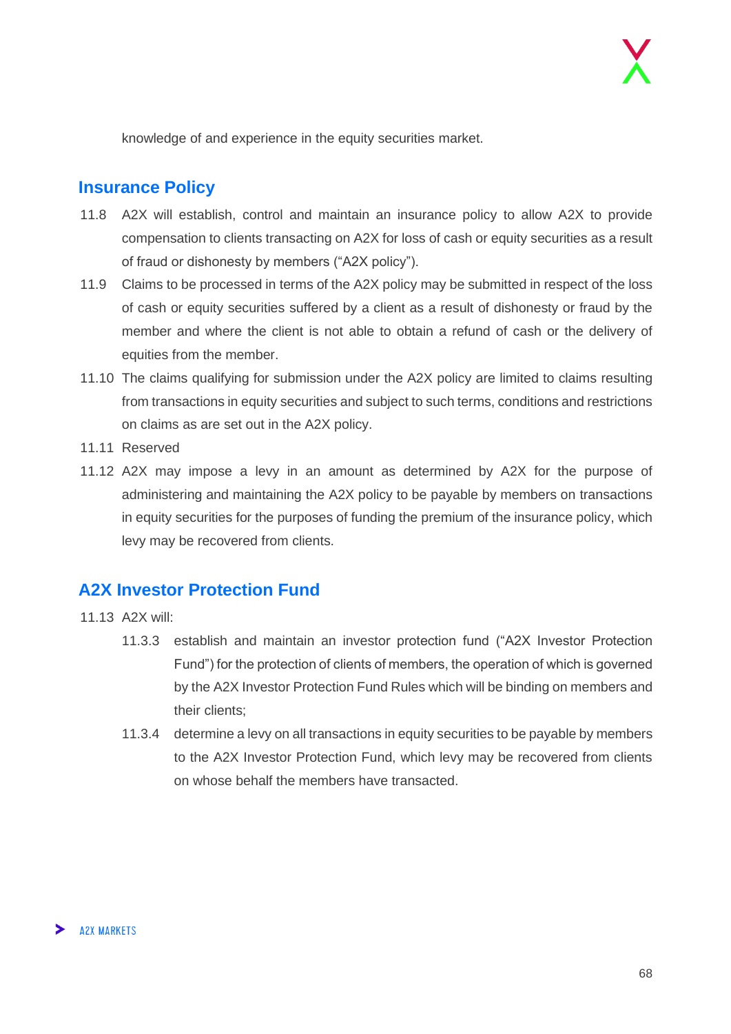knowledge of and experience in the equity securities market.

#### <span id="page-67-0"></span>**Insurance Policy**

- 11.8 A2X will establish, control and maintain an insurance policy to allow A2X to provide compensation to clients transacting on A2X for loss of cash or equity securities as a result of fraud or dishonesty by members ("A2X policy").
- 11.9 Claims to be processed in terms of the A2X policy may be submitted in respect of the loss of cash or equity securities suffered by a client as a result of dishonesty or fraud by the member and where the client is not able to obtain a refund of cash or the delivery of equities from the member.
- 11.10 The claims qualifying for submission under the A2X policy are limited to claims resulting from transactions in equity securities and subject to such terms, conditions and restrictions on claims as are set out in the A2X policy.
- 11.11 Reserved
- 11.12 A2X may impose a levy in an amount as determined by A2X for the purpose of administering and maintaining the A2X policy to be payable by members on transactions in equity securities for the purposes of funding the premium of the insurance policy, which levy may be recovered from clients.

#### <span id="page-67-1"></span>**A2X Investor Protection Fund**

- 11.13 A2X will:
	- 11.3.3 establish and maintain an investor protection fund ("A2X Investor Protection Fund") for the protection of clients of members, the operation of which is governed by the A2X Investor Protection Fund Rules which will be binding on members and their clients;
	- 11.3.4 determine a levy on all transactions in equity securities to be payable by members to the A2X Investor Protection Fund, which levy may be recovered from clients on whose behalf the members have transacted.